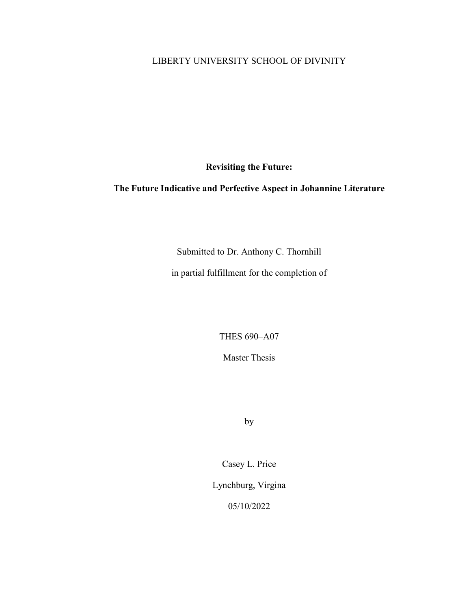## LIBERTY UNIVERSITY SCHOOL OF DIVINITY

**Revisiting the Future:**

# **The Future Indicative and Perfective Aspect in Johannine Literature**

Submitted to Dr. Anthony C. Thornhill

in partial fulfillment for the completion of

THES 690–A07

Master Thesis

by

Casey L. Price

Lynchburg, Virgina

05/10/2022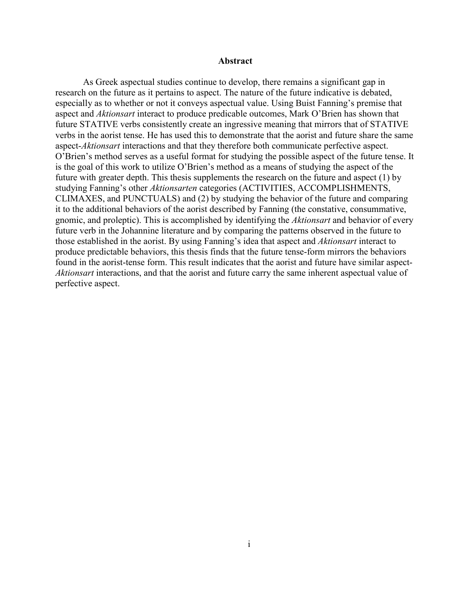### <span id="page-1-1"></span>**Abstract**

<span id="page-1-0"></span>As Greek aspectual studies continue to develop, there remains a significant gap in research on the future as it pertains to aspect. The nature of the future indicative is debated, especially as to whether or not it conveys aspectual value. Using Buist Fanning's premise that aspect and *Aktionsart* interact to produce predicable outcomes, Mark O'Brien has shown that future STATIVE verbs consistently create an ingressive meaning that mirrors that of STATIVE verbs in the aorist tense. He has used this to demonstrate that the aorist and future share the same aspect-*Aktionsart* interactions and that they therefore both communicate perfective aspect. O'Brien's method serves as a useful format for studying the possible aspect of the future tense. It is the goal of this work to utilize O'Brien's method as a means of studying the aspect of the future with greater depth. This thesis supplements the research on the future and aspect (1) by studying Fanning's other *Aktionsarten* categories (ACTIVITIES, ACCOMPLISHMENTS, CLIMAXES, and PUNCTUALS) and (2) by studying the behavior of the future and comparing it to the additional behaviors of the aorist described by Fanning (the constative, consummative, gnomic, and proleptic). This is accomplished by identifying the *Aktionsart* and behavior of every future verb in the Johannine literature and by comparing the patterns observed in the future to those established in the aorist. By using Fanning's idea that aspect and *Aktionsart* interact to produce predictable behaviors, this thesis finds that the future tense-form mirrors the behaviors found in the aorist-tense form. This result indicates that the aorist and future have similar aspect-*Aktionsart* interactions, and that the aorist and future carry the same inherent aspectual value of perfective aspect.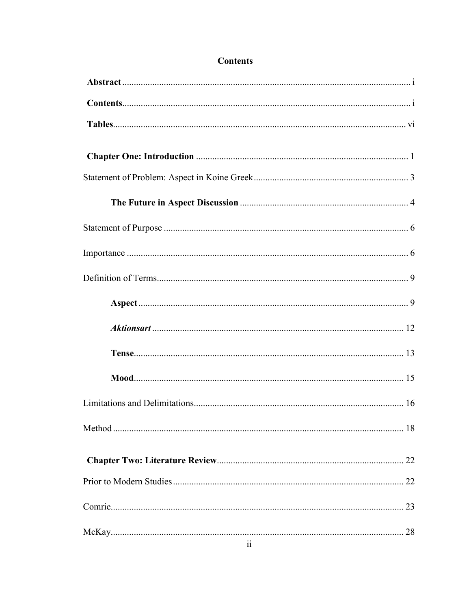# **Contents**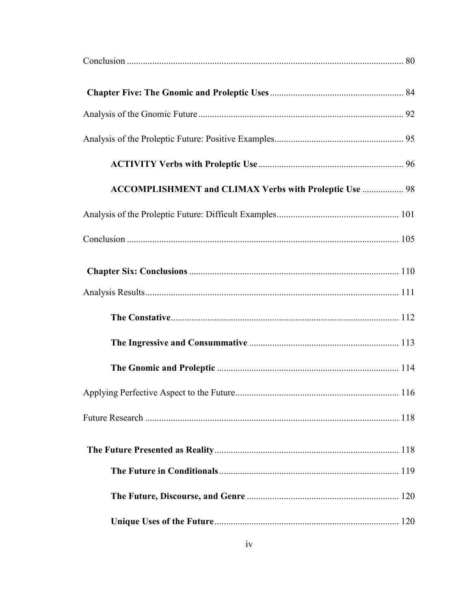| ACCOMPLISHMENT and CLIMAX Verbs with Proleptic Use  98 |  |
|--------------------------------------------------------|--|
|                                                        |  |
|                                                        |  |
|                                                        |  |
|                                                        |  |
|                                                        |  |
|                                                        |  |
|                                                        |  |
|                                                        |  |
|                                                        |  |
|                                                        |  |
|                                                        |  |
|                                                        |  |
|                                                        |  |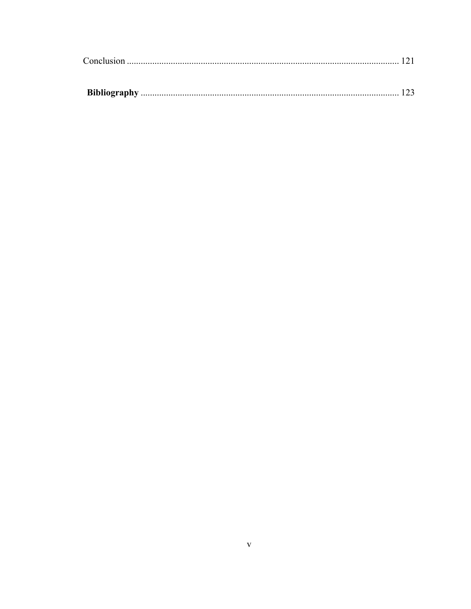<span id="page-5-0"></span>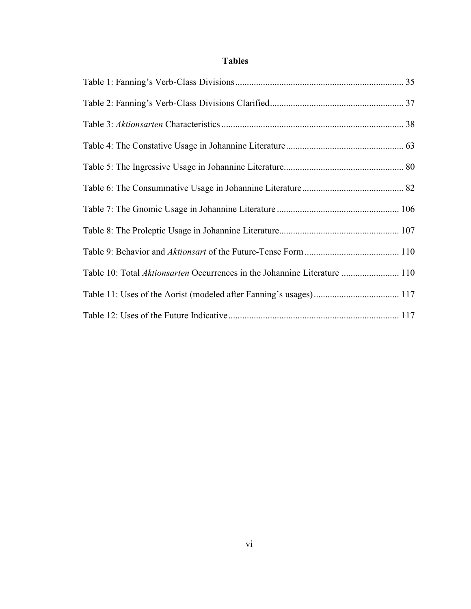# **Tables**

| Table 10: Total Aktionsarten Occurrences in the Johannine Literature  110 |  |
|---------------------------------------------------------------------------|--|
|                                                                           |  |
|                                                                           |  |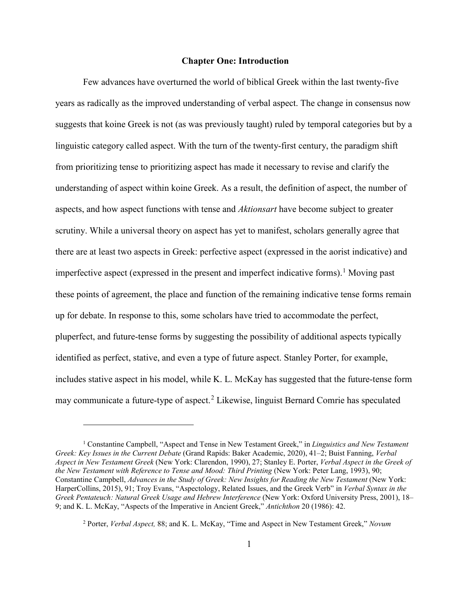## **Chapter One: Introduction**

<span id="page-7-0"></span>Few advances have overturned the world of biblical Greek within the last twenty-five years as radically as the improved understanding of verbal aspect. The change in consensus now suggests that koine Greek is not (as was previously taught) ruled by temporal categories but by a linguistic category called aspect. With the turn of the twenty-first century, the paradigm shift from prioritizing tense to prioritizing aspect has made it necessary to revise and clarify the understanding of aspect within koine Greek. As a result, the definition of aspect, the number of aspects, and how aspect functions with tense and *Aktionsart* have become subject to greater scrutiny. While a universal theory on aspect has yet to manifest, scholars generally agree that there are at least two aspects in Greek: perfective aspect (expressed in the aorist indicative) and imperfective aspect (expressed in the present and imperfect indicative forms). [1](#page-7-1) Moving past these points of agreement, the place and function of the remaining indicative tense forms remain up for debate. In response to this, some scholars have tried to accommodate the perfect, pluperfect, and future-tense forms by suggesting the possibility of additional aspects typically identified as perfect, stative, and even a type of future aspect. Stanley Porter, for example, includes stative aspect in his model, while K. L. McKay has suggested that the future-tense form may communicate a future-type of aspect.<sup>[2](#page-7-2)</sup> Likewise, linguist Bernard Comrie has speculated

<span id="page-7-1"></span><sup>1</sup> Constantine Campbell, "Aspect and Tense in New Testament Greek," in *Linguistics and New Testament Greek: Key Issues in the Current Debate* (Grand Rapids: Baker Academic, 2020), 41–2; Buist Fanning, *Verbal Aspect in New Testament Greek* (New York: Clarendon, 1990), 27; Stanley E. Porter, *Verbal Aspect in the Greek of the New Testament with Reference to Tense and Mood: Third Printing* (New York: Peter Lang, 1993), 90; Constantine Campbell, *Advances in the Study of Greek: New Insights for Reading the New Testament* (New York: HarperCollins, 2015), 91; Troy Evans, "Aspectology, Related Issues, and the Greek Verb" in *Verbal Syntax in the Greek Pentateuch: Natural Greek Usage and Hebrew Interference* (New York: Oxford University Press, 2001), 18– 9; and K. L. McKay, "Aspects of the Imperative in Ancient Greek," *Antichthon* 20 (1986): 42.

<span id="page-7-2"></span><sup>2</sup> Porter, *Verbal Aspect,* 88; and K. L. McKay, "Time and Aspect in New Testament Greek," *Novum*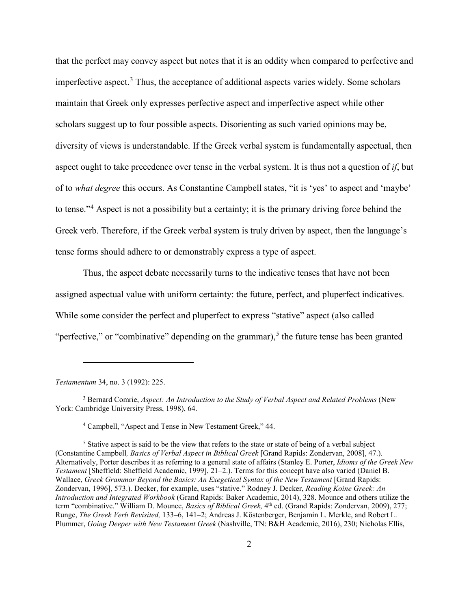that the perfect may convey aspect but notes that it is an oddity when compared to perfective and imperfective aspect.<sup>[3](#page-8-0)</sup> Thus, the acceptance of additional aspects varies widely. Some scholars maintain that Greek only expresses perfective aspect and imperfective aspect while other scholars suggest up to four possible aspects. Disorienting as such varied opinions may be, diversity of views is understandable. If the Greek verbal system is fundamentally aspectual, then aspect ought to take precedence over tense in the verbal system. It is thus not a question of *if*, but of to *what degree* this occurs. As Constantine Campbell states, "it is 'yes' to aspect and 'maybe' to tense."[4](#page-8-1) Aspect is not a possibility but a certainty; it is the primary driving force behind the Greek verb. Therefore, if the Greek verbal system is truly driven by aspect, then the language's tense forms should adhere to or demonstrably express a type of aspect.

Thus, the aspect debate necessarily turns to the indicative tenses that have not been assigned aspectual value with uniform certainty: the future, perfect, and pluperfect indicatives. While some consider the perfect and pluperfect to express "stative" aspect (also called "perfective," or "combinative" depending on the grammar),<sup>[5](#page-8-2)</sup> the future tense has been granted

*Testamentum* 34, no. 3 (1992): 225.

<span id="page-8-0"></span><sup>3</sup> Bernard Comrie, *Aspect: An Introduction to the Study of Verbal Aspect and Related Problems* (New York: Cambridge University Press, 1998), 64.

<sup>4</sup> Campbell, "Aspect and Tense in New Testament Greek," 44.

<span id="page-8-2"></span><span id="page-8-1"></span><sup>&</sup>lt;sup>5</sup> Stative aspect is said to be the view that refers to the state or state of being of a verbal subject (Constantine Campbell*, Basics of Verbal Aspect in Biblical Greek* [Grand Rapids: Zondervan, 2008], 47.). Alternatively, Porter describes it as referring to a general state of affairs (Stanley E. Porter, *Idioms of the Greek New Testament* [Sheffield: Sheffield Academic, 1999], 21–2.). Terms for this concept have also varied (Daniel B. Wallace, *Greek Grammar Beyond the Basics: An Exegetical Syntax of the New Testament* [Grand Rapids: Zondervan, 1996], 573.). Decker, for example, uses "stative." Rodney J. Decker, *Reading Koine Greek: An Introduction and Integrated Workbook* (Grand Rapids: Baker Academic, 2014), 328. Mounce and others utilize the term "combinative." William D. Mounce, *Basics of Biblical Greek,* 4th ed. (Grand Rapids: Zondervan, 2009), 277; Runge, *The Greek Verb Revisited,* 133–6, 141–2; Andreas J. Köstenberger, Benjamin L. Merkle, and Robert L. Plummer, *Going Deeper with New Testament Greek* (Nashville, TN: B&H Academic, 2016), 230; Nicholas Ellis,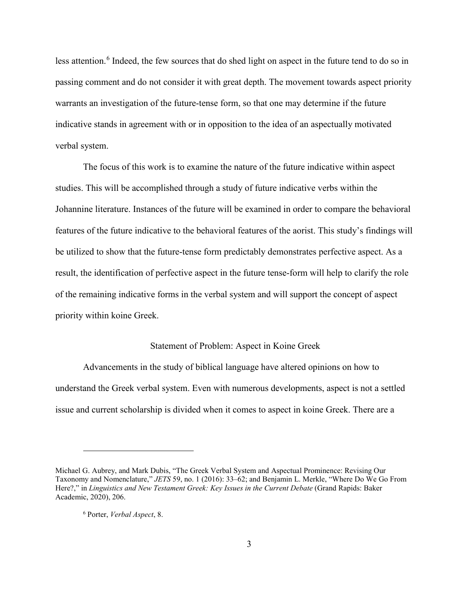less attention.<sup>[6](#page-9-1)</sup> Indeed, the few sources that do shed light on aspect in the future tend to do so in passing comment and do not consider it with great depth. The movement towards aspect priority warrants an investigation of the future-tense form, so that one may determine if the future indicative stands in agreement with or in opposition to the idea of an aspectually motivated verbal system.

The focus of this work is to examine the nature of the future indicative within aspect studies. This will be accomplished through a study of future indicative verbs within the Johannine literature. Instances of the future will be examined in order to compare the behavioral features of the future indicative to the behavioral features of the aorist. This study's findings will be utilized to show that the future-tense form predictably demonstrates perfective aspect. As a result, the identification of perfective aspect in the future tense-form will help to clarify the role of the remaining indicative forms in the verbal system and will support the concept of aspect priority within koine Greek.

## Statement of Problem: Aspect in Koine Greek

<span id="page-9-0"></span>Advancements in the study of biblical language have altered opinions on how to understand the Greek verbal system. Even with numerous developments, aspect is not a settled issue and current scholarship is divided when it comes to aspect in koine Greek. There are a

<span id="page-9-1"></span>Michael G. Aubrey, and Mark Dubis, "The Greek Verbal System and Aspectual Prominence: Revising Our Taxonomy and Nomenclature," *JETS* 59, no. 1 (2016): 33–62; and Benjamin L. Merkle, "Where Do We Go From Here?," in *Linguistics and New Testament Greek: Key Issues in the Current Debate* (Grand Rapids: Baker Academic, 2020), 206.

<sup>6</sup> Porter, *Verbal Aspect*, 8.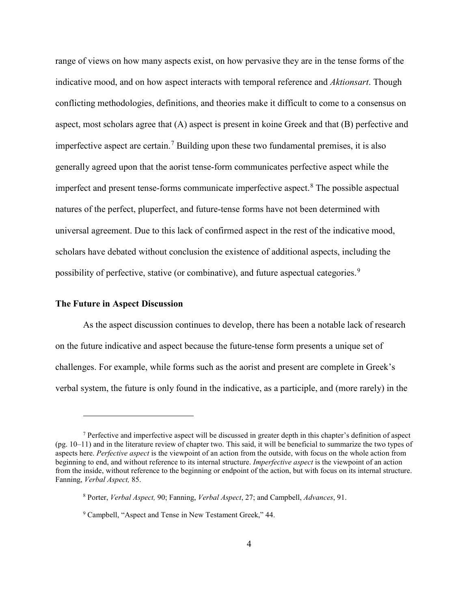range of views on how many aspects exist, on how pervasive they are in the tense forms of the indicative mood, and on how aspect interacts with temporal reference and *Aktionsart*. Though conflicting methodologies, definitions, and theories make it difficult to come to a consensus on aspect, most scholars agree that (A) aspect is present in koine Greek and that (B) perfective and imperfective aspect are certain.<sup>[7](#page-10-1)</sup> Building upon these two fundamental premises, it is also generally agreed upon that the aorist tense-form communicates perfective aspect while the imperfect and present tense-forms communicate imperfective aspect.<sup>[8](#page-10-2)</sup> The possible aspectual natures of the perfect, pluperfect, and future-tense forms have not been determined with universal agreement. Due to this lack of confirmed aspect in the rest of the indicative mood, scholars have debated without conclusion the existence of additional aspects, including the possibility of perfective, stative (or combinative), and future aspectual categories.<sup>[9](#page-10-3)</sup>

## <span id="page-10-0"></span>**The Future in Aspect Discussion**

 $\overline{a}$ 

As the aspect discussion continues to develop, there has been a notable lack of research on the future indicative and aspect because the future-tense form presents a unique set of challenges. For example, while forms such as the aorist and present are complete in Greek's verbal system, the future is only found in the indicative, as a participle, and (more rarely) in the

<span id="page-10-1"></span><sup>7</sup> Perfective and imperfective aspect will be discussed in greater depth in this chapter's definition of aspect (pg. 10–11) and in the literature review of chapter two. This said, it will be beneficial to summarize the two types of aspects here. *Perfective aspect* is the viewpoint of an action from the outside, with focus on the whole action from beginning to end, and without reference to its internal structure. *Imperfective aspect* is the viewpoint of an action from the inside, without reference to the beginning or endpoint of the action, but with focus on its internal structure. Fanning, *Verbal Aspect,* 85.

<span id="page-10-2"></span><sup>8</sup> Porter, *Verbal Aspect,* 90; Fanning, *Verbal Aspect*, 27; and Campbell, *Advances*, 91.

<span id="page-10-3"></span><sup>9</sup> Campbell, "Aspect and Tense in New Testament Greek," 44.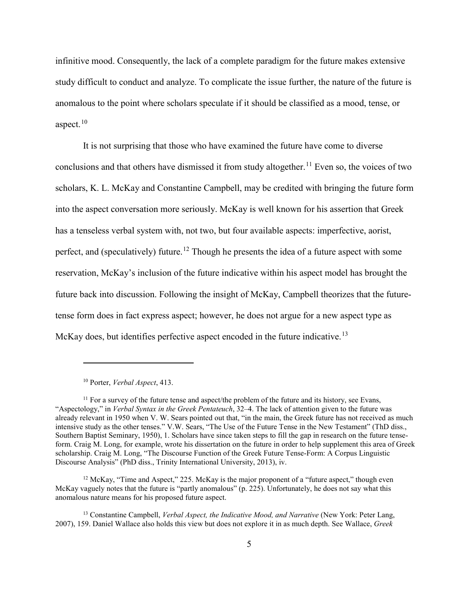infinitive mood. Consequently, the lack of a complete paradigm for the future makes extensive study difficult to conduct and analyze. To complicate the issue further, the nature of the future is anomalous to the point where scholars speculate if it should be classified as a mood, tense, or aspect. $10$ 

It is not surprising that those who have examined the future have come to diverse conclusions and that others have dismissed it from study altogether.<sup>11</sup> Even so, the voices of two scholars, K. L. McKay and Constantine Campbell, may be credited with bringing the future form into the aspect conversation more seriously. McKay is well known for his assertion that Greek has a tenseless verbal system with, not two, but four available aspects: imperfective, aorist, perfect, and (speculatively) future.<sup>[12](#page-11-2)</sup> Though he presents the idea of a future aspect with some reservation, McKay's inclusion of the future indicative within his aspect model has brought the future back into discussion. Following the insight of McKay, Campbell theorizes that the futuretense form does in fact express aspect; however, he does not argue for a new aspect type as McKay does, but identifies perfective aspect encoded in the future indicative.<sup>[13](#page-11-3)</sup>

<sup>10</sup> Porter, *Verbal Aspect*, 413.

<span id="page-11-1"></span><span id="page-11-0"></span><sup>&</sup>lt;sup>11</sup> For a survey of the future tense and aspect/the problem of the future and its history, see Evans, "Aspectology," in *Verbal Syntax in the Greek Pentateuch*, 32–4. The lack of attention given to the future was already relevant in 1950 when V. W. Sears pointed out that, "in the main, the Greek future has not received as much intensive study as the other tenses." V.W. Sears, "The Use of the Future Tense in the New Testament" (ThD diss., Southern Baptist Seminary, 1950), 1. Scholars have since taken steps to fill the gap in research on the future tenseform. Craig M. Long, for example, wrote his dissertation on the future in order to help supplement this area of Greek scholarship. Craig M. Long, "The Discourse Function of the Greek Future Tense-Form: A Corpus Linguistic Discourse Analysis" (PhD diss., Trinity International University, 2013), iv.

<span id="page-11-2"></span> $12$  McKay, "Time and Aspect," 225. McKay is the major proponent of a "future aspect," though even McKay vaguely notes that the future is "partly anomalous" (p. 225). Unfortunately, he does not say what this anomalous nature means for his proposed future aspect.

<span id="page-11-3"></span><sup>13</sup> Constantine Campbell, *Verbal Aspect, the Indicative Mood, and Narrative* (New York: Peter Lang, 2007), 159. Daniel Wallace also holds this view but does not explore it in as much depth. See Wallace, *Greek*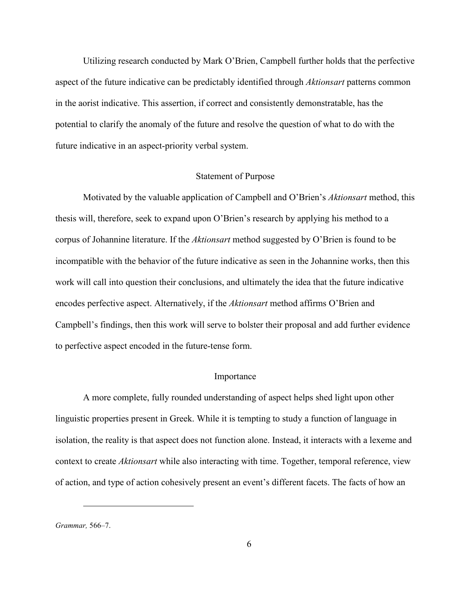Utilizing research conducted by Mark O'Brien, Campbell further holds that the perfective aspect of the future indicative can be predictably identified through *Aktionsart* patterns common in the aorist indicative. This assertion, if correct and consistently demonstratable, has the potential to clarify the anomaly of the future and resolve the question of what to do with the future indicative in an aspect-priority verbal system.

### Statement of Purpose

<span id="page-12-0"></span>Motivated by the valuable application of Campbell and O'Brien's *Aktionsart* method, this thesis will, therefore, seek to expand upon O'Brien's research by applying his method to a corpus of Johannine literature. If the *Aktionsart* method suggested by O'Brien is found to be incompatible with the behavior of the future indicative as seen in the Johannine works, then this work will call into question their conclusions, and ultimately the idea that the future indicative encodes perfective aspect. Alternatively, if the *Aktionsart* method affirms O'Brien and Campbell's findings, then this work will serve to bolster their proposal and add further evidence to perfective aspect encoded in the future-tense form.

## Importance

<span id="page-12-1"></span>A more complete, fully rounded understanding of aspect helps shed light upon other linguistic properties present in Greek. While it is tempting to study a function of language in isolation, the reality is that aspect does not function alone. Instead, it interacts with a lexeme and context to create *Aktionsart* while also interacting with time. Together, temporal reference, view of action, and type of action cohesively present an event's different facets. The facts of how an

*Grammar,* 566–7.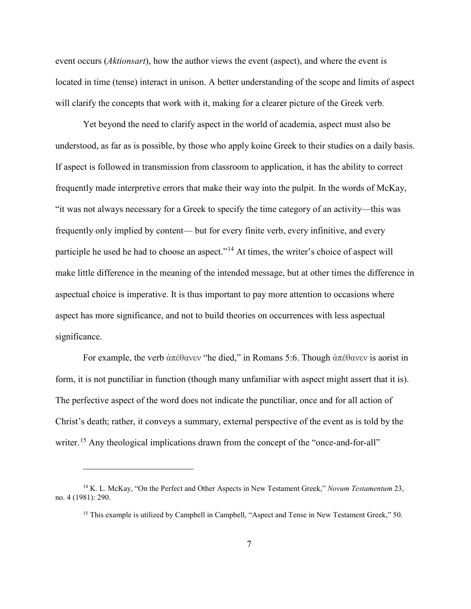event occurs (*Aktionsart*), how the author views the event (aspect), and where the event is located in time (tense) interact in unison. A better understanding of the scope and limits of aspect will clarify the concepts that work with it, making for a clearer picture of the Greek verb.

Yet beyond the need to clarify aspect in the world of academia, aspect must also be understood, as far as is possible, by those who apply koine Greek to their studies on a daily basis. If aspect is followed in transmission from classroom to application, it has the ability to correct frequently made interpretive errors that make their way into the pulpit. In the words of McKay, "it was not always necessary for a Greek to specify the time category of an activity—this was frequently only implied by content— but for every finite verb, every infinitive, and every participle he used he had to choose an aspect."<sup>[14](#page-13-0)</sup> At times, the writer's choice of aspect will make little difference in the meaning of the intended message, but at other times the difference in aspectual choice is imperative. It is thus important to pay more attention to occasions where aspect has more significance, and not to build theories on occurrences with less aspectual significance.

For example, the verb ἀπέθανεν "he died," in Romans 5:6. Though ἀπέθανεν is aorist in form, it is not punctiliar in function (though many unfamiliar with aspect might assert that it is). The perfective aspect of the word does not indicate the punctiliar, once and for all action of Christ's death; rather, it conveys a summary, external perspective of the event as is told by the writer.<sup>[15](#page-13-1)</sup> Any theological implications drawn from the concept of the "once-and-for-all"

<span id="page-13-1"></span><span id="page-13-0"></span><sup>14</sup> K. L. McKay, "On the Perfect and Other Aspects in New Testament Greek," *Novum Testamentum* 23, no. 4 (1981): 290.

<sup>&</sup>lt;sup>15</sup> This example is utilized by Campbell in Campbell, "Aspect and Tense in New Testament Greek," 50.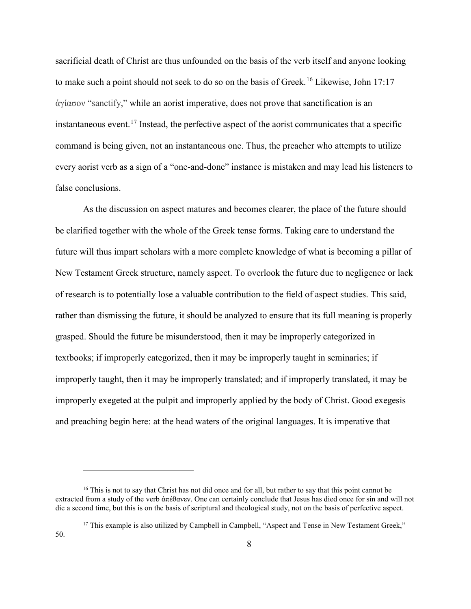sacrificial death of Christ are thus unfounded on the basis of the verb itself and anyone looking to make such a point should not seek to do so on the basis of Greek.<sup>[16](#page-14-0)</sup> Likewise, John 17:17 ἁγίασον "sanctify," while an aorist imperative, does not prove that sanctification is an instantaneous event.<sup>[17](#page-14-1)</sup> Instead, the perfective aspect of the aorist communicates that a specific command is being given, not an instantaneous one. Thus, the preacher who attempts to utilize every aorist verb as a sign of a "one-and-done" instance is mistaken and may lead his listeners to false conclusions.

As the discussion on aspect matures and becomes clearer, the place of the future should be clarified together with the whole of the Greek tense forms. Taking care to understand the future will thus impart scholars with a more complete knowledge of what is becoming a pillar of New Testament Greek structure, namely aspect. To overlook the future due to negligence or lack of research is to potentially lose a valuable contribution to the field of aspect studies. This said, rather than dismissing the future, it should be analyzed to ensure that its full meaning is properly grasped. Should the future be misunderstood, then it may be improperly categorized in textbooks; if improperly categorized, then it may be improperly taught in seminaries; if improperly taught, then it may be improperly translated; and if improperly translated, it may be improperly exegeted at the pulpit and improperly applied by the body of Christ. Good exegesis and preaching begin here: at the head waters of the original languages. It is imperative that

<span id="page-14-0"></span><sup>&</sup>lt;sup>16</sup> This is not to say that Christ has not did once and for all, but rather to say that this point cannot be extracted from a study of the verb ἀπέθανεν. One can certainly conclude that Jesus has died once for sin and will not die a second time, but this is on the basis of scriptural and theological study, not on the basis of perfective aspect.

<span id="page-14-1"></span><sup>&</sup>lt;sup>17</sup> This example is also utilized by Campbell in Campbell, "Aspect and Tense in New Testament Greek." 50.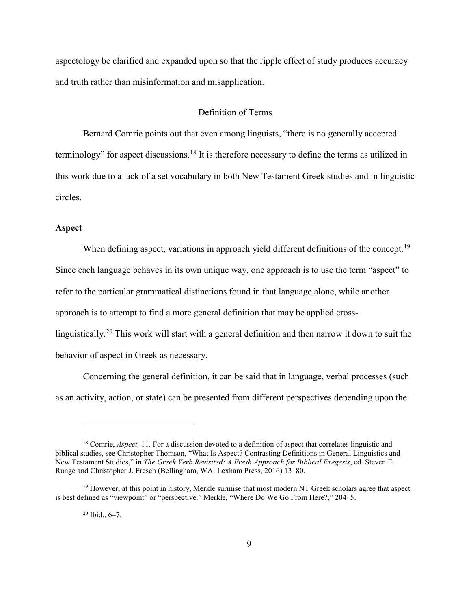aspectology be clarified and expanded upon so that the ripple effect of study produces accuracy and truth rather than misinformation and misapplication.

## Definition of Terms

<span id="page-15-0"></span>Bernard Comrie points out that even among linguists, "there is no generally accepted terminology" for aspect discussions.<sup>[18](#page-15-2)</sup> It is therefore necessary to define the terms as utilized in this work due to a lack of a set vocabulary in both New Testament Greek studies and in linguistic circles.

## <span id="page-15-1"></span>**Aspect**

When defining aspect, variations in approach yield different definitions of the concept.<sup>[19](#page-15-3)</sup> Since each language behaves in its own unique way, one approach is to use the term "aspect" to refer to the particular grammatical distinctions found in that language alone, while another approach is to attempt to find a more general definition that may be applied cross-linguistically.<sup>[20](#page-15-4)</sup> This work will start with a general definition and then narrow it down to suit the behavior of aspect in Greek as necessary.

Concerning the general definition, it can be said that in language, verbal processes (such as an activity, action, or state) can be presented from different perspectives depending upon the

<span id="page-15-2"></span><sup>&</sup>lt;sup>18</sup> Comrie, *Aspect*, 11. For a discussion devoted to a definition of aspect that correlates linguistic and biblical studies, see Christopher Thomson, "What Is Aspect? Contrasting Definitions in General Linguistics and New Testament Studies," in *The Greek Verb Revisited: A Fresh Approach for Biblical Exegesis*, ed. Steven E. Runge and Christopher J. Fresch (Bellingham, WA: Lexham Press, 2016) 13–80.

<span id="page-15-4"></span><span id="page-15-3"></span> $19$  However, at this point in history, Merkle surmise that most modern NT Greek scholars agree that aspect is best defined as "viewpoint" or "perspective." Merkle, "Where Do We Go From Here?," 204–5.

 $20$  Ibid.,  $6-7$ .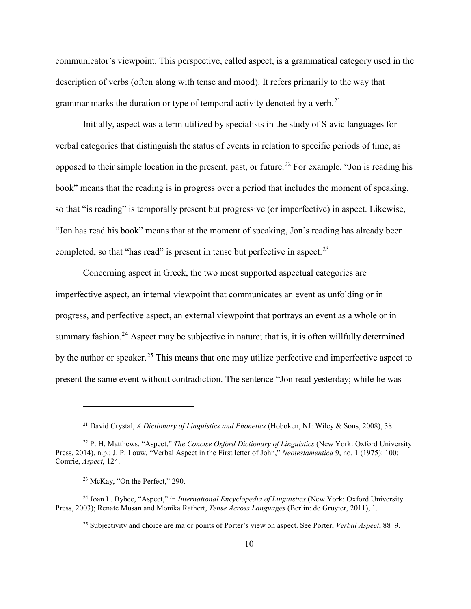communicator's viewpoint. This perspective, called aspect, is a grammatical category used in the description of verbs (often along with tense and mood). It refers primarily to the way that grammar marks the duration or type of temporal activity denoted by a verb.<sup>21</sup>

Initially, aspect was a term utilized by specialists in the study of Slavic languages for verbal categories that distinguish the status of events in relation to specific periods of time, as opposed to their simple location in the present, past, or future.<sup>[22](#page-16-1)</sup> For example, "Jon is reading his book" means that the reading is in progress over a period that includes the moment of speaking, so that "is reading" is temporally present but progressive (or imperfective) in aspect. Likewise, "Jon has read his book" means that at the moment of speaking, Jon's reading has already been completed, so that "has read" is present in tense but perfective in aspect.<sup>[23](#page-16-2)</sup>

Concerning aspect in Greek, the two most supported aspectual categories are imperfective aspect, an internal viewpoint that communicates an event as unfolding or in progress, and perfective aspect, an external viewpoint that portrays an event as a whole or in summary fashion.<sup>24</sup> Aspect may be subjective in nature; that is, it is often willfully determined by the author or speaker.<sup>25</sup> This means that one may utilize perfective and imperfective aspect to present the same event without contradiction. The sentence "Jon read yesterday; while he was

<sup>21</sup> David Crystal, *A Dictionary of Linguistics and Phonetics* (Hoboken, NJ: Wiley & Sons, 2008), 38.

<span id="page-16-1"></span><span id="page-16-0"></span><sup>22</sup> P. H. Matthews, "Aspect," *The Concise Oxford Dictionary of Linguistics* (New York: Oxford University Press, 2014), n.p.; J. P. Louw, "Verbal Aspect in the First letter of John," *Neotestamentica* 9, no. 1 (1975): 100; Comrie, *Aspect*, 124.

<sup>23</sup> McKay, "On the Perfect," 290.

<span id="page-16-4"></span><span id="page-16-3"></span><span id="page-16-2"></span><sup>24</sup> Joan L. Bybee, "Aspect," in *International Encyclopedia of Linguistics* (New York: Oxford University Press, 2003); Renate Musan and Monika Rathert, *Tense Across Languages* (Berlin: de Gruyter, 2011), 1.

<sup>25</sup> Subjectivity and choice are major points of Porter's view on aspect. See Porter, *Verbal Aspect*, 88–9.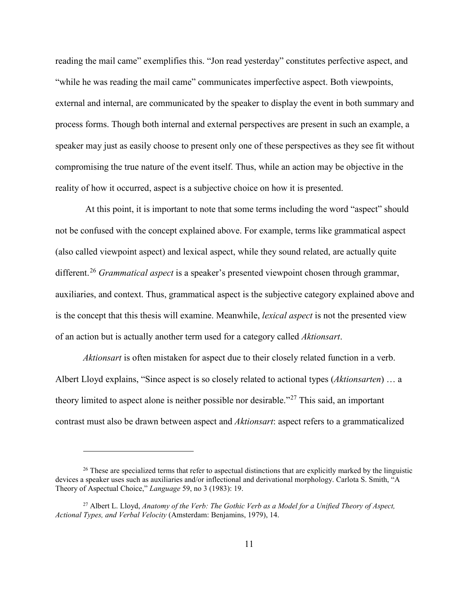reading the mail came" exemplifies this. "Jon read yesterday" constitutes perfective aspect, and "while he was reading the mail came" communicates imperfective aspect. Both viewpoints, external and internal, are communicated by the speaker to display the event in both summary and process forms. Though both internal and external perspectives are present in such an example, a speaker may just as easily choose to present only one of these perspectives as they see fit without compromising the true nature of the event itself. Thus, while an action may be objective in the reality of how it occurred, aspect is a subjective choice on how it is presented.

 At this point, it is important to note that some terms including the word "aspect" should not be confused with the concept explained above. For example, terms like grammatical aspect (also called viewpoint aspect) and lexical aspect, while they sound related, are actually quite different.<sup>[26](#page-17-0)</sup> *Grammatical aspect* is a speaker's presented viewpoint chosen through grammar, auxiliaries, and context. Thus, grammatical aspect is the subjective category explained above and is the concept that this thesis will examine. Meanwhile, *lexical aspect* is not the presented view of an action but is actually another term used for a category called *Aktionsart*.

*Aktionsart* is often mistaken for aspect due to their closely related function in a verb. Albert Lloyd explains, "Since aspect is so closely related to actional types (*Aktionsarten*) … a theory limited to aspect alone is neither possible nor desirable."[27](#page-17-1) This said, an important contrast must also be drawn between aspect and *Aktionsart*: aspect refers to a grammaticalized

<span id="page-17-0"></span> $26$  These are specialized terms that refer to aspectual distinctions that are explicitly marked by the linguistic devices a speaker uses such as auxiliaries and/or inflectional and derivational morphology. Carlota S. Smith, "A Theory of Aspectual Choice," *Language* 59, no 3 (1983): 19.

<span id="page-17-1"></span><sup>27</sup> Albert L. Lloyd, *Anatomy of the Verb: The Gothic Verb as a Model for a Unified Theory of Aspect, Actional Types, and Verbal Velocity* (Amsterdam: Benjamins, 1979), 14.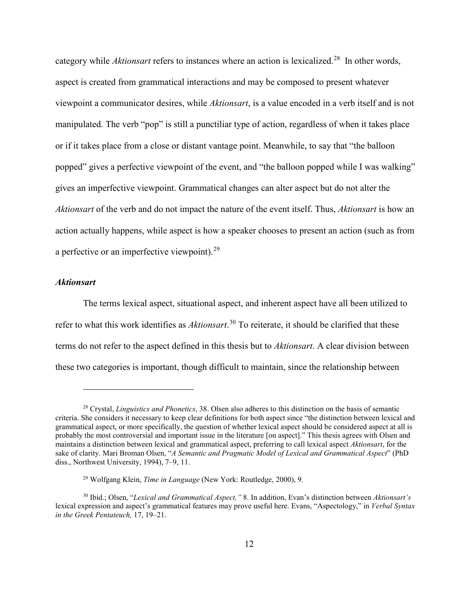category while *Aktionsart* refers to instances where an action is lexicalized.[28](#page-18-1) In other words, aspect is created from grammatical interactions and may be composed to present whatever viewpoint a communicator desires, while *Aktionsart*, is a value encoded in a verb itself and is not manipulated. The verb "pop" is still a punctiliar type of action, regardless of when it takes place or if it takes place from a close or distant vantage point. Meanwhile, to say that "the balloon popped" gives a perfective viewpoint of the event, and "the balloon popped while I was walking" gives an imperfective viewpoint. Grammatical changes can alter aspect but do not alter the *Aktionsart* of the verb and do not impact the nature of the event itself. Thus, *Aktionsart* is how an action actually happens, while aspect is how a speaker chooses to present an action (such as from a perfective or an imperfective viewpoint). $^{29}$ 

## <span id="page-18-0"></span>*Aktionsart*

 $\overline{a}$ 

The terms lexical aspect, situational aspect, and inherent aspect have all been utilized to refer to what this work identifies as *Aktionsart*. [30](#page-18-3) To reiterate, it should be clarified that these terms do not refer to the aspect defined in this thesis but to *Aktionsart*. A clear division between these two categories is important, though difficult to maintain, since the relationship between

<span id="page-18-1"></span><sup>28</sup> Crystal, *Linguistics and Phonetics*, 38. Olsen also adheres to this distinction on the basis of semantic criteria. She considers it necessary to keep clear definitions for both aspect since "the distinction between lexical and grammatical aspect, or more specifically, the question of whether lexical aspect should be considered aspect at all is probably the most controversial and important issue in the literature [on aspect]." This thesis agrees with Olsen and maintains a distinction between lexical and grammatical aspect, preferring to call lexical aspect *Aktionsart*, for the sake of clarity. Mari Broman Olsen, "*A Semantic and Pragmatic Model of Lexical and Grammatical Aspect*" (PhD diss., Northwest University, 1994), 7–9, 11.

<sup>29</sup> Wolfgang Klein, *Time in Language* (New York: Routledge, 2000), 9.

<span id="page-18-3"></span><span id="page-18-2"></span><sup>30</sup> Ibid.; Olsen, "*Lexical and Grammatical Aspect,"* 8. In addition, Evan's distinction between *Aktionsart's* lexical expression and aspect's grammatical features may prove useful here. Evans, "Aspectology," in *Verbal Syntax in the Greek Pentateuch,* 17, 19–21.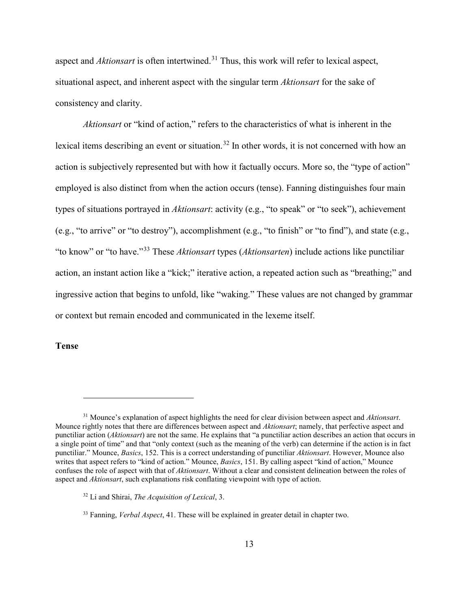aspect and *Aktionsart* is often intertwined.<sup>[31](#page-19-1)</sup> Thus, this work will refer to lexical aspect, situational aspect, and inherent aspect with the singular term *Aktionsart* for the sake of consistency and clarity.

*Aktionsart* or "kind of action," refers to the characteristics of what is inherent in the lexical items describing an event or situation.<sup>[32](#page-19-2)</sup> In other words, it is not concerned with how an action is subjectively represented but with how it factually occurs. More so, the "type of action" employed is also distinct from when the action occurs (tense). Fanning distinguishes four main types of situations portrayed in *Aktionsart*: activity (e.g., "to speak" or "to seek"), achievement (e.g., "to arrive" or "to destroy"), accomplishment (e.g., "to finish" or "to find"), and state (e.g., "to know" or "to have."[33](#page-19-3) These *Aktionsart* types (*Aktionsarten*) include actions like punctiliar action, an instant action like a "kick;" iterative action, a repeated action such as "breathing;" and ingressive action that begins to unfold, like "waking." These values are not changed by grammar or context but remain encoded and communicated in the lexeme itself.

<span id="page-19-0"></span>**Tense**

<span id="page-19-1"></span><sup>31</sup> Mounce's explanation of aspect highlights the need for clear division between aspect and *Aktionsart*. Mounce rightly notes that there are differences between aspect and *Aktionsart*; namely, that perfective aspect and punctiliar action (*Aktionsart*) are not the same. He explains that "a punctiliar action describes an action that occurs in a single point of time" and that "only context (such as the meaning of the verb) can determine if the action is in fact punctiliar." Mounce, *Basics*, 152. This is a correct understanding of punctiliar *Aktionsart*. However, Mounce also writes that aspect refers to "kind of action." Mounce, *Basics*, 151. By calling aspect "kind of action," Mounce confuses the role of aspect with that of *Aktionsart*. Without a clear and consistent delineation between the roles of aspect and *Aktionsart*, such explanations risk conflating viewpoint with type of action.

<span id="page-19-2"></span><sup>32</sup> Li and Shirai, *The Acquisition of Lexical*, 3.

<span id="page-19-3"></span><sup>33</sup> Fanning, *Verbal Aspect*, 41. These will be explained in greater detail in chapter two.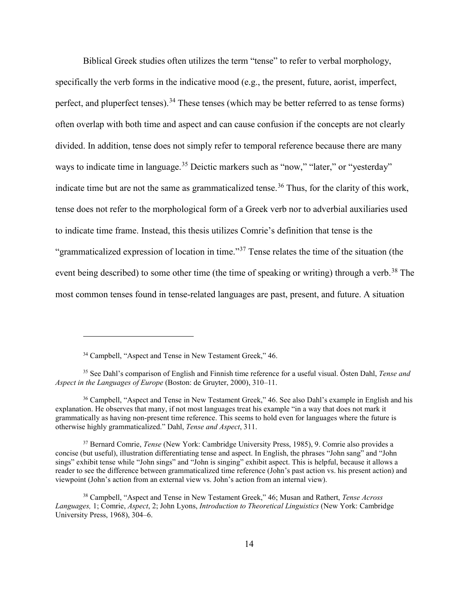Biblical Greek studies often utilizes the term "tense" to refer to verbal morphology, specifically the verb forms in the indicative mood (e.g., the present, future, aorist, imperfect, perfect, and pluperfect tenses).<sup>[34](#page-20-0)</sup> These tenses (which may be better referred to as tense forms) often overlap with both time and aspect and can cause confusion if the concepts are not clearly divided. In addition, tense does not simply refer to temporal reference because there are many ways to indicate time in language.<sup>[35](#page-20-1)</sup> Deictic markers such as "now," "later," or "yesterday" indicate time but are not the same as grammaticalized tense.<sup>[36](#page-20-2)</sup> Thus, for the clarity of this work, tense does not refer to the morphological form of a Greek verb nor to adverbial auxiliaries used to indicate time frame. Instead, this thesis utilizes Comrie's definition that tense is the "grammaticalized expression of location in time."<sup>[37](#page-20-3)</sup> Tense relates the time of the situation (the event being described) to some other time (the time of speaking or writing) through a verb.<sup>[38](#page-20-4)</sup> The most common tenses found in tense-related languages are past, present, and future. A situation

<sup>&</sup>lt;sup>34</sup> Campbell, "Aspect and Tense in New Testament Greek," 46.

<span id="page-20-1"></span><span id="page-20-0"></span><sup>35</sup> See Dahl's comparison of English and Finnish time reference for a useful visual. Östen Dahl, *Tense and Aspect in the Languages of Europe* (Boston: de Gruyter, 2000), 310–11.

<span id="page-20-2"></span><sup>36</sup> Campbell, "Aspect and Tense in New Testament Greek," 46. See also Dahl's example in English and his explanation. He observes that many, if not most languages treat his example "in a way that does not mark it grammatically as having non-present time reference. This seems to hold even for languages where the future is otherwise highly grammaticalized." Dahl, *Tense and Aspect*, 311.

<span id="page-20-3"></span><sup>37</sup> Bernard Comrie, *Tense* (New York: Cambridge University Press, 1985), 9. Comrie also provides a concise (but useful), illustration differentiating tense and aspect. In English, the phrases "John sang" and "John sings" exhibit tense while "John sings" and "John is singing" exhibit aspect. This is helpful, because it allows a reader to see the difference between grammaticalized time reference (John's past action vs. his present action) and viewpoint (John's action from an external view vs. John's action from an internal view).

<span id="page-20-4"></span><sup>38</sup> Campbell, "Aspect and Tense in New Testament Greek," 46; Musan and Rathert, *Tense Across Languages,* 1; Comrie, *Aspect*, 2; John Lyons, *Introduction to Theoretical Linguistics* (New York: Cambridge University Press, 1968), 304–6.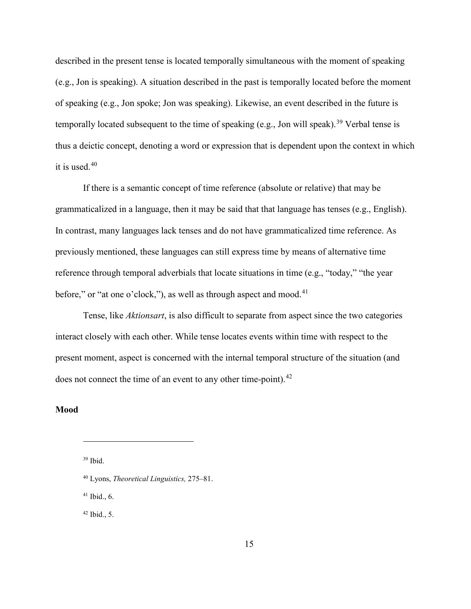described in the present tense is located temporally simultaneous with the moment of speaking (e.g., Jon is speaking). A situation described in the past is temporally located before the moment of speaking (e.g., Jon spoke; Jon was speaking). Likewise, an event described in the future is temporally located subsequent to the time of speaking (e.g., Jon will speak).<sup>[39](#page-21-1)</sup> Verbal tense is thus a deictic concept, denoting a word or expression that is dependent upon the context in which it is used.[40](#page-21-2)

If there is a semantic concept of time reference (absolute or relative) that may be grammaticalized in a language, then it may be said that that language has tenses (e.g., English). In contrast, many languages lack tenses and do not have grammaticalized time reference. As previously mentioned, these languages can still express time by means of alternative time reference through temporal adverbials that locate situations in time (e.g., "today," "the year before," or "at one o'clock,"), as well as through aspect and mood.<sup>[41](#page-21-3)</sup>

Tense, like *Aktionsart*, is also difficult to separate from aspect since the two categories interact closely with each other. While tense locates events within time with respect to the present moment, aspect is concerned with the internal temporal structure of the situation (and does not connect the time of an event to any other time-point).<sup>[42](#page-21-4)</sup>

## <span id="page-21-1"></span><span id="page-21-0"></span>**Mood**

 $\overline{a}$ 

<span id="page-21-3"></span> $41$  Ibid., 6.

<span id="page-21-4"></span> $42$  Ibid., 5.

<sup>39</sup> Ibid.

<span id="page-21-2"></span><sup>40</sup> Lyons, *Theoretical Linguistics,* 275–81.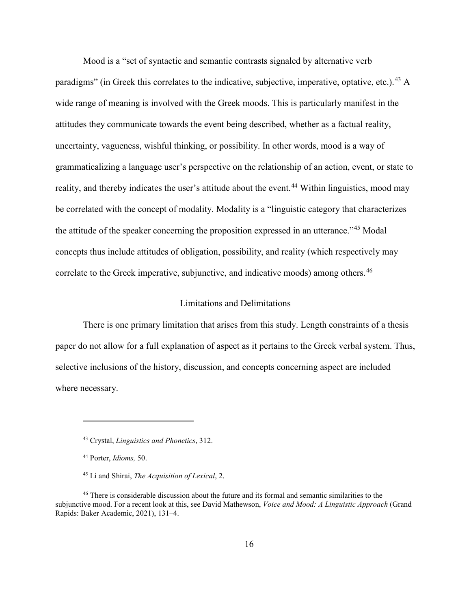Mood is a "set of syntactic and semantic contrasts signaled by alternative verb paradigms" (in Greek this correlates to the indicative, subjective, imperative, optative, etc.).<sup>[43](#page-22-1)</sup> A wide range of meaning is involved with the Greek moods. This is particularly manifest in the attitudes they communicate towards the event being described, whether as a factual reality, uncertainty, vagueness, wishful thinking, or possibility. In other words, mood is a way of grammaticalizing a language user's perspective on the relationship of an action, event, or state to reality, and thereby indicates the user's attitude about the event.<sup>[44](#page-22-2)</sup> Within linguistics, mood may be correlated with the concept of modality. Modality is a "linguistic category that characterizes the attitude of the speaker concerning the proposition expressed in an utterance."[45](#page-22-3) Modal concepts thus include attitudes of obligation, possibility, and reality (which respectively may correlate to the Greek imperative, subjunctive, and indicative moods) among others.<sup>[46](#page-22-4)</sup>

## Limitations and Delimitations

<span id="page-22-0"></span>There is one primary limitation that arises from this study. Length constraints of a thesis paper do not allow for a full explanation of aspect as it pertains to the Greek verbal system. Thus, selective inclusions of the history, discussion, and concepts concerning aspect are included where necessary.

<sup>43</sup> Crystal, *Linguistics and Phonetics*, 312.

<sup>44</sup> Porter, *Idioms,* 50.

<sup>45</sup> Li and Shirai, *The Acquisition of Lexical*, 2.

<span id="page-22-4"></span><span id="page-22-3"></span><span id="page-22-2"></span><span id="page-22-1"></span><sup>&</sup>lt;sup>46</sup> There is considerable discussion about the future and its formal and semantic similarities to the subjunctive mood. For a recent look at this, see David Mathewson, *Voice and Mood: A Linguistic Approach* (Grand Rapids: Baker Academic, 2021), 131–4.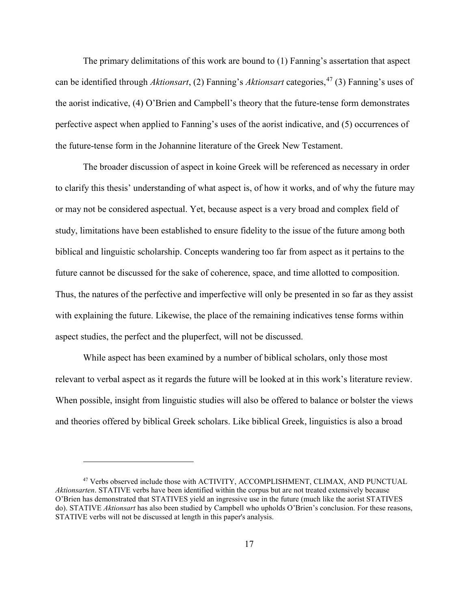The primary delimitations of this work are bound to (1) Fanning's assertation that aspect can be identified through *Aktionsart*, (2) Fanning's *Aktionsart* categories, [47](#page-23-0) (3) Fanning's uses of the aorist indicative, (4) O'Brien and Campbell's theory that the future-tense form demonstrates perfective aspect when applied to Fanning's uses of the aorist indicative, and (5) occurrences of the future-tense form in the Johannine literature of the Greek New Testament.

The broader discussion of aspect in koine Greek will be referenced as necessary in order to clarify this thesis' understanding of what aspect is, of how it works, and of why the future may or may not be considered aspectual. Yet, because aspect is a very broad and complex field of study, limitations have been established to ensure fidelity to the issue of the future among both biblical and linguistic scholarship. Concepts wandering too far from aspect as it pertains to the future cannot be discussed for the sake of coherence, space, and time allotted to composition. Thus, the natures of the perfective and imperfective will only be presented in so far as they assist with explaining the future. Likewise, the place of the remaining indicatives tense forms within aspect studies, the perfect and the pluperfect, will not be discussed.

While aspect has been examined by a number of biblical scholars, only those most relevant to verbal aspect as it regards the future will be looked at in this work's literature review. When possible, insight from linguistic studies will also be offered to balance or bolster the views and theories offered by biblical Greek scholars. Like biblical Greek, linguistics is also a broad

<span id="page-23-0"></span><sup>47</sup> Verbs observed include those with ACTIVITY, ACCOMPLISHMENT, CLIMAX, AND PUNCTUAL *Aktionsarten*. STATIVE verbs have been identified within the corpus but are not treated extensively because O'Brien has demonstrated that STATIVES yield an ingressive use in the future (much like the aorist STATIVES do). STATIVE *Aktionsart* has also been studied by Campbell who upholds O'Brien's conclusion. For these reasons, STATIVE verbs will not be discussed at length in this paper's analysis.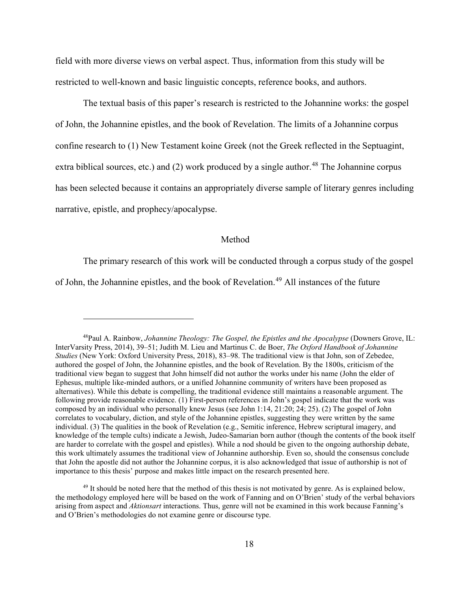field with more diverse views on verbal aspect. Thus, information from this study will be restricted to well-known and basic linguistic concepts, reference books, and authors.

The textual basis of this paper's research is restricted to the Johannine works: the gospel of John, the Johannine epistles, and the book of Revelation. The limits of a Johannine corpus confine research to (1) New Testament koine Greek (not the Greek reflected in the Septuagint, extra biblical sources, etc.) and (2) work produced by a single author.<sup>[48](#page-24-1)</sup> The Johannine corpus has been selected because it contains an appropriately diverse sample of literary genres including narrative, epistle, and prophecy/apocalypse.

## Method

<span id="page-24-0"></span>The primary research of this work will be conducted through a corpus study of the gospel of John, the Johannine epistles, and the book of Revelation.<sup>[49](#page-24-2)</sup> All instances of the future

<span id="page-24-1"></span><sup>48</sup>Paul A. Rainbow, *Johannine Theology: The Gospel, the Epistles and the Apocalypse* (Downers Grove, IL: InterVarsity Press, 2014), 39–51; Judith M. Lieu and Martinus C. de Boer, *The Oxford Handbook of Johannine Studies* (New York: Oxford University Press, 2018), 83–98. The traditional view is that John, son of Zebedee, authored the gospel of John, the Johannine epistles, and the book of Revelation. By the 1800s, criticism of the traditional view began to suggest that John himself did not author the works under his name (John the elder of Ephesus, multiple like-minded authors, or a unified Johannine community of writers have been proposed as alternatives). While this debate is compelling, the traditional evidence still maintains a reasonable argument. The following provide reasonable evidence. (1) First-person references in John's gospel indicate that the work was composed by an individual who personally knew Jesus (see John 1:14, 21:20; 24; 25). (2) The gospel of John correlates to vocabulary, diction, and style of the Johannine epistles, suggesting they were written by the same individual. (3) The qualities in the book of Revelation (e.g., Semitic inference, Hebrew scriptural imagery, and knowledge of the temple cults) indicate a Jewish, Judeo-Samarian born author (though the contents of the book itself are harder to correlate with the gospel and epistles). While a nod should be given to the ongoing authorship debate, this work ultimately assumes the traditional view of Johannine authorship. Even so, should the consensus conclude that John the apostle did not author the Johannine corpus, it is also acknowledged that issue of authorship is not of importance to this thesis' purpose and makes little impact on the research presented here.

<span id="page-24-2"></span><sup>&</sup>lt;sup>49</sup> It should be noted here that the method of this thesis is not motivated by genre. As is explained below, the methodology employed here will be based on the work of Fanning and on O'Brien' study of the verbal behaviors arising from aspect and *Aktionsart* interactions. Thus, genre will not be examined in this work because Fanning's and O'Brien's methodologies do not examine genre or discourse type.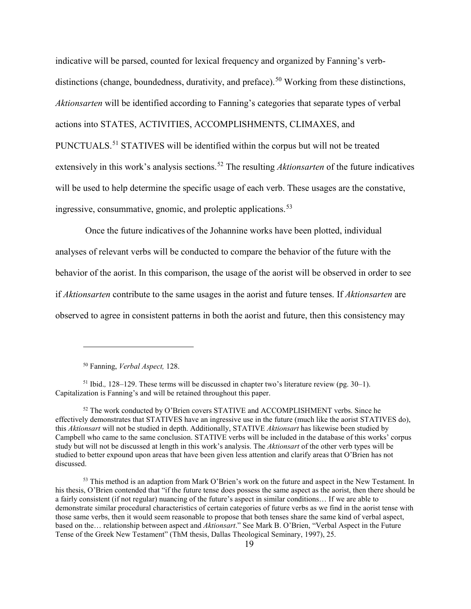indicative will be parsed, counted for lexical frequency and organized by Fanning's verb-distinctions (change, boundedness, durativity, and preface).<sup>[50](#page-25-0)</sup> Working from these distinctions, *Aktionsarten* will be identified according to Fanning's categories that separate types of verbal actions into STATES, ACTIVITIES, ACCOMPLISHMENTS, CLIMAXES, and PUNCTUALS.<sup>[51](#page-25-1)</sup> STATIVES will be identified within the corpus but will not be treated extensively in this work's analysis sections. [52](#page-25-2) The resulting *Aktionsarten* of the future indicatives will be used to help determine the specific usage of each verb. These usages are the constative, ingressive, consummative, gnomic, and proleptic applications. [53](#page-25-3)

Once the future indicatives of the Johannine works have been plotted, individual analyses of relevant verbs will be conducted to compare the behavior of the future with the behavior of the aorist. In this comparison, the usage of the aorist will be observed in order to see if *Aktionsarten* contribute to the same usages in the aorist and future tenses. If *Aktionsarten* are observed to agree in consistent patterns in both the aorist and future, then this consistency may

<sup>50</sup> Fanning, *Verbal Aspect,* 128.

<span id="page-25-1"></span><span id="page-25-0"></span><sup>51</sup> Ibid.*,* 128–129. These terms will be discussed in chapter two's literature review (pg. 30–1). Capitalization is Fanning's and will be retained throughout this paper.

<span id="page-25-2"></span><sup>52</sup> The work conducted by O'Brien covers STATIVE and ACCOMPLISHMENT verbs. Since he effectively demonstrates that STATIVES have an ingressive use in the future (much like the aorist STATIVES do), this *Aktionsart* will not be studied in depth. Additionally, STATIVE *Aktionsart* has likewise been studied by Campbell who came to the same conclusion. STATIVE verbs will be included in the database of this works' corpus study but will not be discussed at length in this work's analysis. The *Aktionsart* of the other verb types will be studied to better expound upon areas that have been given less attention and clarify areas that O'Brien has not discussed.

<span id="page-25-3"></span><sup>&</sup>lt;sup>53</sup> This method is an adaption from Mark O'Brien's work on the future and aspect in the New Testament. In his thesis, O'Brien contended that "if the future tense does possess the same aspect as the aorist, then there should be a fairly consistent (if not regular) nuancing of the future's aspect in similar conditions… If we are able to demonstrate similar procedural characteristics of certain categories of future verbs as we find in the aorist tense with those same verbs, then it would seem reasonable to propose that both tenses share the same kind of verbal aspect, based on the… relationship between aspect and *Aktionsart*." See Mark B. O'Brien, "Verbal Aspect in the Future Tense of the Greek New Testament" (ThM thesis, Dallas Theological Seminary, 1997), 25.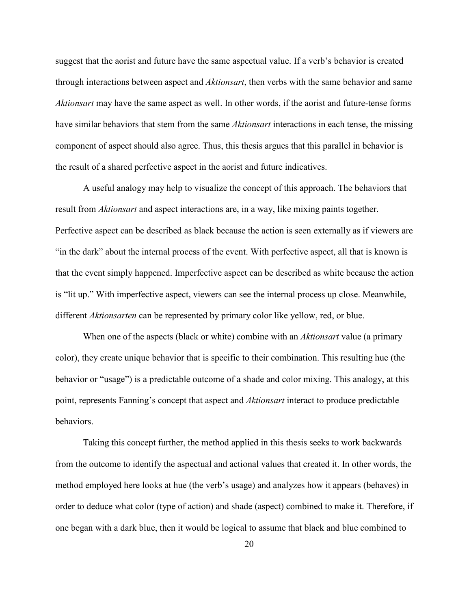suggest that the aorist and future have the same aspectual value. If a verb's behavior is created through interactions between aspect and *Aktionsart*, then verbs with the same behavior and same *Aktionsart* may have the same aspect as well. In other words, if the aorist and future-tense forms have similar behaviors that stem from the same *Aktionsart* interactions in each tense, the missing component of aspect should also agree. Thus, this thesis argues that this parallel in behavior is the result of a shared perfective aspect in the aorist and future indicatives.

A useful analogy may help to visualize the concept of this approach. The behaviors that result from *Aktionsart* and aspect interactions are, in a way, like mixing paints together. Perfective aspect can be described as black because the action is seen externally as if viewers are "in the dark" about the internal process of the event. With perfective aspect, all that is known is that the event simply happened. Imperfective aspect can be described as white because the action is "lit up." With imperfective aspect, viewers can see the internal process up close. Meanwhile, different *Aktionsarten* can be represented by primary color like yellow, red, or blue.

When one of the aspects (black or white) combine with an *Aktionsart* value (a primary color), they create unique behavior that is specific to their combination. This resulting hue (the behavior or "usage") is a predictable outcome of a shade and color mixing. This analogy, at this point, represents Fanning's concept that aspect and *Aktionsart* interact to produce predictable behaviors.

Taking this concept further, the method applied in this thesis seeks to work backwards from the outcome to identify the aspectual and actional values that created it. In other words, the method employed here looks at hue (the verb's usage) and analyzes how it appears (behaves) in order to deduce what color (type of action) and shade (aspect) combined to make it. Therefore, if one began with a dark blue, then it would be logical to assume that black and blue combined to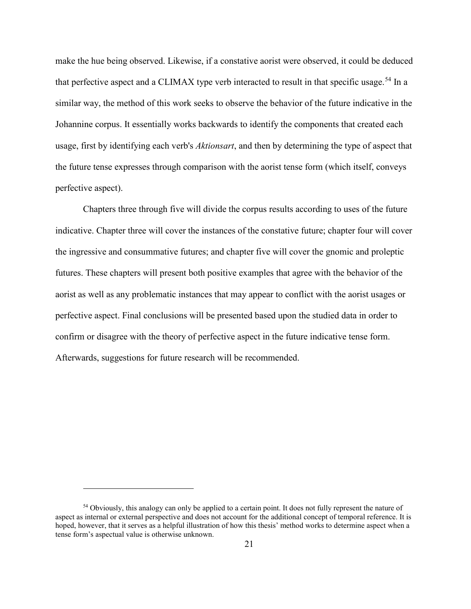make the hue being observed. Likewise, if a constative aorist were observed, it could be deduced that perfective aspect and a CLIMAX type verb interacted to result in that specific usage.<sup>[54](#page-27-0)</sup> In a similar way, the method of this work seeks to observe the behavior of the future indicative in the Johannine corpus. It essentially works backwards to identify the components that created each usage, first by identifying each verb's *Aktionsart*, and then by determining the type of aspect that the future tense expresses through comparison with the aorist tense form (which itself, conveys perfective aspect).

Chapters three through five will divide the corpus results according to uses of the future indicative. Chapter three will cover the instances of the constative future; chapter four will cover the ingressive and consummative futures; and chapter five will cover the gnomic and proleptic futures. These chapters will present both positive examples that agree with the behavior of the aorist as well as any problematic instances that may appear to conflict with the aorist usages or perfective aspect. Final conclusions will be presented based upon the studied data in order to confirm or disagree with the theory of perfective aspect in the future indicative tense form. Afterwards, suggestions for future research will be recommended.

<span id="page-27-0"></span><sup>&</sup>lt;sup>54</sup> Obviously, this analogy can only be applied to a certain point. It does not fully represent the nature of aspect as internal or external perspective and does not account for the additional concept of temporal reference. It is hoped, however, that it serves as a helpful illustration of how this thesis' method works to determine aspect when a tense form's aspectual value is otherwise unknown.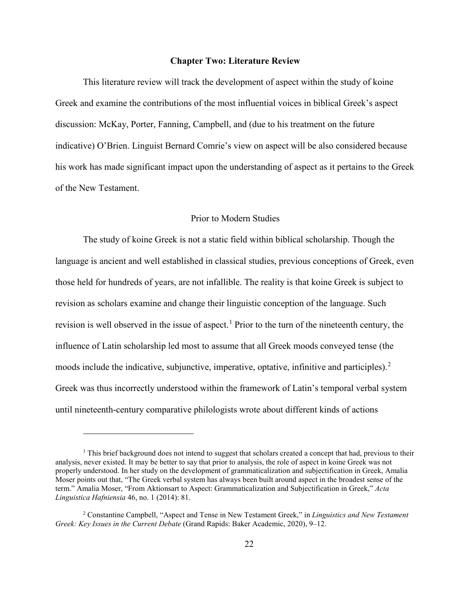## **Chapter Two: Literature Review**

<span id="page-28-0"></span>This literature review will track the development of aspect within the study of koine Greek and examine the contributions of the most influential voices in biblical Greek's aspect discussion: McKay, Porter, Fanning, Campbell, and (due to his treatment on the future indicative) O'Brien. Linguist Bernard Comrie's view on aspect will be also considered because his work has made significant impact upon the understanding of aspect as it pertains to the Greek of the New Testament.

## Prior to Modern Studies

<span id="page-28-1"></span>The study of koine Greek is not a static field within biblical scholarship. Though the language is ancient and well established in classical studies, previous conceptions of Greek, even those held for hundreds of years, are not infallible. The reality is that koine Greek is subject to revision as scholars examine and change their linguistic conception of the language. Such revision is well observed in the issue of aspect.<sup>[1](#page-28-2)</sup> Prior to the turn of the nineteenth century, the influence of Latin scholarship led most to assume that all Greek moods conveyed tense (the moods include the indicative, subjunctive, imperative, optative, infinitive and participles).<sup>[2](#page-28-3)</sup> Greek was thus incorrectly understood within the framework of Latin's temporal verbal system until nineteenth-century comparative philologists wrote about different kinds of actions

<span id="page-28-2"></span><sup>&</sup>lt;sup>1</sup> This brief background does not intend to suggest that scholars created a concept that had, previous to their analysis, never existed. It may be better to say that prior to analysis, the role of aspect in koine Greek was not properly understood. In her study on the development of grammaticalization and subjectification in Greek, Amalia Moser points out that, "The Greek verbal system has always been built around aspect in the broadest sense of the term." Amalia Moser, "From Aktionsart to Aspect: Grammaticalization and Subjectification in Greek," *Acta Linguistica Hafniensia* 46, no. 1 (2014): 81.

<span id="page-28-3"></span><sup>2</sup> Constantine Campbell, "Aspect and Tense in New Testament Greek," in *Linguistics and New Testament Greek: Key Issues in the Current Debate* (Grand Rapids: Baker Academic, 2020), 9–12.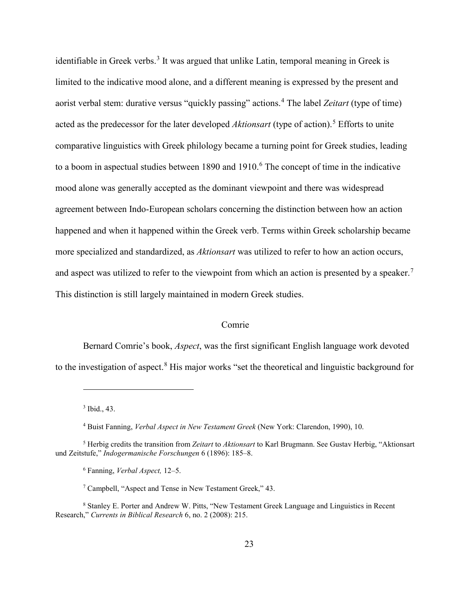identifiable in Greek verbs.<sup>[3](#page-29-1)</sup> It was argued that unlike Latin, temporal meaning in Greek is limited to the indicative mood alone, and a different meaning is expressed by the present and aorist verbal stem: durative versus "quickly passing" actions.[4](#page-29-2) The label *Zeitart* (type of time) acted as the predecessor for the later developed Aktionsart (type of action).<sup>[5](#page-29-3)</sup> Efforts to unite comparative linguistics with Greek philology became a turning point for Greek studies, leading to a boom in aspectual studies between 1890 and 1910.<sup>[6](#page-29-4)</sup> The concept of time in the indicative mood alone was generally accepted as the dominant viewpoint and there was widespread agreement between Indo-European scholars concerning the distinction between how an action happened and when it happened within the Greek verb. Terms within Greek scholarship became more specialized and standardized, as *Aktionsart* was utilized to refer to how an action occurs, and aspect was utilized to refer to the viewpoint from which an action is presented by a speaker.<sup>[7](#page-29-5)</sup> This distinction is still largely maintained in modern Greek studies.

### Comrie

<span id="page-29-0"></span>Bernard Comrie's book, *Aspect*, was the first significant English language work devoted to the investigation of aspect.<sup>[8](#page-29-6)</sup> His major works "set the theoretical and linguistic background for

<sup>3</sup> Ibid., 43.

<sup>4</sup> Buist Fanning, *Verbal Aspect in New Testament Greek* (New York: Clarendon, 1990), 10.

<span id="page-29-4"></span><span id="page-29-3"></span><span id="page-29-2"></span><span id="page-29-1"></span><sup>5</sup> Herbig credits the transition from *Zeitart* to *Aktionsart* to Karl Brugmann. See Gustav Herbig, "Aktionsart und Zeitstufe," *Indogermanische Forschungen* 6 (1896): 185–8.

<sup>6</sup> Fanning, *Verbal Aspect,* 12–5.

<sup>7</sup> Campbell, "Aspect and Tense in New Testament Greek," 43.

<span id="page-29-6"></span><span id="page-29-5"></span><sup>8</sup> Stanley E. Porter and Andrew W. Pitts, "New Testament Greek Language and Linguistics in Recent Research," *Currents in Biblical Research* 6, no. 2 (2008): 215.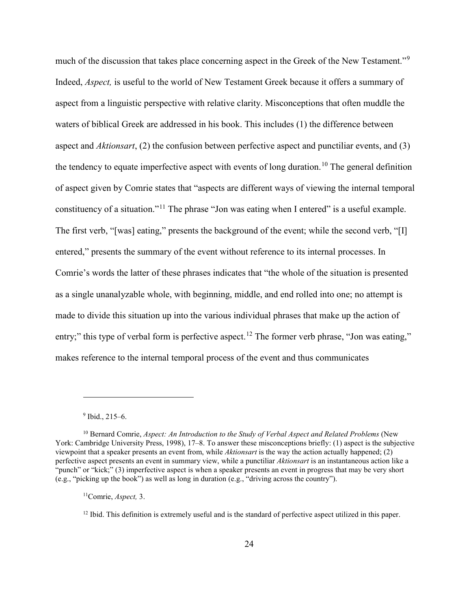much of the discussion that takes place concerning aspect in the Greek of the New Testament."[9](#page-30-0) Indeed, *Aspect,* is useful to the world of New Testament Greek because it offers a summary of aspect from a linguistic perspective with relative clarity. Misconceptions that often muddle the waters of biblical Greek are addressed in his book. This includes (1) the difference between aspect and *Aktionsart*, (2) the confusion between perfective aspect and punctiliar events, and (3) the tendency to equate imperfective aspect with events of long duration.<sup>[10](#page-30-1)</sup> The general definition of aspect given by Comrie states that "aspects are different ways of viewing the internal temporal constituency of a situation."[11](#page-30-2) The phrase "Jon was eating when I entered" is a useful example. The first verb, "[was] eating," presents the background of the event; while the second verb, "[I] entered," presents the summary of the event without reference to its internal processes. In Comrie's words the latter of these phrases indicates that "the whole of the situation is presented as a single unanalyzable whole, with beginning, middle, and end rolled into one; no attempt is made to divide this situation up into the various individual phrases that make up the action of entry;" this type of verbal form is perfective aspect.<sup>[12](#page-30-3)</sup> The former verb phrase, "Jon was eating," makes reference to the internal temporal process of the event and thus communicates

 $9$  Ibid., 215–6.

<span id="page-30-1"></span><span id="page-30-0"></span><sup>10</sup> Bernard Comrie, *Aspect: An Introduction to the Study of Verbal Aspect and Related Problems* (New York: Cambridge University Press, 1998), 17–8. To answer these misconceptions briefly: (1) aspect is the subjective viewpoint that a speaker presents an event from, while *Aktionsart* is the way the action actually happened; (2) perfective aspect presents an event in summary view, while a punctiliar *Aktionsart* is an instantaneous action like a "punch" or "kick;" (3) imperfective aspect is when a speaker presents an event in progress that may be very short (e.g., "picking up the book") as well as long in duration (e.g., "driving across the country").

<span id="page-30-2"></span><sup>11</sup>Comrie, *Aspect,* 3.

<span id="page-30-3"></span> $12$  Ibid. This definition is extremely useful and is the standard of perfective aspect utilized in this paper.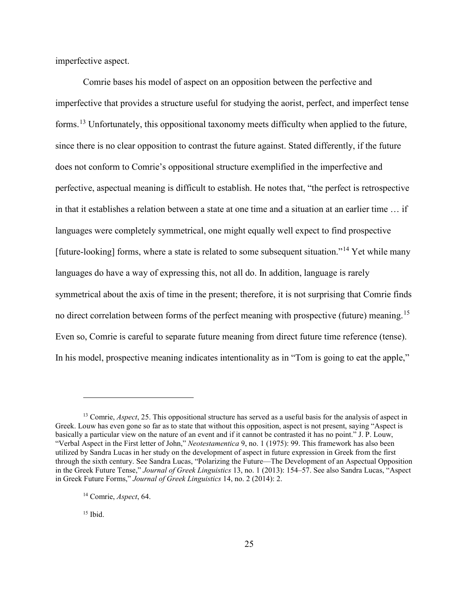imperfective aspect.

Comrie bases his model of aspect on an opposition between the perfective and imperfective that provides a structure useful for studying the aorist, perfect, and imperfect tense forms.[13](#page-31-0) Unfortunately, this oppositional taxonomy meets difficulty when applied to the future, since there is no clear opposition to contrast the future against. Stated differently, if the future does not conform to Comrie's oppositional structure exemplified in the imperfective and perfective, aspectual meaning is difficult to establish. He notes that, "the perfect is retrospective in that it establishes a relation between a state at one time and a situation at an earlier time … if languages were completely symmetrical, one might equally well expect to find prospective [future-looking] forms, where a state is related to some subsequent situation."<sup>[14](#page-31-1)</sup> Yet while many languages do have a way of expressing this, not all do. In addition, language is rarely symmetrical about the axis of time in the present; therefore, it is not surprising that Comrie finds no direct correlation between forms of the perfect meaning with prospective (future) meaning.<sup>[15](#page-31-2)</sup> Even so, Comrie is careful to separate future meaning from direct future time reference (tense). In his model, prospective meaning indicates intentionality as in "Tom is going to eat the apple,"

<span id="page-31-2"></span> $15$  Ibid.

<span id="page-31-0"></span><sup>&</sup>lt;sup>13</sup> Comrie, *Aspect*, 25. This oppositional structure has served as a useful basis for the analysis of aspect in Greek. Louw has even gone so far as to state that without this opposition, aspect is not present, saying "Aspect is basically a particular view on the nature of an event and if it cannot be contrasted it has no point." J. P. Louw, "Verbal Aspect in the First letter of John," *Neotestamentica* 9, no. 1 (1975): 99. This framework has also been utilized by Sandra Lucas in her study on the development of aspect in future expression in Greek from the first through the sixth century. See Sandra Lucas, "Polarizing the Future—The Development of an Aspectual Opposition in the Greek Future Tense," *Journal of Greek Linguistics* 13, no. 1 (2013): 154–57. See also Sandra Lucas, "Aspect in Greek Future Forms," *Journal of Greek Linguistics* 14, no. 2 (2014): 2.

<span id="page-31-1"></span><sup>14</sup> Comrie, *Aspect*, 64.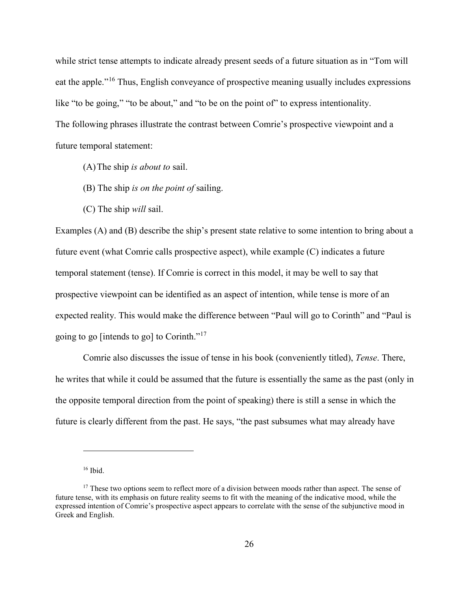while strict tense attempts to indicate already present seeds of a future situation as in "Tom will eat the apple."[16](#page-32-0) Thus, English conveyance of prospective meaning usually includes expressions like "to be going," "to be about," and "to be on the point of" to express intentionality. The following phrases illustrate the contrast between Comrie's prospective viewpoint and a future temporal statement:

- (A)The ship *is about to* sail.
- (B) The ship *is on the point of* sailing.
- (C) The ship *will* sail.

Examples (A) and (B) describe the ship's present state relative to some intention to bring about a future event (what Comrie calls prospective aspect), while example (C) indicates a future temporal statement (tense). If Comrie is correct in this model, it may be well to say that prospective viewpoint can be identified as an aspect of intention, while tense is more of an expected reality. This would make the difference between "Paul will go to Corinth" and "Paul is going to go [intends to go] to Corinth."<sup>[17](#page-32-1)</sup>

Comrie also discusses the issue of tense in his book (conveniently titled), *Tense*. There, he writes that while it could be assumed that the future is essentially the same as the past (only in the opposite temporal direction from the point of speaking) there is still a sense in which the future is clearly different from the past. He says, "the past subsumes what may already have

<sup>16</sup> Ibid.

<span id="page-32-1"></span><span id="page-32-0"></span><sup>&</sup>lt;sup>17</sup> These two options seem to reflect more of a division between moods rather than aspect. The sense of future tense, with its emphasis on future reality seems to fit with the meaning of the indicative mood, while the expressed intention of Comrie's prospective aspect appears to correlate with the sense of the subjunctive mood in Greek and English.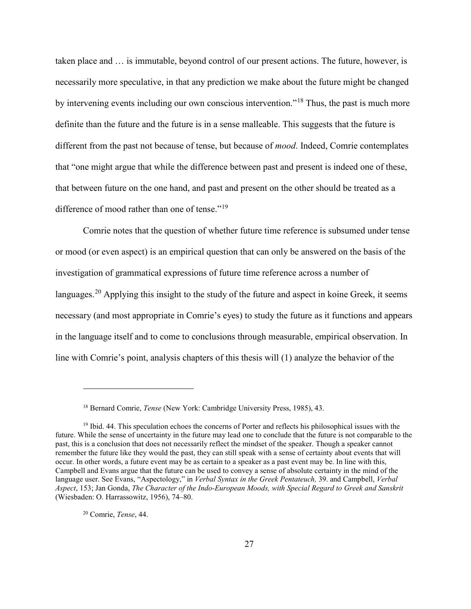taken place and … is immutable, beyond control of our present actions. The future, however, is necessarily more speculative, in that any prediction we make about the future might be changed by intervening events including our own conscious intervention."[18](#page-33-0) Thus, the past is much more definite than the future and the future is in a sense malleable. This suggests that the future is different from the past not because of tense, but because of *mood*. Indeed, Comrie contemplates that "one might argue that while the difference between past and present is indeed one of these, that between future on the one hand, and past and present on the other should be treated as a difference of mood rather than one of tense."<sup>[19](#page-33-1)</sup>

Comrie notes that the question of whether future time reference is subsumed under tense or mood (or even aspect) is an empirical question that can only be answered on the basis of the investigation of grammatical expressions of future time reference across a number of languages.<sup>[20](#page-33-2)</sup> Applying this insight to the study of the future and aspect in koine Greek, it seems necessary (and most appropriate in Comrie's eyes) to study the future as it functions and appears in the language itself and to come to conclusions through measurable, empirical observation. In line with Comrie's point, analysis chapters of this thesis will (1) analyze the behavior of the

<span id="page-33-2"></span><sup>20</sup> Comrie, *Tense*, 44.

<sup>18</sup> Bernard Comrie, *Tense* (New York: Cambridge University Press, 1985), 43.

<span id="page-33-1"></span><span id="page-33-0"></span><sup>&</sup>lt;sup>19</sup> Ibid. 44. This speculation echoes the concerns of Porter and reflects his philosophical issues with the future. While the sense of uncertainty in the future may lead one to conclude that the future is not comparable to the past, this is a conclusion that does not necessarily reflect the mindset of the speaker. Though a speaker cannot remember the future like they would the past, they can still speak with a sense of certainty about events that will occur. In other words, a future event may be as certain to a speaker as a past event may be. In line with this, Campbell and Evans argue that the future can be used to convey a sense of absolute certainty in the mind of the language user. See Evans, "Aspectology," in *Verbal Syntax in the Greek Pentateuch,* 39. and Campbell, *Verbal Aspect*, 153; Jan Gonda, *The Character of the Indo-European Moods, with Special Regard to Greek and Sanskrit*  (Wiesbaden: O. Harrassowitz, 1956), 74–80.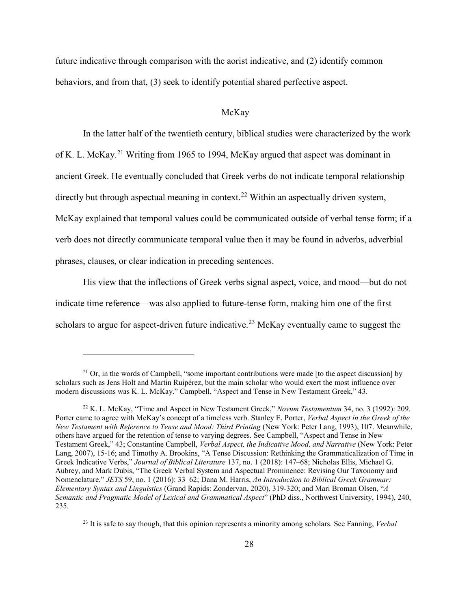future indicative through comparison with the aorist indicative, and (2) identify common behaviors, and from that, (3) seek to identify potential shared perfective aspect.

### McKay

<span id="page-34-0"></span>In the latter half of the twentieth century, biblical studies were characterized by the work of K. L. McKay.[21](#page-34-1) Writing from 1965 to 1994, McKay argued that aspect was dominant in ancient Greek. He eventually concluded that Greek verbs do not indicate temporal relationship directly but through aspectual meaning in context.<sup>22</sup> Within an aspectually driven system, McKay explained that temporal values could be communicated outside of verbal tense form; if a verb does not directly communicate temporal value then it may be found in adverbs, adverbial phrases, clauses, or clear indication in preceding sentences.

His view that the inflections of Greek verbs signal aspect, voice, and mood—but do not indicate time reference—was also applied to future-tense form, making him one of the first scholars to argue for aspect-driven future indicative.<sup>[23](#page-34-3)</sup> McKay eventually came to suggest the

 $\overline{a}$ 

<span id="page-34-3"></span><sup>23</sup> It is safe to say though, that this opinion represents a minority among scholars. See Fanning, *Verbal* 

<span id="page-34-1"></span> $^{21}$  Or, in the words of Campbell, "some important contributions were made [to the aspect discussion] by scholars such as Jens Holt and Martin Ruipérez, but the main scholar who would exert the most influence over modern discussions was K. L. McKay." Campbell, "Aspect and Tense in New Testament Greek," 43.

<span id="page-34-2"></span><sup>22</sup> K. L. McKay, "Time and Aspect in New Testament Greek," *Novum Testamentum* 34, no. 3 (1992): 209. Porter came to agree with McKay's concept of a timeless verb. Stanley E. Porter, *Verbal Aspect in the Greek of the New Testament with Reference to Tense and Mood: Third Printing* (New York: Peter Lang, 1993), 107. Meanwhile, others have argued for the retention of tense to varying degrees. See Campbell, "Aspect and Tense in New Testament Greek," 43; Constantine Campbell, *Verbal Aspect, the Indicative Mood, and Narrative* (New York: Peter Lang, 2007), 15-16; and Timothy A. Brookins, "A Tense Discussion: Rethinking the Grammaticalization of Time in Greek Indicative Verbs," *Journal of Biblical Literature* 137, no. 1 (2018): 147–68; Nicholas Ellis, Michael G. Aubrey, and Mark Dubis, "The Greek Verbal System and Aspectual Prominence: Revising Our Taxonomy and Nomenclature," *JETS* 59, no. 1 (2016): 33–62; Dana M. Harris, *An Introduction to Biblical Greek Grammar: Elementary Syntax and Linguistics* (Grand Rapids: Zondervan, 2020), 319-320; and Mari Broman Olsen, "*A Semantic and Pragmatic Model of Lexical and Grammatical Aspect*" (PhD diss., Northwest University, 1994), 240, 235.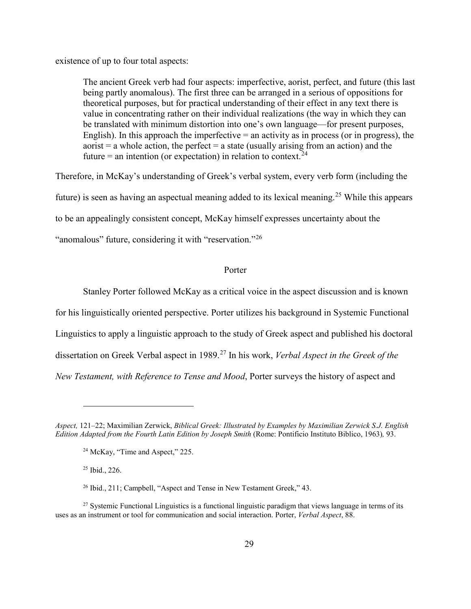existence of up to four total aspects:

The ancient Greek verb had four aspects: imperfective, aorist, perfect, and future (this last being partly anomalous). The first three can be arranged in a serious of oppositions for theoretical purposes, but for practical understanding of their effect in any text there is value in concentrating rather on their individual realizations (the way in which they can be translated with minimum distortion into one's own language—for present purposes, English). In this approach the imperfective  $=$  an activity as in process (or in progress), the aorist  $=$  a whole action, the perfect  $=$  a state (usually arising from an action) and the future = an intention (or expectation) in relation to context.<sup>[24](#page-35-1)</sup>

Therefore, in McKay's understanding of Greek's verbal system, every verb form (including the future) is seen as having an aspectual meaning added to its lexical meaning.[25](#page-35-2) While this appears to be an appealingly consistent concept, McKay himself expresses uncertainty about the "anomalous" future, considering it with "reservation."<sup>[26](#page-35-3)</sup>

#### Porter

<span id="page-35-0"></span>Stanley Porter followed McKay as a critical voice in the aspect discussion and is known for his linguistically oriented perspective. Porter utilizes his background in Systemic Functional Linguistics to apply a linguistic approach to the study of Greek aspect and published his doctoral dissertation on Greek Verbal aspect in 1989.[27](#page-35-4) In his work, *Verbal Aspect in the Greek of the New Testament, with Reference to Tense and Mood*, Porter surveys the history of aspect and

<sup>25</sup> Ibid., 226.

<span id="page-35-1"></span>*Aspect,* 121–22; Maximilian Zerwick, *Biblical Greek: Illustrated by Examples by Maximilian Zerwick S.J. English Edition Adapted from the Fourth Latin Edition by Joseph Smith* (Rome: Pontificio Instituto Biblico, 1963)*,* 93.

<sup>&</sup>lt;sup>24</sup> McKay, "Time and Aspect," 225.

<sup>&</sup>lt;sup>26</sup> Ibid., 211; Campbell, "Aspect and Tense in New Testament Greek," 43.

<span id="page-35-4"></span><span id="page-35-3"></span><span id="page-35-2"></span><sup>&</sup>lt;sup>27</sup> Systemic Functional Linguistics is a functional linguistic paradigm that views language in terms of its uses as an instrument or tool for communication and social interaction. Porter, *Verbal Aspect*, 88.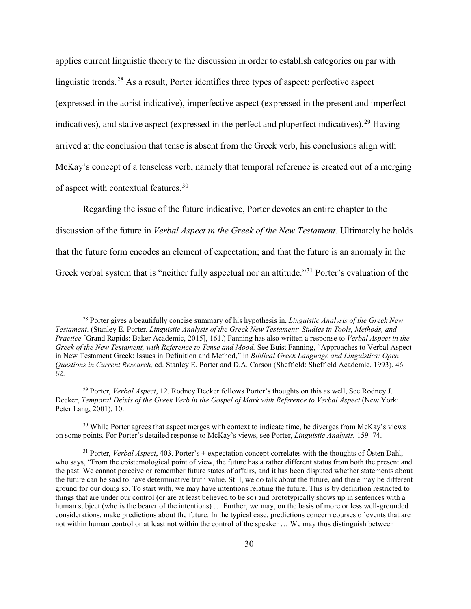applies current linguistic theory to the discussion in order to establish categories on par with linguistic trends.<sup>[28](#page-36-0)</sup> As a result, Porter identifies three types of aspect: perfective aspect (expressed in the aorist indicative), imperfective aspect (expressed in the present and imperfect indicatives), and stative aspect (expressed in the perfect and pluperfect indicatives).<sup>[29](#page-36-1)</sup> Having arrived at the conclusion that tense is absent from the Greek verb, his conclusions align with McKay's concept of a tenseless verb, namely that temporal reference is created out of a merging of aspect with contextual features.<sup>[30](#page-36-2)</sup>

Regarding the issue of the future indicative, Porter devotes an entire chapter to the discussion of the future in *Verbal Aspect in the Greek of the New Testament*. Ultimately he holds that the future form encodes an element of expectation; and that the future is an anomaly in the Greek verbal system that is "neither fully aspectual nor an attitude."[31](#page-36-3) Porter's evaluation of the

<span id="page-36-0"></span><sup>28</sup> Porter gives a beautifully concise summary of his hypothesis in, *Linguistic Analysis of the Greek New Testament*. (Stanley E. Porter, *Linguistic Analysis of the Greek New Testament: Studies in Tools, Methods, and Practice* [Grand Rapids: Baker Academic, 2015], 161.) Fanning has also written a response to *Verbal Aspect in the Greek of the New Testament, with Reference to Tense and Mood.* See Buist Fanning, "Approaches to Verbal Aspect in New Testament Greek: Issues in Definition and Method," in *Biblical Greek Language and Linguistics: Open Questions in Current Research,* ed. Stanley E. Porter and D.A. Carson (Sheffield: Sheffield Academic, 1993), 46– 62.

<span id="page-36-1"></span><sup>29</sup> Porter, *Verbal Aspect*, 12. Rodney Decker follows Porter's thoughts on this as well, See Rodney J. Decker, *Temporal Deixis of the Greek Verb in the Gospel of Mark with Reference to Verbal Aspect* (New York: Peter Lang, 2001), 10.

<span id="page-36-2"></span><sup>&</sup>lt;sup>30</sup> While Porter agrees that aspect merges with context to indicate time, he diverges from McKay's views on some points. For Porter's detailed response to McKay's views, see Porter, *Linguistic Analysis,* 159–74.

<span id="page-36-3"></span><sup>31</sup> Porter, *Verbal Aspect*, 403. Porter's + expectation concept correlates with the thoughts of Östen Dahl, who says, "From the epistemological point of view, the future has a rather different status from both the present and the past. We cannot perceive or remember future states of affairs, and it has been disputed whether statements about the future can be said to have determinative truth value. Still, we do talk about the future, and there may be different ground for our doing so. To start with, we may have intentions relating the future. This is by definition restricted to things that are under our control (or are at least believed to be so) and prototypically shows up in sentences with a human subject (who is the bearer of the intentions) ... Further, we may, on the basis of more or less well-grounded considerations, make predictions about the future. In the typical case, predictions concern courses of events that are not within human control or at least not within the control of the speaker … We may thus distinguish between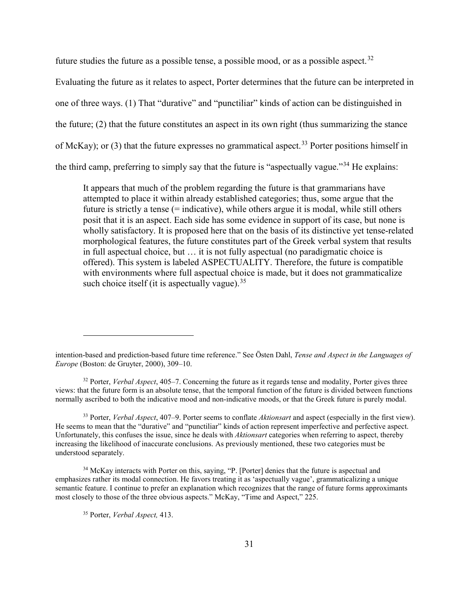future studies the future as a possible tense, a possible mood, or as a possible aspect.<sup>[32](#page-37-0)</sup>

Evaluating the future as it relates to aspect, Porter determines that the future can be interpreted in one of three ways. (1) That "durative" and "punctiliar" kinds of action can be distinguished in the future; (2) that the future constitutes an aspect in its own right (thus summarizing the stance of McKay); or (3) that the future expresses no grammatical aspect.<sup>[33](#page-37-1)</sup> Porter positions himself in the third camp, preferring to simply say that the future is "aspectually vague."[34](#page-37-2) He explains:

It appears that much of the problem regarding the future is that grammarians have attempted to place it within already established categories; thus, some argue that the future is strictly a tense (= indicative), while others argue it is modal, while still others posit that it is an aspect. Each side has some evidence in support of its case, but none is wholly satisfactory. It is proposed here that on the basis of its distinctive yet tense-related morphological features, the future constitutes part of the Greek verbal system that results in full aspectual choice, but … it is not fully aspectual (no paradigmatic choice is offered). This system is labeled ASPECTUALITY. Therefore, the future is compatible with environments where full aspectual choice is made, but it does not grammaticalize such choice itself (it is aspectually vague).  $35$ 

<span id="page-37-0"></span><sup>32</sup> Porter, *Verbal Aspect*, 405–7. Concerning the future as it regards tense and modality, Porter gives three views: that the future form is an absolute tense, that the temporal function of the future is divided between functions normally ascribed to both the indicative mood and non-indicative moods, or that the Greek future is purely modal.

<span id="page-37-1"></span><sup>33</sup> Porter, *Verbal Aspect*, 407–9. Porter seems to conflate *Aktionsart* and aspect (especially in the first view). He seems to mean that the "durative" and "punctiliar" kinds of action represent imperfective and perfective aspect. Unfortunately, this confuses the issue, since he deals with *Aktionsart* categories when referring to aspect, thereby increasing the likelihood of inaccurate conclusions. As previously mentioned, these two categories must be understood separately.

<span id="page-37-3"></span><span id="page-37-2"></span><sup>34</sup> McKay interacts with Porter on this, saying, "P. [Porter] denies that the future is aspectual and emphasizes rather its modal connection. He favors treating it as 'aspectually vague', grammaticalizing a unique semantic feature. I continue to prefer an explanation which recognizes that the range of future forms approximants most closely to those of the three obvious aspects." McKay, "Time and Aspect," 225.

<sup>35</sup> Porter, *Verbal Aspect,* 413.

intention-based and prediction-based future time reference." See Östen Dahl, *Tense and Aspect in the Languages of Europe* (Boston: de Gruyter, 2000), 309–10.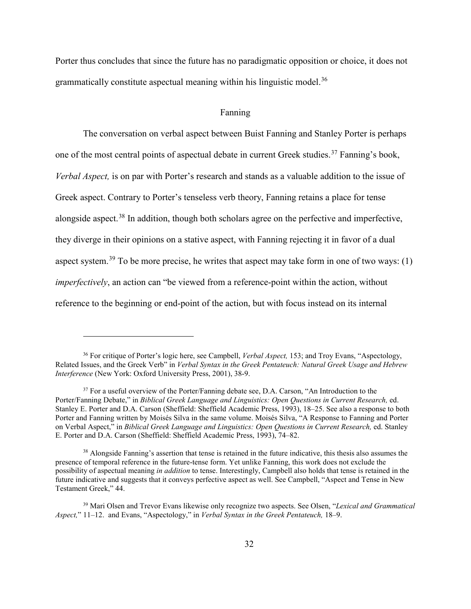Porter thus concludes that since the future has no paradigmatic opposition or choice, it does not grammatically constitute aspectual meaning within his linguistic model.<sup>[36](#page-38-0)</sup>

### Fanning

The conversation on verbal aspect between Buist Fanning and Stanley Porter is perhaps one of the most central points of aspectual debate in current Greek studies.<sup>[37](#page-38-1)</sup> Fanning's book, *Verbal Aspect,* is on par with Porter's research and stands as a valuable addition to the issue of Greek aspect. Contrary to Porter's tenseless verb theory, Fanning retains a place for tense alongside aspect.<sup>[38](#page-38-2)</sup> In addition, though both scholars agree on the perfective and imperfective, they diverge in their opinions on a stative aspect, with Fanning rejecting it in favor of a dual aspect system.<sup>[39](#page-38-3)</sup> To be more precise, he writes that aspect may take form in one of two ways: (1) *imperfectively*, an action can "be viewed from a reference-point within the action, without reference to the beginning or end-point of the action, but with focus instead on its internal

<span id="page-38-0"></span><sup>36</sup> For critique of Porter's logic here, see Campbell, *Verbal Aspect,* 153; and Troy Evans, "Aspectology, Related Issues, and the Greek Verb" in *Verbal Syntax in the Greek Pentateuch: Natural Greek Usage and Hebrew Interference* (New York: Oxford University Press, 2001), 38-9.

<span id="page-38-1"></span><sup>&</sup>lt;sup>37</sup> For a useful overview of the Porter/Fanning debate see, D.A. Carson, "An Introduction to the Porter/Fanning Debate," in *Biblical Greek Language and Linguistics: Open Questions in Current Research,* ed. Stanley E. Porter and D.A. Carson (Sheffield: Sheffield Academic Press, 1993), 18–25. See also a response to both Porter and Fanning written by Moisés Silva in the same volume. Moisés Silva, "A Response to Fanning and Porter on Verbal Aspect," in *Biblical Greek Language and Linguistics: Open Questions in Current Research,* ed. Stanley E. Porter and D.A. Carson (Sheffield: Sheffield Academic Press, 1993), 74–82.

<span id="page-38-2"></span><sup>&</sup>lt;sup>38</sup> Alongside Fanning's assertion that tense is retained in the future indicative, this thesis also assumes the presence of temporal reference in the future-tense form. Yet unlike Fanning, this work does not exclude the possibility of aspectual meaning *in addition* to tense. Interestingly, Campbell also holds that tense is retained in the future indicative and suggests that it conveys perfective aspect as well. See Campbell, "Aspect and Tense in New Testament Greek," 44.

<span id="page-38-3"></span><sup>39</sup> Mari Olsen and Trevor Evans likewise only recognize two aspects. See Olsen, "*Lexical and Grammatical Aspect,*" 11–12. and Evans, "Aspectology," in *Verbal Syntax in the Greek Pentateuch,* 18–9.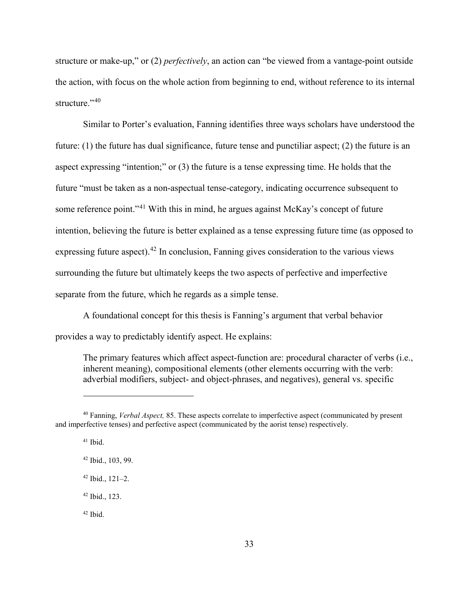structure or make-up," or (2) *perfectively*, an action can "be viewed from a vantage-point outside the action, with focus on the whole action from beginning to end, without reference to its internal structure."<sup>[40](#page-39-0)</sup>

Similar to Porter's evaluation, Fanning identifies three ways scholars have understood the future: (1) the future has dual significance, future tense and punctiliar aspect; (2) the future is an aspect expressing "intention;" or (3) the future is a tense expressing time. He holds that the future "must be taken as a non-aspectual tense-category, indicating occurrence subsequent to some reference point."<sup>[41](#page-39-1)</sup> With this in mind, he argues against McKay's concept of future intention, believing the future is better explained as a tense expressing future time (as opposed to expressing future aspect).<sup>[42](#page-39-2)</sup> In conclusion, Fanning gives consideration to the various views surrounding the future but ultimately keeps the two aspects of perfective and imperfective separate from the future, which he regards as a simple tense.

A foundational concept for this thesis is Fanning's argument that verbal behavior provides a way to predictably identify aspect. He explains:

The primary features which affect aspect-function are: procedural character of verbs (i.e., inherent meaning), compositional elements (other elements occurring with the verb: adverbial modifiers, subject- and object-phrases, and negatives), general vs. specific

 $\overline{a}$ 

<sup>42</sup> Ibid., 123.

 $42$  Ihid.

<span id="page-39-2"></span><span id="page-39-1"></span><span id="page-39-0"></span><sup>40</sup> Fanning, *Verbal Aspect,* 85. These aspects correlate to imperfective aspect (communicated by present and imperfective tenses) and perfective aspect (communicated by the aorist tense) respectively.

 $41$  Ibid.

<sup>42</sup> Ibid., 103, 99.

 $42$  Ibid.,  $121-2$ .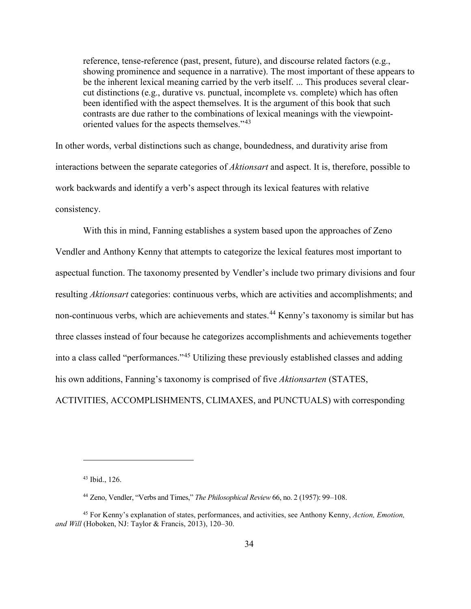reference, tense-reference (past, present, future), and discourse related factors (e.g., showing prominence and sequence in a narrative). The most important of these appears to be the inherent lexical meaning carried by the verb itself. ... This produces several clearcut distinctions (e.g., durative vs. punctual, incomplete vs. complete) which has often been identified with the aspect themselves. It is the argument of this book that such contrasts are due rather to the combinations of lexical meanings with the viewpointoriented values for the aspects themselves."<sup>43</sup>

In other words, verbal distinctions such as change, boundedness, and durativity arise from interactions between the separate categories of *Aktionsart* and aspect. It is, therefore, possible to work backwards and identify a verb's aspect through its lexical features with relative consistency.

With this in mind, Fanning establishes a system based upon the approaches of Zeno Vendler and Anthony Kenny that attempts to categorize the lexical features most important to aspectual function. The taxonomy presented by Vendler's include two primary divisions and four resulting *Aktionsart* categories: continuous verbs, which are activities and accomplishments; and non-continuous verbs, which are achievements and states. [44](#page-40-1) Kenny's taxonomy is similar but has three classes instead of four because he categorizes accomplishments and achievements together into a class called "performances."<sup>[45](#page-40-2)</sup> Utilizing these previously established classes and adding his own additions, Fanning's taxonomy is comprised of five *Aktionsarten* (STATES, ACTIVITIES, ACCOMPLISHMENTS, CLIMAXES, and PUNCTUALS) with corresponding

<sup>43</sup> Ibid., 126.

<sup>44</sup> Zeno, Vendler, "Verbs and Times," *The Philosophical Review* 66, no. 2 (1957): 99–108.

<span id="page-40-2"></span><span id="page-40-1"></span><span id="page-40-0"></span><sup>45</sup> For Kenny's explanation of states, performances, and activities, see Anthony Kenny, *Action, Emotion, and Will* (Hoboken, NJ: Taylor & Francis, 2013), 120–30.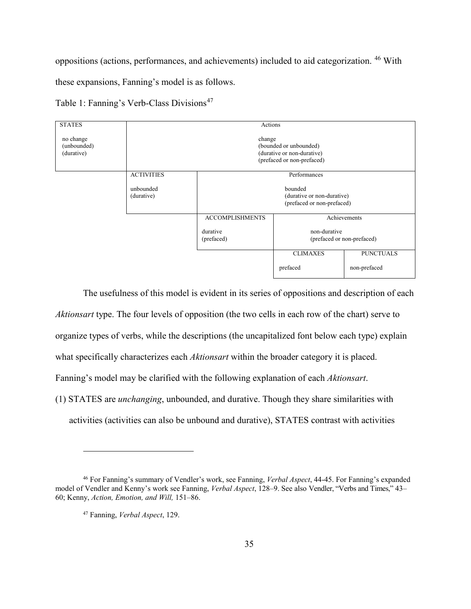oppositions (actions, performances, and achievements) included to aid categorization. [46](#page-41-0) With

these expansions, Fanning's model is as follows.



The usefulness of this model is evident in its series of oppositions and description of each *Aktionsart* type. The four levels of opposition (the two cells in each row of the chart) serve to organize types of verbs, while the descriptions (the uncapitalized font below each type) explain what specifically characterizes each *Aktionsart* within the broader category it is placed. Fanning's model may be clarified with the following explanation of each *Aktionsart*. (1) STATES are *unchanging*, unbounded, and durative. Though they share similarities with activities (activities can also be unbound and durative), STATES contrast with activities

<span id="page-41-1"></span><span id="page-41-0"></span><sup>46</sup> For Fanning's summary of Vendler's work, see Fanning, *Verbal Aspect*, 44-45. For Fanning's expanded model of Vendler and Kenny's work see Fanning, *Verbal Aspect*, 128–9. See also Vendler, "Verbs and Times," 43– 60; Kenny, *Action, Emotion, and Will,* 151–86.

<sup>47</sup> Fanning, *Verbal Aspect*, 129.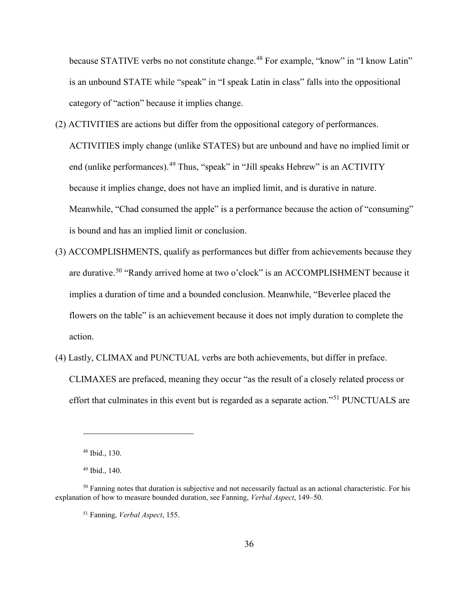because STATIVE verbs no not constitute change.<sup>[48](#page-42-0)</sup> For example, "know" in "I know Latin" is an unbound STATE while "speak" in "I speak Latin in class" falls into the oppositional category of "action" because it implies change.

- (2) ACTIVITIES are actions but differ from the oppositional category of performances. ACTIVITIES imply change (unlike STATES) but are unbound and have no implied limit or end (unlike performances).<sup>[49](#page-42-1)</sup> Thus, "speak" in "Jill speaks Hebrew" is an ACTIVITY because it implies change, does not have an implied limit, and is durative in nature. Meanwhile, "Chad consumed the apple" is a performance because the action of "consuming" is bound and has an implied limit or conclusion.
- (3) ACCOMPLISHMENTS, qualify as performances but differ from achievements because they are durative.<sup>[50](#page-42-2)</sup> "Randy arrived home at two o'clock" is an ACCOMPLISHMENT because it implies a duration of time and a bounded conclusion. Meanwhile, "Beverlee placed the flowers on the table" is an achievement because it does not imply duration to complete the action.
- (4) Lastly, CLIMAX and PUNCTUAL verbs are both achievements, but differ in preface. CLIMAXES are prefaced, meaning they occur "as the result of a closely related process or effort that culminates in this event but is regarded as a separate action."<sup>[51](#page-42-3)</sup> PUNCTUALS are

<sup>48</sup> Ibid., 130.

<sup>49</sup> Ibid., 140.

<span id="page-42-3"></span><span id="page-42-2"></span><span id="page-42-1"></span><span id="page-42-0"></span><sup>&</sup>lt;sup>50</sup> Fanning notes that duration is subjective and not necessarily factual as an actional characteristic. For his explanation of how to measure bounded duration, see Fanning, *Verbal Aspect*, 149–50.

<sup>51</sup> Fanning, *Verbal Aspect*, 155.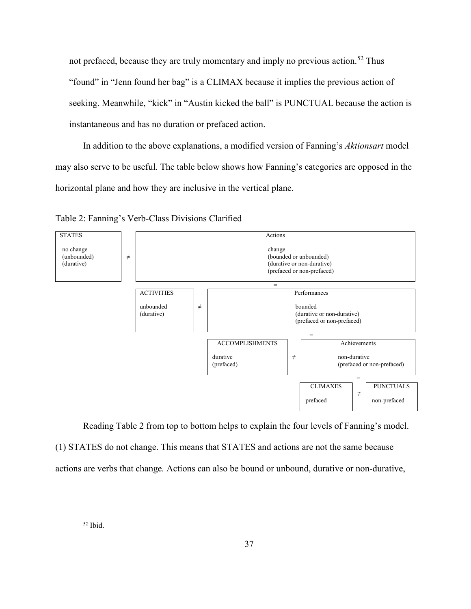not prefaced, because they are truly momentary and imply no previous action.<sup>[52](#page-43-0)</sup> Thus "found" in "Jenn found her bag" is a CLIMAX because it implies the previous action of seeking. Meanwhile, "kick" in "Austin kicked the ball" is PUNCTUAL because the action is instantaneous and has no duration or prefaced action.

In addition to the above explanations, a modified version of Fanning's *Aktionsart* model may also serve to be useful. The table below shows how Fanning's categories are opposed in the horizontal plane and how they are inclusive in the vertical plane.





Reading Table 2 from top to bottom helps to explain the four levels of Fanning's model.

(1) STATES do not change. This means that STATES and actions are not the same because actions are verbs that change*.* Actions can also be bound or unbound, durative or non-durative,

<span id="page-43-0"></span><sup>52</sup> Ibid.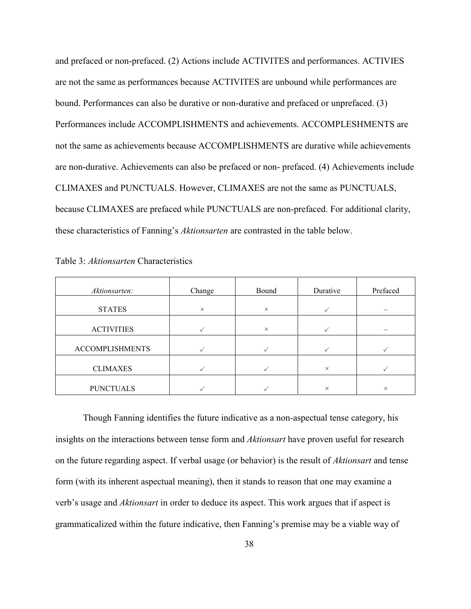and prefaced or non-prefaced. (2) Actions include ACTIVITES and performances. ACTIVIES are not the same as performances because ACTIVITES are unbound while performances are bound. Performances can also be durative or non-durative and prefaced or unprefaced. (3) Performances include ACCOMPLISHMENTS and achievements. ACCOMPLESHMENTS are not the same as achievements because ACCOMPLISHMENTS are durative while achievements are non-durative. Achievements can also be prefaced or non- prefaced. (4) Achievements include CLIMAXES and PUNCTUALS. However, CLIMAXES are not the same as PUNCTUALS, because CLIMAXES are prefaced while PUNCTUALS are non-prefaced. For additional clarity, these characteristics of Fanning's *Aktionsarten* are contrasted in the table below.

| Aktionsarten:          | Change   | Bound    | Durative | Prefaced |
|------------------------|----------|----------|----------|----------|
| <b>STATES</b>          | $\times$ | $\times$ |          |          |
| <b>ACTIVITIES</b>      |          | $\times$ |          |          |
| <b>ACCOMPLISHMENTS</b> |          |          |          |          |
| <b>CLIMAXES</b>        |          |          | $\times$ |          |
| <b>PUNCTUALS</b>       |          |          | $\times$ | $\times$ |

| Table 3: Aktionsarten Characteristics |  |
|---------------------------------------|--|
|---------------------------------------|--|

Though Fanning identifies the future indicative as a non-aspectual tense category, his insights on the interactions between tense form and *Aktionsart* have proven useful for research on the future regarding aspect. If verbal usage (or behavior) is the result of *Aktionsart* and tense form (with its inherent aspectual meaning), then it stands to reason that one may examine a verb's usage and *Aktionsart* in order to deduce its aspect. This work argues that if aspect is grammaticalized within the future indicative, then Fanning's premise may be a viable way of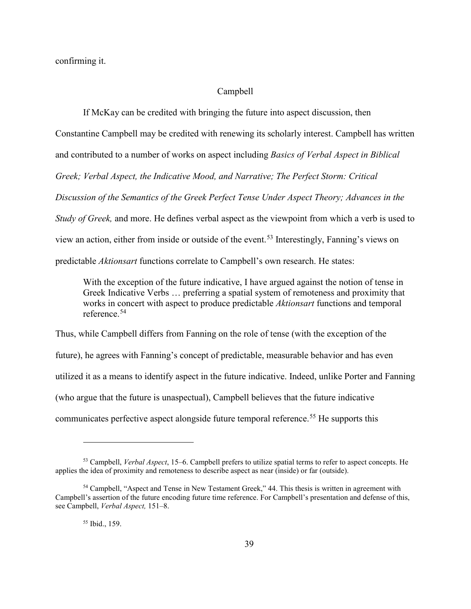confirming it.

#### Campbell

If McKay can be credited with bringing the future into aspect discussion, then Constantine Campbell may be credited with renewing its scholarly interest. Campbell has written and contributed to a number of works on aspect including *Basics of Verbal Aspect in Biblical Greek; Verbal Aspect, the Indicative Mood, and Narrative; The Perfect Storm: Critical Discussion of the Semantics of the Greek Perfect Tense Under Aspect Theory; Advances in the Study of Greek,* and more. He defines verbal aspect as the viewpoint from which a verb is used to view an action, either from inside or outside of the event. [53](#page-45-0) Interestingly, Fanning's views on predictable *Aktionsart* functions correlate to Campbell's own research. He states:

With the exception of the future indicative, I have argued against the notion of tense in Greek Indicative Verbs … preferring a spatial system of remoteness and proximity that works in concert with aspect to produce predictable *Aktionsart* functions and temporal reference.[54](#page-45-1)

Thus, while Campbell differs from Fanning on the role of tense (with the exception of the future), he agrees with Fanning's concept of predictable, measurable behavior and has even utilized it as a means to identify aspect in the future indicative. Indeed, unlike Porter and Fanning (who argue that the future is unaspectual), Campbell believes that the future indicative communicates perfective aspect alongside future temporal reference.<sup>[55](#page-45-2)</sup> He supports this

<sup>55</sup> Ibid., 159.

<span id="page-45-0"></span><sup>53</sup> Campbell, *Verbal Aspect*, 15–6. Campbell prefers to utilize spatial terms to refer to aspect concepts. He applies the idea of proximity and remoteness to describe aspect as near (inside) or far (outside).

<span id="page-45-2"></span><span id="page-45-1"></span><sup>54</sup> Campbell, "Aspect and Tense in New Testament Greek," 44. This thesis is written in agreement with Campbell's assertion of the future encoding future time reference. For Campbell's presentation and defense of this, see Campbell, *Verbal Aspect,* 151–8.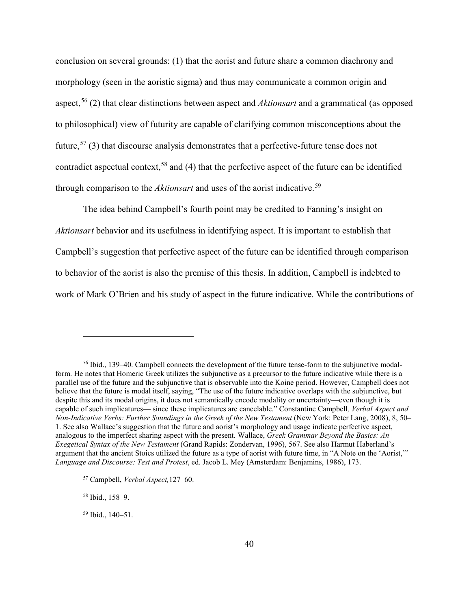conclusion on several grounds: (1) that the aorist and future share a common diachrony and morphology (seen in the aoristic sigma) and thus may communicate a common origin and aspect,[56](#page-46-0) (2) that clear distinctions between aspect and *Aktionsart* and a grammatical (as opposed to philosophical) view of futurity are capable of clarifying common misconceptions about the future,  $57$  (3) that discourse analysis demonstrates that a perfective-future tense does not contradict aspectual context,<sup>58</sup> and (4) that the perfective aspect of the future can be identified through comparison to the *Aktionsart* and uses of the aorist indicative. [59](#page-46-3) 

The idea behind Campbell's fourth point may be credited to Fanning's insight on *Aktionsart* behavior and its usefulness in identifying aspect. It is important to establish that Campbell's suggestion that perfective aspect of the future can be identified through comparison to behavior of the aorist is also the premise of this thesis. In addition, Campbell is indebted to work of Mark O'Brien and his study of aspect in the future indicative. While the contributions of

<span id="page-46-2"></span><sup>58</sup> Ibid., 158–9.

<span id="page-46-0"></span><sup>56</sup> Ibid., 139–40. Campbell connects the development of the future tense-form to the subjunctive modalform. He notes that Homeric Greek utilizes the subjunctive as a precursor to the future indicative while there is a parallel use of the future and the subjunctive that is observable into the Koine period. However, Campbell does not believe that the future is modal itself, saying, "The use of the future indicative overlaps with the subjunctive, but despite this and its modal origins, it does not semantically encode modality or uncertainty—even though it is capable of such implicatures— since these implicatures are cancelable." Constantine Campbell*, Verbal Aspect and Non-Indicative Verbs: Further Soundings in the Greek of the New Testament* (New York: Peter Lang, 2008), 8, 50– 1. See also Wallace's suggestion that the future and aorist's morphology and usage indicate perfective aspect, analogous to the imperfect sharing aspect with the present. Wallace, *Greek Grammar Beyond the Basics: An Exegetical Syntax of the New Testament* (Grand Rapids: Zondervan, 1996), 567. See also Harmut Haberland's argument that the ancient Stoics utilized the future as a type of aorist with future time, in "A Note on the 'Aorist,'" *Language and Discourse: Test and Protest*, ed. Jacob L. Mey (Amsterdam: Benjamins, 1986), 173.

<span id="page-46-1"></span><sup>57</sup> Campbell, *Verbal Aspect,*127–60.

<span id="page-46-3"></span><sup>59</sup> Ibid., 140–51.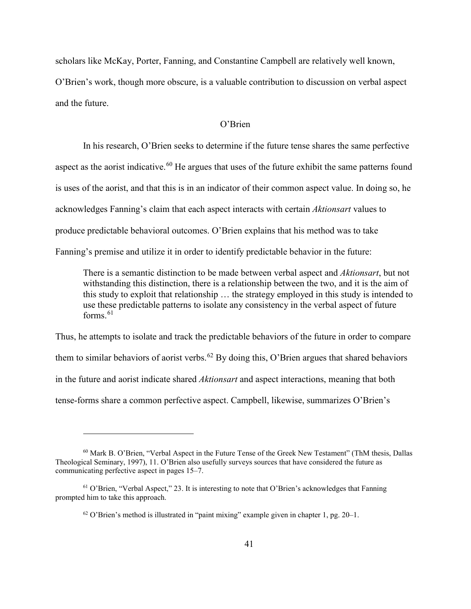scholars like McKay, Porter, Fanning, and Constantine Campbell are relatively well known, O'Brien's work, though more obscure, is a valuable contribution to discussion on verbal aspect and the future.

# O'Brien

In his research, O'Brien seeks to determine if the future tense shares the same perfective aspect as the aorist indicative.<sup>[60](#page-47-0)</sup> He argues that uses of the future exhibit the same patterns found is uses of the aorist, and that this is in an indicator of their common aspect value. In doing so, he acknowledges Fanning's claim that each aspect interacts with certain *Aktionsart* values to produce predictable behavioral outcomes. O'Brien explains that his method was to take Fanning's premise and utilize it in order to identify predictable behavior in the future:

There is a semantic distinction to be made between verbal aspect and *Aktionsart*, but not withstanding this distinction, there is a relationship between the two, and it is the aim of this study to exploit that relationship … the strategy employed in this study is intended to use these predictable patterns to isolate any consistency in the verbal aspect of future forms. $61$ 

Thus, he attempts to isolate and track the predictable behaviors of the future in order to compare them to similar behaviors of aorist verbs.<sup>[62](#page-47-2)</sup> By doing this, O'Brien argues that shared behaviors in the future and aorist indicate shared *Aktionsart* and aspect interactions, meaning that both tense-forms share a common perfective aspect. Campbell, likewise, summarizes O'Brien's

<span id="page-47-0"></span><sup>60</sup> Mark B. O'Brien, "Verbal Aspect in the Future Tense of the Greek New Testament" (ThM thesis, Dallas Theological Seminary, 1997), 11. O'Brien also usefully surveys sources that have considered the future as communicating perfective aspect in pages 15–7.

<span id="page-47-2"></span><span id="page-47-1"></span> $61$  O'Brien, "Verbal Aspect," 23. It is interesting to note that O'Brien's acknowledges that Fanning prompted him to take this approach.

 $62$  O'Brien's method is illustrated in "paint mixing" example given in chapter 1, pg. 20–1.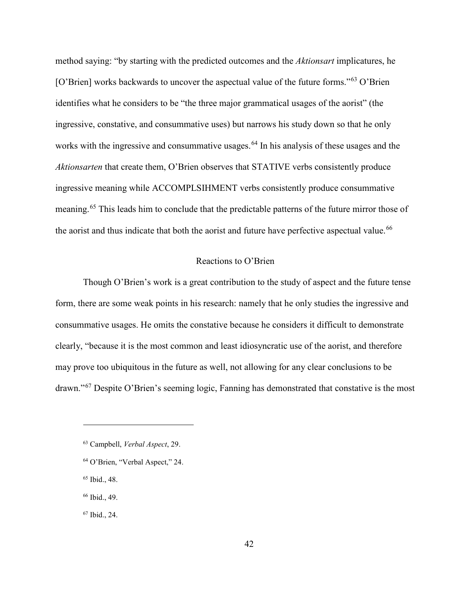method saying: "by starting with the predicted outcomes and the *Aktionsart* implicatures, he [O'Brien] works backwards to uncover the aspectual value of the future forms."[63](#page-48-0) O'Brien identifies what he considers to be "the three major grammatical usages of the aorist" (the ingressive, constative, and consummative uses) but narrows his study down so that he only works with the ingressive and consummative usages.<sup>[64](#page-48-1)</sup> In his analysis of these usages and the *Aktionsarten* that create them, O'Brien observes that STATIVE verbs consistently produce ingressive meaning while ACCOMPLSIHMENT verbs consistently produce consummative meaning.[65](#page-48-2) This leads him to conclude that the predictable patterns of the future mirror those of the aorist and thus indicate that both the aorist and future have perfective aspectual value.<sup>[66](#page-48-3)</sup>

#### Reactions to O'Brien

Though O'Brien's work is a great contribution to the study of aspect and the future tense form, there are some weak points in his research: namely that he only studies the ingressive and consummative usages. He omits the constative because he considers it difficult to demonstrate clearly, "because it is the most common and least idiosyncratic use of the aorist, and therefore may prove too ubiquitous in the future as well, not allowing for any clear conclusions to be drawn."[67](#page-48-4) Despite O'Brien's seeming logic, Fanning has demonstrated that constative is the most

 $\overline{a}$ 

<span id="page-48-4"></span><sup>67</sup> Ibid., 24.

<span id="page-48-0"></span><sup>63</sup> Campbell, *Verbal Aspect*, 29.

<span id="page-48-1"></span><sup>64</sup> O'Brien, "Verbal Aspect," 24.

<span id="page-48-2"></span><sup>65</sup> Ibid., 48.

<span id="page-48-3"></span><sup>66</sup> Ibid., 49.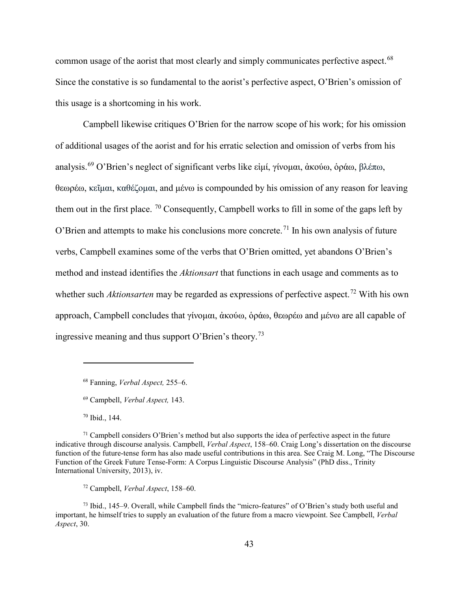common usage of the aorist that most clearly and simply communicates perfective aspect.<sup>[68](#page-49-0)</sup> Since the constative is so fundamental to the aorist's perfective aspect, O'Brien's omission of this usage is a shortcoming in his work.

Campbell likewise critiques O'Brien for the narrow scope of his work; for his omission of additional usages of the aorist and for his erratic selection and omission of verbs from his analysis.<sup>[69](#page-49-1)</sup> O'Brien's neglect of significant verbs like εἰμί, γίνομαι, ἀκούω, ὁράω, βλέπω, θεωρέω, κεῖμαι, καθέζομαι, and μένω is compounded by his omission of any reason for leaving them out in the first place. <sup>70</sup> Consequently, Campbell works to fill in some of the gaps left by O'Brien and attempts to make his conclusions more concrete.<sup>[71](#page-49-3)</sup> In his own analysis of future verbs, Campbell examines some of the verbs that O'Brien omitted, yet abandons O'Brien's method and instead identifies the *Aktionsart* that functions in each usage and comments as to whether such *Aktionsarten* may be regarded as expressions of perfective aspect.<sup>72</sup> With his own approach, Campbell concludes that γίνομαι, ἀκούω, ὁράω, θεωρέω and μένω are all capable of ingressive meaning and thus support O'Brien's theory.[73](#page-49-5)

<sup>70</sup> Ibid., 144.

<sup>68</sup> Fanning, *Verbal Aspect,* 255–6.

<sup>69</sup> Campbell, *Verbal Aspect,* 143.

<span id="page-49-3"></span><span id="page-49-2"></span><span id="page-49-1"></span><span id="page-49-0"></span> $71$  Campbell considers O'Brien's method but also supports the idea of perfective aspect in the future indicative through discourse analysis. Campbell, *Verbal Aspect*, 158–60. Craig Long's dissertation on the discourse function of the future-tense form has also made useful contributions in this area. See Craig M. Long, "The Discourse Function of the Greek Future Tense-Form: A Corpus Linguistic Discourse Analysis" (PhD diss., Trinity International University, 2013), iv.

<sup>72</sup> Campbell, *Verbal Aspect*, 158–60.

<span id="page-49-5"></span><span id="page-49-4"></span><sup>73</sup> Ibid., 145–9. Overall, while Campbell finds the "micro-features" of O'Brien's study both useful and important, he himself tries to supply an evaluation of the future from a macro viewpoint. See Campbell, *Verbal Aspect*, 30.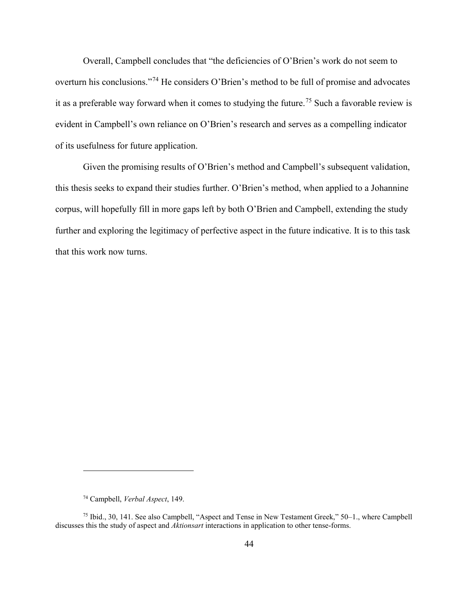Overall, Campbell concludes that "the deficiencies of O'Brien's work do not seem to overturn his conclusions."[74](#page-50-0) He considers O'Brien's method to be full of promise and advocates it as a preferable way forward when it comes to studying the future.<sup>[75](#page-50-1)</sup> Such a favorable review is evident in Campbell's own reliance on O'Brien's research and serves as a compelling indicator of its usefulness for future application.

Given the promising results of O'Brien's method and Campbell's subsequent validation, this thesis seeks to expand their studies further. O'Brien's method, when applied to a Johannine corpus, will hopefully fill in more gaps left by both O'Brien and Campbell, extending the study further and exploring the legitimacy of perfective aspect in the future indicative. It is to this task that this work now turns.

<sup>74</sup> Campbell, *Verbal Aspect*, 149.

<span id="page-50-1"></span><span id="page-50-0"></span><sup>75</sup> Ibid., 30, 141. See also Campbell, "Aspect and Tense in New Testament Greek," 50–1., where Campbell discusses this the study of aspect and *Aktionsart* interactions in application to other tense-forms.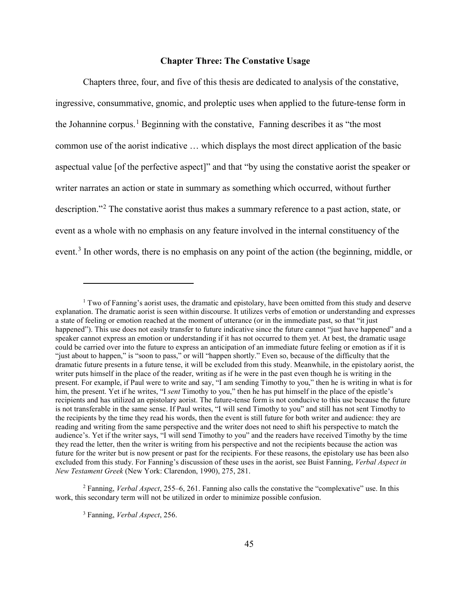### **Chapter Three: The Constative Usage**

Chapters three, four, and five of this thesis are dedicated to analysis of the constative, ingressive, consummative, gnomic, and proleptic uses when applied to the future-tense form in the Johannine corpus. [1](#page-51-0) Beginning with the constative, Fanning describes it as "the most common use of the aorist indicative … which displays the most direct application of the basic aspectual value [of the perfective aspect]" and that "by using the constative aorist the speaker or writer narrates an action or state in summary as something which occurred, without further description."[2](#page-51-1) The constative aorist thus makes a summary reference to a past action, state, or event as a whole with no emphasis on any feature involved in the internal constituency of the event.<sup>[3](#page-51-2)</sup> In other words, there is no emphasis on any point of the action (the beginning, middle, or

<span id="page-51-2"></span><span id="page-51-1"></span><sup>2</sup> Fanning, *Verbal Aspect*, 255–6, 261. Fanning also calls the constative the "complexative" use. In this work, this secondary term will not be utilized in order to minimize possible confusion.

<span id="page-51-0"></span> $1$  Two of Fanning's aorist uses, the dramatic and epistolary, have been omitted from this study and deserve explanation. The dramatic aorist is seen within discourse. It utilizes verbs of emotion or understanding and expresses a state of feeling or emotion reached at the moment of utterance (or in the immediate past, so that "it just happened"). This use does not easily transfer to future indicative since the future cannot "just have happened" and a speaker cannot express an emotion or understanding if it has not occurred to them yet. At best, the dramatic usage could be carried over into the future to express an anticipation of an immediate future feeling or emotion as if it is "just about to happen," is "soon to pass," or will "happen shortly." Even so, because of the difficulty that the dramatic future presents in a future tense, it will be excluded from this study. Meanwhile, in the epistolary aorist, the writer puts himself in the place of the reader, writing as if he were in the past even though he is writing in the present. For example, if Paul were to write and say, "I am sending Timothy to you," then he is writing in what is for him, the present. Yet if he writes, "I *sent* Timothy to you," then he has put himself in the place of the epistle's recipients and has utilized an epistolary aorist. The future-tense form is not conducive to this use because the future is not transferable in the same sense. If Paul writes, "I will send Timothy to you" and still has not sent Timothy to the recipients by the time they read his words, then the event is still future for both writer and audience: they are reading and writing from the same perspective and the writer does not need to shift his perspective to match the audience's. Yet if the writer says, "I will send Timothy to you" and the readers have received Timothy by the time they read the letter, then the writer is writing from his perspective and not the recipients because the action was future for the writer but is now present or past for the recipients. For these reasons, the epistolary use has been also excluded from this study. For Fanning's discussion of these uses in the aorist, see Buist Fanning, *Verbal Aspect in New Testament Greek* (New York: Clarendon, 1990), 275, 281.

<sup>3</sup> Fanning, *Verbal Aspect*, 256.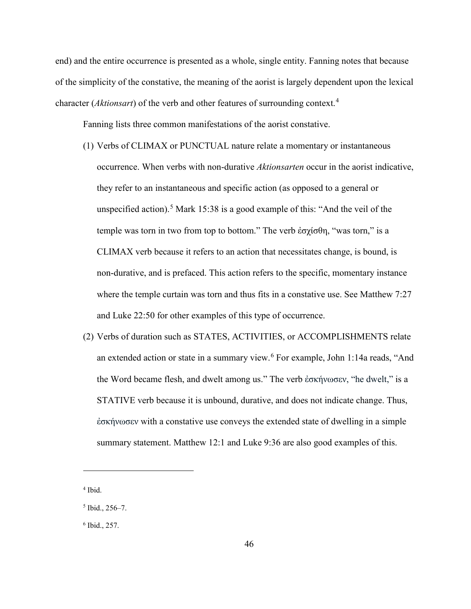end) and the entire occurrence is presented as a whole, single entity. Fanning notes that because of the simplicity of the constative, the meaning of the aorist is largely dependent upon the lexical character (*Aktionsart*) of the verb and other features of surrounding context.[4](#page-52-0)

Fanning lists three common manifestations of the aorist constative.

- (1) Verbs of CLIMAX or PUNCTUAL nature relate a momentary or instantaneous occurrence. When verbs with non-durative *Aktionsarten* occur in the aorist indicative, they refer to an instantaneous and specific action (as opposed to a general or unspecified action).<sup>[5](#page-52-1)</sup> Mark 15:38 is a good example of this: "And the veil of the temple was torn in two from top to bottom." The verb ἐσχίσθη, "was torn," is a CLIMAX verb because it refers to an action that necessitates change, is bound, is non-durative, and is prefaced. This action refers to the specific, momentary instance where the temple curtain was torn and thus fits in a constative use. See Matthew 7:27 and Luke 22:50 for other examples of this type of occurrence.
- (2) Verbs of duration such as STATES, ACTIVITIES, or ACCOMPLISHMENTS relate an extended action or state in a summary view.<sup>[6](#page-52-2)</sup> For example, John 1:14a reads, "And the Word became flesh, and dwelt among us." The verb ἐσκήνωσεν, "he dwelt," is a STATIVE verb because it is unbound, durative, and does not indicate change. Thus, ἐσκήνωσεν with a constative use conveys the extended state of dwelling in a simple summary statement. Matthew 12:1 and Luke 9:36 are also good examples of this.

<span id="page-52-0"></span><sup>4</sup> Ibid.

<span id="page-52-1"></span> $5$  Ibid., 256–7.

<span id="page-52-2"></span> $6$  Ibid., 257.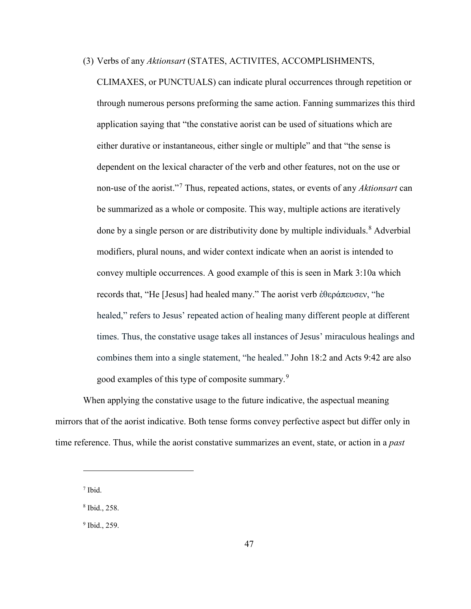(3) Verbs of any *Aktionsart* (STATES, ACTIVITES, ACCOMPLISHMENTS,

CLIMAXES, or PUNCTUALS) can indicate plural occurrences through repetition or through numerous persons preforming the same action. Fanning summarizes this third application saying that "the constative aorist can be used of situations which are either durative or instantaneous, either single or multiple" and that "the sense is dependent on the lexical character of the verb and other features, not on the use or non-use of the aorist."[7](#page-53-0) Thus, repeated actions, states, or events of any *Aktionsart* can be summarized as a whole or composite. This way, multiple actions are iteratively done by a single person or are distributivity done by multiple individuals.<sup>[8](#page-53-1)</sup> Adverbial modifiers, plural nouns, and wider context indicate when an aorist is intended to convey multiple occurrences. A good example of this is seen in Mark 3:10a which records that, "He [Jesus] had healed many." The aorist verb ἐθεράπευσεν, "he healed," refers to Jesus' repeated action of healing many different people at different times. Thus, the constative usage takes all instances of Jesus' miraculous healings and combines them into a single statement, "he healed." John 18:2 and Acts 9:42 are also good examples of this type of composite summary.<sup>[9](#page-53-2)</sup>

When applying the constative usage to the future indicative, the aspectual meaning mirrors that of the aorist indicative. Both tense forms convey perfective aspect but differ only in time reference. Thus, while the aorist constative summarizes an event, state, or action in a *past*

<span id="page-53-0"></span><sup>7</sup> Ibid.

 $\overline{a}$ 

<span id="page-53-1"></span><sup>8</sup> Ibid., 258.

<span id="page-53-2"></span><sup>9</sup> Ibid., 259.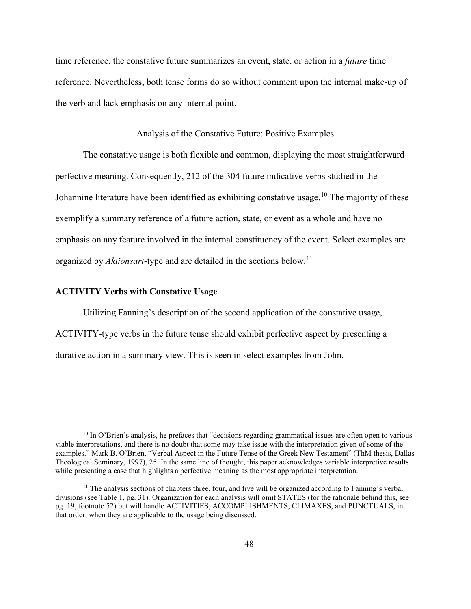time reference, the constative future summarizes an event, state, or action in a *future* time reference. Nevertheless, both tense forms do so without comment upon the internal make-up of the verb and lack emphasis on any internal point.

#### Analysis of the Constative Future: Positive Examples

The constative usage is both flexible and common, displaying the most straightforward perfective meaning. Consequently, 212 of the 304 future indicative verbs studied in the Johannine literature have been identified as exhibiting constative usage.<sup>[10](#page-54-0)</sup> The majority of these exemplify a summary reference of a future action, state, or event as a whole and have no emphasis on any feature involved in the internal constituency of the event. Select examples are organized by *Aktionsart*-type and are detailed in the sections below.[11](#page-54-1)

### **ACTIVITY Verbs with Constative Usage**

 $\overline{a}$ 

Utilizing Fanning's description of the second application of the constative usage, ACTIVITY-type verbs in the future tense should exhibit perfective aspect by presenting a durative action in a summary view. This is seen in select examples from John.

<span id="page-54-0"></span><sup>&</sup>lt;sup>10</sup> In O'Brien's analysis, he prefaces that "decisions regarding grammatical issues are often open to various viable interpretations, and there is no doubt that some may take issue with the interpretation given of some of the examples." Mark B. O'Brien, "Verbal Aspect in the Future Tense of the Greek New Testament" (ThM thesis, Dallas Theological Seminary, 1997), 25. In the same line of thought, this paper acknowledges variable interpretive results while presenting a case that highlights a perfective meaning as the most appropriate interpretation.

<span id="page-54-1"></span> $11$  The analysis sections of chapters three, four, and five will be organized according to Fanning's verbal divisions (see Table 1, pg. 31). Organization for each analysis will omit STATES (for the rationale behind this, see pg. 19, footnote 52) but will handle ACTIVITIES, ACCOMPLISHMENTS, CLIMAXES, and PUNCTUALS, in that order, when they are applicable to the usage being discussed.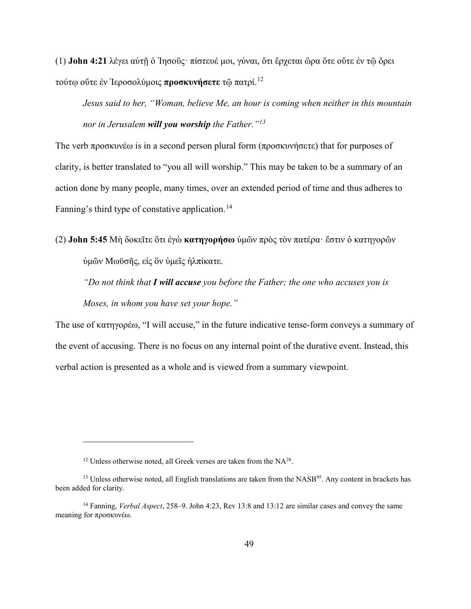(1) **John 4:21** λέγει αὐτῇ ὁ Ἰησοῦς· πίστευέ μοι, γύναι, ὅτι ἔρχεται ὥρα ὅτε οὔτε ἐν τῷ ὄρει τούτῳ οὔτε ἐν Ἱεροσολύμοις **προσκυνήσετε** τῷ πατρί.[12](#page-55-0)

*Jesus said to her, "Woman, believe Me, an hour is coming when neither in this mountain nor in Jerusalem will you worship the Father."[13](#page-55-1)*

The verb προσκυνέω is in a second person plural form (προσκυνήσετε) that for purposes of clarity, is better translated to "you all will worship." This may be taken to be a summary of an action done by many people, many times, over an extended period of time and thus adheres to Fanning's third type of constative application.<sup>[14](#page-55-2)</sup>

(2) **John 5:45** Μὴ δοκεῖτε ὅτι ἐγὼ **κατηγορήσω** ὑμῶν πρὸς τὸν πατέρα· ἔστιν ὁ κατηγορῶν ὑμῶν Μωϋσῆς, εἰς ὃν ὑμεῖς ἠλπίκατε.

*"Do not think that I will accuse you before the Father; the one who accuses you is Moses, in whom you have set your hope."*

The use of κατηγορέω, "I will accuse," in the future indicative tense-form conveys a summary of the event of accusing. There is no focus on any internal point of the durative event. Instead, this verbal action is presented as a whole and is viewed from a summary viewpoint.

 $12$  Unless otherwise noted, all Greek verses are taken from the NA $^{28}$ .

<span id="page-55-1"></span><span id="page-55-0"></span> $<sup>13</sup>$  Unless otherwise noted, all English translations are taken from the NASB $<sup>95</sup>$ . Any content in brackets has</sup></sup> been added for clarity.

<span id="page-55-2"></span><sup>14</sup> Fanning, *Verbal Aspect*, 258–9. John 4:23, Rev 13:8 and 13:12 are similar cases and convey the same meaning for προσκυνέω.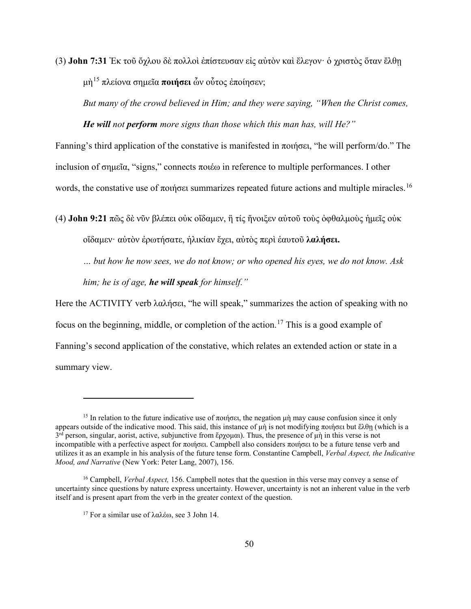(3) **John 7:31** Ἐκ τοῦ ὄχλου δὲ πολλοὶ ἐπίστευσαν εἰς αὐτὸν καὶ ἔλεγον· ὁ χριστὸς ὅταν ἔλθῃ μὴ[15](#page-56-0) πλείονα σημεῖα **ποιήσει** ὧν οὗτος ἐποίησεν;

*But many of the crowd believed in Him; and they were saying, "When the Christ comes,* 

*He will not perform more signs than those which this man has, will He?"*

Fanning's third application of the constative is manifested in ποιήσει, "he will perform/do." The inclusion of σημεῖα, "signs," connects ποιέω in reference to multiple performances. I other words, the constative use of ποιήσει summarizes repeated future actions and multiple miracles.<sup>[16](#page-56-1)</sup>

(4) **John 9:21** πῶς δὲ νῦν βλέπει οὐκ οἴδαμεν, ἢ τίς ἤνοιξεν αὐτοῦ τοὺς ὀφθαλμοὺς ἡμεῖς οὐκ οἴδαμεν· αὐτὸν ἐρωτήσατε, ἡλικίαν ἔχει, αὐτὸς περὶ ἑαυτοῦ **λαλήσει.**

*… but how he now sees, we do not know; or who opened his eyes, we do not know. Ask him; he is of age, he will speak for himself."*

Here the ACTIVITY verb λαλήσει, "he will speak," summarizes the action of speaking with no focus on the beginning, middle, or completion of the action. [17](#page-56-2) This is a good example of Fanning's second application of the constative, which relates an extended action or state in a summary view.

<span id="page-56-0"></span><sup>&</sup>lt;sup>15</sup> In relation to the future indicative use of ποιήσει, the negation  $\mu$ ή may cause confusion since it only appears outside of the indicative mood. This said, this instance of μὴ is not modifying ποιήσει but ἔλθη (which is a 3rd person, singular, aorist, active, subjunctive from ἔρχομαι). Thus, the presence of μὴ in this verse is not incompatible with a perfective aspect for ποιήσει. Campbell also considers ποιήσει to be a future tense verb and utilizes it as an example in his analysis of the future tense form. Constantine Campbell, *Verbal Aspect, the Indicative Mood, and Narrative* (New York: Peter Lang, 2007), 156.

<span id="page-56-2"></span><span id="page-56-1"></span><sup>16</sup> Campbell, *Verbal Aspect,* 156. Campbell notes that the question in this verse may convey a sense of uncertainty since questions by nature express uncertainty. However, uncertainty is not an inherent value in the verb itself and is present apart from the verb in the greater context of the question.

<sup>17</sup> For a similar use of λαλέω, see 3 John 14.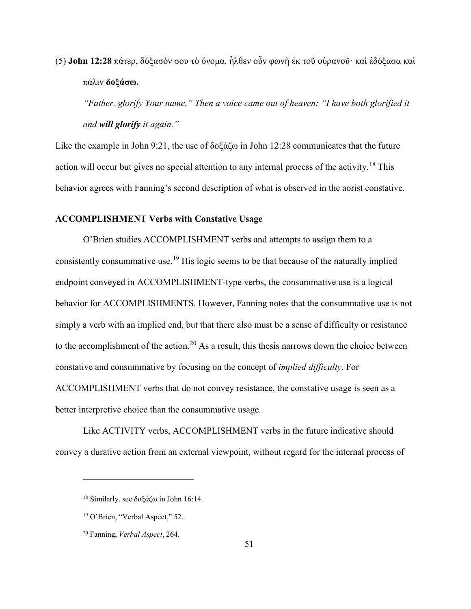(5) **John 12:28** πάτερ, δόξασόν σου τὸ ὄνομα. ἦλθεν οὖν φωνὴ ἐκ τοῦ οὐρανοῦ· καὶ ἐδόξασα καὶ πάλιν **δοξάσω.**

*"Father, glorify Your name." Then a voice came out of heaven: "I have both glorified it and will glorify it again."* 

Like the example in John 9:21, the use of δοξάζω in John 12:28 communicates that the future action will occur but gives no special attention to any internal process of the activity.<sup>[18](#page-57-0)</sup> This behavior agrees with Fanning's second description of what is observed in the aorist constative.

#### **ACCOMPLISHMENT Verbs with Constative Usage**

O'Brien studies ACCOMPLISHMENT verbs and attempts to assign them to a consistently consummative use.<sup>[19](#page-57-1)</sup> His logic seems to be that because of the naturally implied endpoint conveyed in ACCOMPLISHMENT-type verbs, the consummative use is a logical behavior for ACCOMPLISHMENTS. However, Fanning notes that the consummative use is not simply a verb with an implied end, but that there also must be a sense of difficulty or resistance to the accomplishment of the action.<sup>[20](#page-57-2)</sup> As a result, this thesis narrows down the choice between constative and consummative by focusing on the concept of *implied difficulty*. For ACCOMPLISHMENT verbs that do not convey resistance, the constative usage is seen as a better interpretive choice than the consummative usage.

Like ACTIVITY verbs, ACCOMPLISHMENT verbs in the future indicative should convey a durative action from an external viewpoint, without regard for the internal process of

<span id="page-57-0"></span><sup>18</sup> Similarly, see δοξάζω in John 16:14.

<span id="page-57-1"></span><sup>19</sup> O'Brien, "Verbal Aspect," 52.

<span id="page-57-2"></span><sup>20</sup> Fanning, *Verbal Aspect*, 264.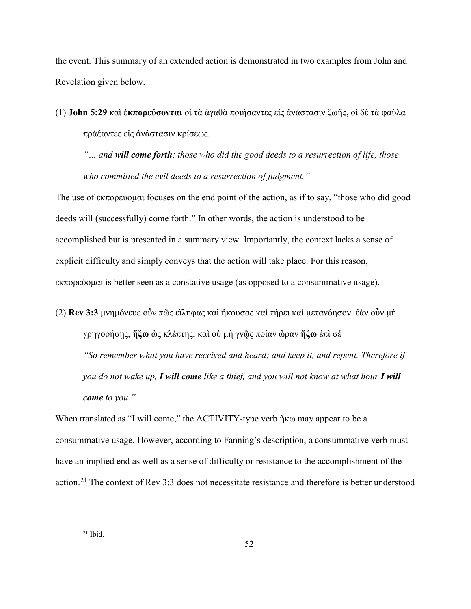the event. This summary of an extended action is demonstrated in two examples from John and Revelation given below.

(1) **John 5:29** καὶ **ἐκπορεύσονται** οἱ τὰ ἀγαθὰ ποιήσαντες εἰς ἀνάστασιν ζωῆς, οἱ δὲ τὰ φαῦλα πράξαντες εἰς ἀνάστασιν κρίσεως.

*"… and will come forth; those who did the good deeds to a resurrection of life, those who committed the evil deeds to a resurrection of judgment."*

The use of ἐκπορεύομαι focuses on the end point of the action, as if to say, "those who did good deeds will (successfully) come forth." In other words, the action is understood to be accomplished but is presented in a summary view. Importantly, the context lacks a sense of explicit difficulty and simply conveys that the action will take place. For this reason, ἐκπορεύομαι is better seen as a constative usage (as opposed to a consummative usage).

(2) **Rev 3:3** μνημόνευε οὖν πῶς εἴληφας καὶ ἤκουσας καὶ τήρει καὶ μετανόησον. ἐὰν οὖν μὴ γρηγορήσῃς, **ἥξω** ὡς κλέπτης, καὶ οὐ μὴ γνῷς ποίαν ὥραν **ἥξω** ἐπὶ σέ *"So remember what you have received and heard; and keep it, and repent. Therefore if you do not wake up, I will come like a thief, and you will not know at what hour I will come to you."*

When translated as "I will come," the ACTIVITY-type verb ἥκω may appear to be a consummative usage. However, according to Fanning's description, a consummative verb must have an implied end as well as a sense of difficulty or resistance to the accomplishment of the action.<sup>[21](#page-58-0)</sup> The context of Rev 3:3 does not necessitate resistance and therefore is better understood

<span id="page-58-0"></span> $21$  Ibid.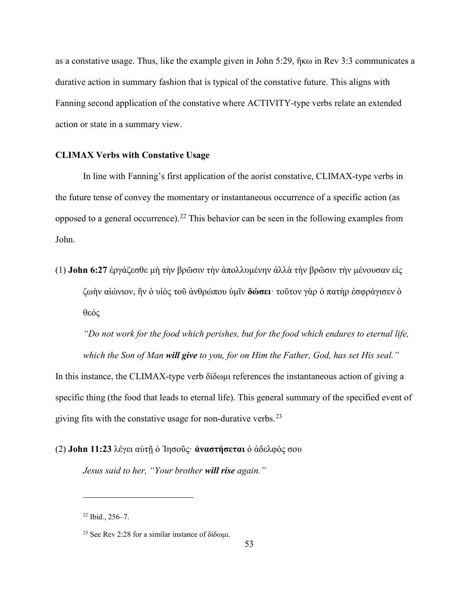as a constative usage. Thus, like the example given in John 5:29, ἥκω in Rev 3:3 communicates a durative action in summary fashion that is typical of the constative future. This aligns with Fanning second application of the constative where ACTIVITY-type verbs relate an extended action or state in a summary view.

### **CLIMAX Verbs with Constative Usage**

In line with Fanning's first application of the aorist constative, CLIMAX-type verbs in the future tense of convey the momentary or instantaneous occurrence of a specific action (as opposed to a general occurrence).<sup>[22](#page-59-0)</sup> This behavior can be seen in the following examples from John.

(1) **John 6:27** ἐργάζεσθε μὴ τὴν βρῶσιν τὴν ἀπολλυμένην ἀλλὰ τὴν βρῶσιν τὴν μένουσαν εἰς ζωὴν αἰώνιον, ἣν ὁ υἱὸς τοῦ ἀνθρώπου ὑμῖν **δώσει**· τοῦτον γὰρ ὁ πατὴρ ἐσφράγισεν ὁ θεός

*"Do not work for the food which perishes, but for the food which endures to eternal life, which the Son of Man will give to you, for on Him the Father, God, has set His seal."*

In this instance, the CLIMAX-type verb δίδωμι references the instantaneous action of giving a specific thing (the food that leads to eternal life). This general summary of the specified event of giving fits with the constative usage for non-durative verbs. $^{23}$  $^{23}$  $^{23}$ 

(2) **John 11:23** λέγει αὐτῇ ὁ Ἰησοῦς· **ἀναστήσεται** ὁ ἀδελφός σου

*Jesus said to her, "Your brother will rise again."* 

<span id="page-59-0"></span><sup>22</sup> Ibid., 256–7.

<span id="page-59-1"></span><sup>&</sup>lt;sup>23</sup> See Rev 2:28 for a similar instance of δίδωμι.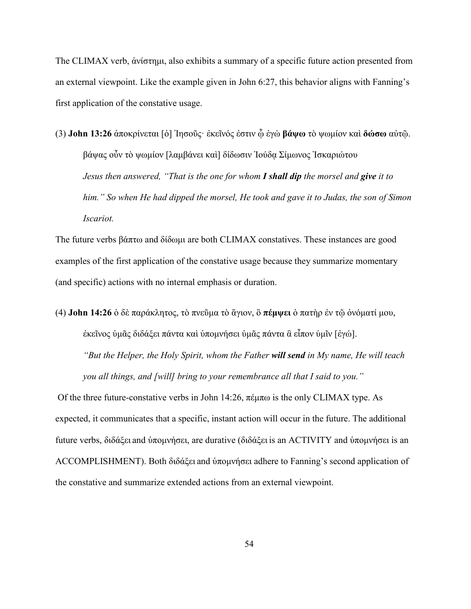The CLIMAX verb, ἀνίστημι, also exhibits a summary of a specific future action presented from an external viewpoint. Like the example given in John 6:27, this behavior aligns with Fanning's first application of the constative usage.

(3) **John 13:26** ἀποκρίνεται [ὁ] Ἰησοῦς· ἐκεῖνός ἐστιν ᾧ ἐγὼ **βάψω** τὸ ψωμίον καὶ **δώσω** αὐτῷ. βάψας οὖν τὸ ψωμίον [λαμβάνει καὶ] δίδωσιν Ἰούδᾳ Σίμωνος Ἰσκαριώτου *Jesus then answered, "That is the one for whom I shall dip the morsel and give it to him." So when He had dipped the morsel, He took and gave it to Judas, the son of Simon Iscariot.* 

The future verbs βάπτω and δίδωμι are both CLIMAX constatives. These instances are good examples of the first application of the constative usage because they summarize momentary (and specific) actions with no internal emphasis or duration.

(4) **John 14:26** ὁ δὲ παράκλητος, τὸ πνεῦμα τὸ ἅγιον, ὃ **πέμψει** ὁ πατὴρ ἐν τῷ ὀνόματί μου, ἐκεῖνος ὑμᾶς διδάξει πάντα καὶ ὑπομνήσει ὑμᾶς πάντα ἃ εἶπον ὑμῖν [ἐγώ]. *"But the Helper, the Holy Spirit, whom the Father will send in My name, He will teach you all things, and [will] bring to your remembrance all that I said to you."*

Of the three future-constative verbs in John 14:26, πέμπω is the only CLIMAX type. As expected, it communicates that a specific, instant action will occur in the future. The additional future verbs, διδάξει and ὑπομνήσει, are durative (διδάξει is an ACTIVITY and ὑπομνήσει is an ACCOMPLISHMENT). Both διδάξει and ὑπομνήσει adhere to Fanning's second application of the constative and summarize extended actions from an external viewpoint.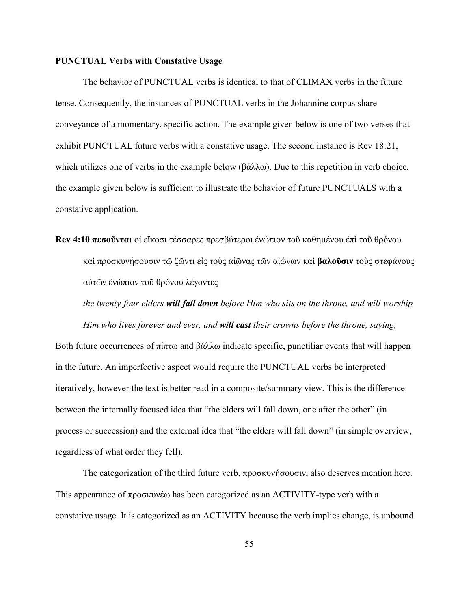### **PUNCTUAL Verbs with Constative Usage**

The behavior of PUNCTUAL verbs is identical to that of CLIMAX verbs in the future tense. Consequently, the instances of PUNCTUAL verbs in the Johannine corpus share conveyance of a momentary, specific action. The example given below is one of two verses that exhibit PUNCTUAL future verbs with a constative usage. The second instance is Rev 18:21, which utilizes one of verbs in the example below (βάλλω). Due to this repetition in verb choice, the example given below is sufficient to illustrate the behavior of future PUNCTUALS with a constative application.

**Rev 4:10 πεσοῦνται** οἱ εἴκοσι τέσσαρες πρεσβύτεροι ἐνώπιον τοῦ καθημένου ἐπὶ τοῦ θρόνου καὶ προσκυνήσουσιν τῷ ζῶντι εἰς τοὺς αἰῶνας τῶν αἰώνων καὶ **βαλοῦσιν** τοὺς στεφάνους αὐτῶν ἐνώπιον τοῦ θρόνου λέγοντες

*the twenty-four elders will fall down before Him who sits on the throne, and will worship Him who lives forever and ever, and will cast their crowns before the throne, saying,*

Both future occurrences of πίπτω and βάλλω indicate specific, punctiliar events that will happen in the future. An imperfective aspect would require the PUNCTUAL verbs be interpreted iteratively, however the text is better read in a composite/summary view. This is the difference between the internally focused idea that "the elders will fall down, one after the other" (in process or succession) and the external idea that "the elders will fall down" (in simple overview, regardless of what order they fell).

The categorization of the third future verb, προσκυνήσουσιν, also deserves mention here. This appearance of προσκυνέω has been categorized as an ACTIVITY-type verb with a constative usage. It is categorized as an ACTIVITY because the verb implies change, is unbound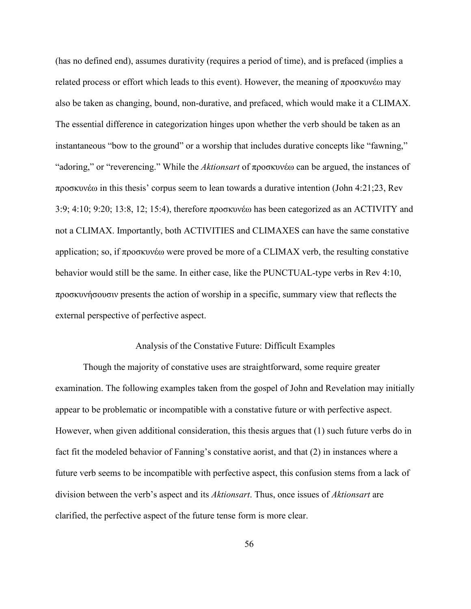(has no defined end), assumes durativity (requires a period of time), and is prefaced (implies a related process or effort which leads to this event). However, the meaning of προσκυνέω may also be taken as changing, bound, non-durative, and prefaced, which would make it a CLIMAX. The essential difference in categorization hinges upon whether the verb should be taken as an instantaneous "bow to the ground" or a worship that includes durative concepts like "fawning," "adoring," or "reverencing." While the *Aktionsart* of προσκυνέω can be argued, the instances of προσκυνέω in this thesis' corpus seem to lean towards a durative intention (John 4:21;23, Rev 3:9; 4:10; 9:20; 13:8, 12; 15:4), therefore προσκυνέω has been categorized as an ACTIVITY and not a CLIMAX. Importantly, both ACTIVITIES and CLIMAXES can have the same constative application; so, if προσκυνέω were proved be more of a CLIMAX verb, the resulting constative behavior would still be the same. In either case, like the PUNCTUAL-type verbs in Rev 4:10, προσκυνήσουσιν presents the action of worship in a specific, summary view that reflects the external perspective of perfective aspect.

### Analysis of the Constative Future: Difficult Examples

Though the majority of constative uses are straightforward, some require greater examination. The following examples taken from the gospel of John and Revelation may initially appear to be problematic or incompatible with a constative future or with perfective aspect. However, when given additional consideration, this thesis argues that (1) such future verbs do in fact fit the modeled behavior of Fanning's constative aorist, and that (2) in instances where a future verb seems to be incompatible with perfective aspect, this confusion stems from a lack of division between the verb's aspect and its *Aktionsart*. Thus, once issues of *Aktionsart* are clarified, the perfective aspect of the future tense form is more clear.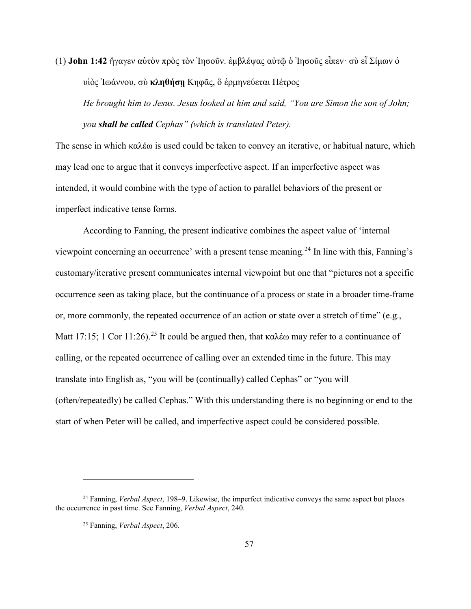(1) **John 1:42** ἤγαγεν αὐτὸν πρὸς τὸν Ἰησοῦν. ἐμβλέψας αὐτῷ ὁ Ἰησοῦς εἶπεν· σὺ εἶ Σίμων ὁ υἱὸς Ἰωάννου, σὺ **κληθήσῃ** Κηφᾶς, ὃ ἑρμηνεύεται Πέτρος

*He brought him to Jesus. Jesus looked at him and said, "You are Simon the son of John; you shall be called Cephas" (which is translated Peter).*

The sense in which καλέω is used could be taken to convey an iterative, or habitual nature, which may lead one to argue that it conveys imperfective aspect. If an imperfective aspect was intended, it would combine with the type of action to parallel behaviors of the present or imperfect indicative tense forms.

According to Fanning, the present indicative combines the aspect value of 'internal viewpoint concerning an occurrence' with a present tense meaning.<sup>[24](#page-63-0)</sup> In line with this, Fanning's customary/iterative present communicates internal viewpoint but one that "pictures not a specific occurrence seen as taking place, but the continuance of a process or state in a broader time-frame or, more commonly, the repeated occurrence of an action or state over a stretch of time" (e.g., Matt 17:15; 1 Cor 11:26).<sup>[25](#page-63-1)</sup> It could be argued then, that καλέω may refer to a continuance of calling, or the repeated occurrence of calling over an extended time in the future. This may translate into English as, "you will be (continually) called Cephas" or "you will (often/repeatedly) be called Cephas." With this understanding there is no beginning or end to the start of when Peter will be called, and imperfective aspect could be considered possible.

<span id="page-63-1"></span><span id="page-63-0"></span><sup>24</sup> Fanning, *Verbal Aspect*, 198–9. Likewise, the imperfect indicative conveys the same aspect but places the occurrence in past time. See Fanning, *Verbal Aspect*, 240.

<sup>25</sup> Fanning, *Verbal Aspect*, 206.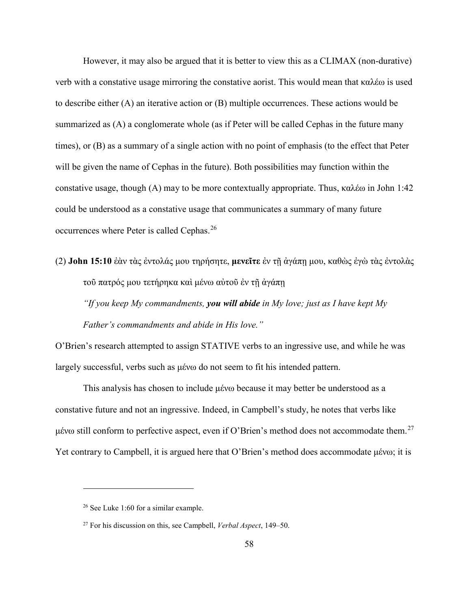However, it may also be argued that it is better to view this as a CLIMAX (non-durative) verb with a constative usage mirroring the constative aorist. This would mean that καλέω is used to describe either (A) an iterative action or (B) multiple occurrences. These actions would be summarized as (A) a conglomerate whole (as if Peter will be called Cephas in the future many times), or (B) as a summary of a single action with no point of emphasis (to the effect that Peter will be given the name of Cephas in the future). Both possibilities may function within the constative usage, though (A) may to be more contextually appropriate. Thus, καλέω in John 1:42 could be understood as a constative usage that communicates a summary of many future occurrences where Peter is called Cephas.<sup>[26](#page-64-0)</sup>

(2) **John 15:10** ἐὰν τὰς ἐντολάς μου τηρήσητε, **μενεῖτε** ἐν τῇ ἀγάπῃ μου, καθὼς ἐγὼ τὰς ἐντολὰς τοῦ πατρός μου τετήρηκα καὶ μένω αὐτοῦ ἐν τῇ ἀγάπῃ *"If you keep My commandments, you will abide in My love; just as I have kept My Father's commandments and abide in His love."* 

O'Brien's research attempted to assign STATIVE verbs to an ingressive use, and while he was largely successful, verbs such as μένω do not seem to fit his intended pattern.

This analysis has chosen to include μένω because it may better be understood as a constative future and not an ingressive. Indeed, in Campbell's study, he notes that verbs like μένω still conform to perfective aspect, even if O'Brien's method does not accommodate them.<sup>[27](#page-64-1)</sup> Yet contrary to Campbell, it is argued here that O'Brien's method does accommodate μένω; it is

<span id="page-64-0"></span><sup>&</sup>lt;sup>26</sup> See Luke 1:60 for a similar example.

<span id="page-64-1"></span><sup>27</sup> For his discussion on this, see Campbell, *Verbal Aspect*, 149–50.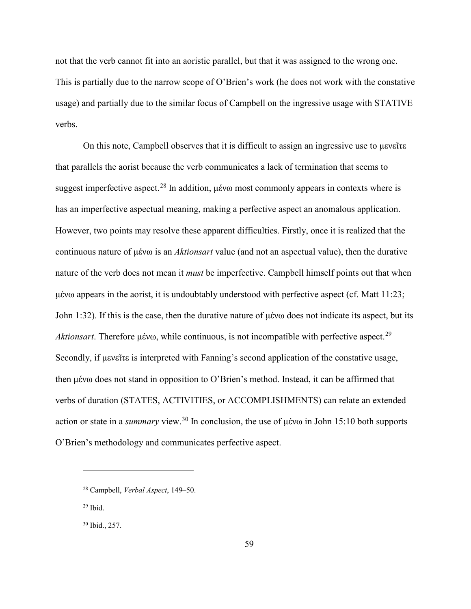not that the verb cannot fit into an aoristic parallel, but that it was assigned to the wrong one. This is partially due to the narrow scope of O'Brien's work (he does not work with the constative usage) and partially due to the similar focus of Campbell on the ingressive usage with STATIVE verbs.

On this note, Campbell observes that it is difficult to assign an ingressive use to μενεῖτε that parallels the aorist because the verb communicates a lack of termination that seems to suggest imperfective aspect.<sup>[28](#page-65-0)</sup> In addition, μένω most commonly appears in contexts where is has an imperfective aspectual meaning, making a perfective aspect an anomalous application. However, two points may resolve these apparent difficulties. Firstly, once it is realized that the continuous nature of μένω is an *Aktionsart* value (and not an aspectual value), then the durative nature of the verb does not mean it *must* be imperfective. Campbell himself points out that when μένω appears in the aorist, it is undoubtably understood with perfective aspect (cf. Matt 11:23; John 1:32). If this is the case, then the durative nature of μένω does not indicate its aspect, but its *Aktionsart*. Therefore μένω, while continuous, is not incompatible with perfective aspect. [29](#page-65-1) Secondly, if μενεῖτε is interpreted with Fanning's second application of the constative usage, then μένω does not stand in opposition to O'Brien's method. Instead, it can be affirmed that verbs of duration (STATES, ACTIVITIES, or ACCOMPLISHMENTS) can relate an extended action or state in a *summary* view.[30](#page-65-2) In conclusion, the use of μένω in John 15:10 both supports O'Brien's methodology and communicates perfective aspect.

<span id="page-65-1"></span> $29$  Ibid.

 $\overline{a}$ 

<span id="page-65-2"></span><sup>30</sup> Ibid., 257.

<span id="page-65-0"></span><sup>28</sup> Campbell, *Verbal Aspect*, 149–50.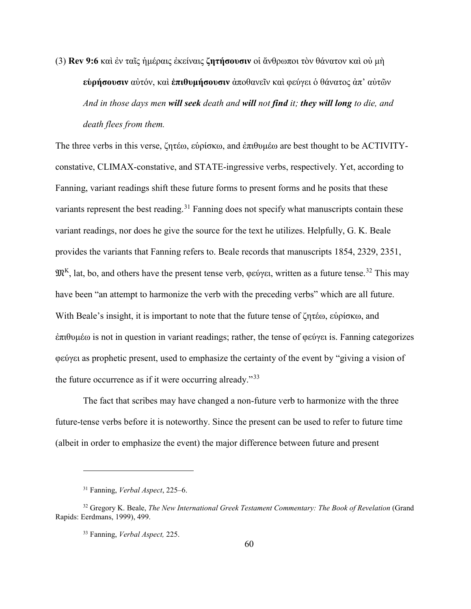(3) **Rev 9:6** καὶ ἐν ταῖς ἡμέραις ἐκείναις **ζητήσουσιν** οἱ ἄνθρωποι τὸν θάνατον καὶ οὐ μὴ **εὑρήσουσιν** αὐτόν, καὶ **ἐπιθυμήσουσιν** ἀποθανεῖν καὶ φεύγει ὁ θάνατος ἀπ' αὐτῶν *And in those days men will seek death and will not find it; they will long to die, and death flees from them.*

The three verbs in this verse, ζητέω, εὑρίσκω, and ἐπιθυμέω are best thought to be ACTIVITYconstative, CLIMAX-constative, and STATE-ingressive verbs, respectively. Yet, according to Fanning, variant readings shift these future forms to present forms and he posits that these variants represent the best reading.<sup>[31](#page-66-0)</sup> Fanning does not specify what manuscripts contain these variant readings, nor does he give the source for the text he utilizes. Helpfully, G. K. Beale provides the variants that Fanning refers to. Beale records that manuscripts 1854, 2329, 2351,  $\mathfrak{M}^K$ , lat, bo, and others have the present tense verb, φεύγει, written as a future tense.<sup>[32](#page-66-1)</sup> This may have been "an attempt to harmonize the verb with the preceding verbs" which are all future. With Beale's insight, it is important to note that the future tense of ζητέω, εὑρίσκω, and ἐπιθυμέω is not in question in variant readings; rather, the tense of φεύγει is. Fanning categorizes φεύγει as prophetic present, used to emphasize the certainty of the event by "giving a vision of the future occurrence as if it were occurring already."[33](#page-66-2)

The fact that scribes may have changed a non-future verb to harmonize with the three future-tense verbs before it is noteworthy. Since the present can be used to refer to future time (albeit in order to emphasize the event) the major difference between future and present

<sup>31</sup> Fanning, *Verbal Aspect*, 225–6.

<span id="page-66-2"></span><span id="page-66-1"></span><span id="page-66-0"></span><sup>32</sup> Gregory K. Beale, *The New International Greek Testament Commentary: The Book of Revelation* (Grand Rapids: Eerdmans, 1999), 499.

<sup>33</sup> Fanning, *Verbal Aspect,* 225.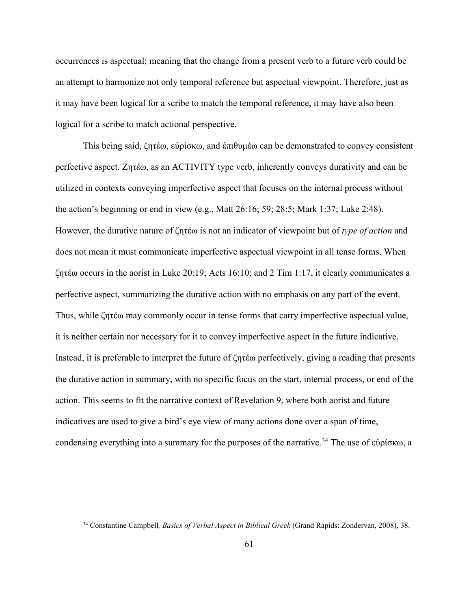occurrences is aspectual; meaning that the change from a present verb to a future verb could be an attempt to harmonize not only temporal reference but aspectual viewpoint. Therefore, just as it may have been logical for a scribe to match the temporal reference, it may have also been logical for a scribe to match actional perspective.

This being said, ζητέω, εὑρίσκω, and ἐπιθυμέω can be demonstrated to convey consistent perfective aspect. Ζητέω, as an ACTIVITY type verb, inherently conveys durativity and can be utilized in contexts conveying imperfective aspect that focuses on the internal process without the action's beginning or end in view (e.g., Matt 26:16; 59; 28:5; Mark 1:37; Luke 2:48). However, the durative nature of ζητέω is not an indicator of viewpoint but of *type of action* and does not mean it must communicate imperfective aspectual viewpoint in all tense forms. When ζητέω occurs in the aorist in Luke 20:19; Acts 16:10; and 2 Tim 1:17, it clearly communicates a perfective aspect, summarizing the durative action with no emphasis on any part of the event. Thus, while ζητέω may commonly occur in tense forms that carry imperfective aspectual value, it is neither certain nor necessary for it to convey imperfective aspect in the future indicative. Instead, it is preferable to interpret the future of ζητέω perfectively, giving a reading that presents the durative action in summary, with no specific focus on the start, internal process, or end of the action. This seems to fit the narrative context of Revelation 9, where both aorist and future indicatives are used to give a bird's eye view of many actions done over a span of time, condensing everything into a summary for the purposes of the narrative. [34](#page-67-0) The use of εὑρίσκω, a

<span id="page-67-0"></span><sup>34</sup> Constantine Campbell*, Basics of Verbal Aspect in Biblical Greek* (Grand Rapids: Zondervan, 2008), 38.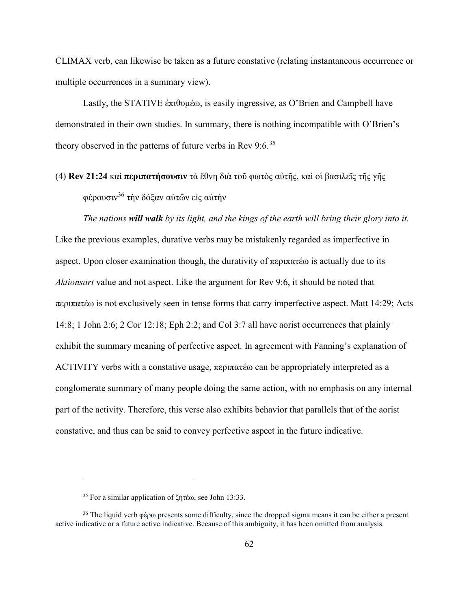CLIMAX verb, can likewise be taken as a future constative (relating instantaneous occurrence or multiple occurrences in a summary view).

Lastly, the STATIVE ἐπιθυμέω, is easily ingressive, as O'Brien and Campbell have demonstrated in their own studies. In summary, there is nothing incompatible with O'Brien's theory observed in the patterns of future verbs in Rev  $9:6.^{35}$  $9:6.^{35}$  $9:6.^{35}$ 

(4) **Rev 21:24** καὶ **περιπατήσουσιν** τὰ ἔθνη διὰ τοῦ φωτὸς αὐτῆς, καὶ οἱ βασιλεῖς τῆς γῆς φέρουσιν[36](#page-68-1) τὴν δόξαν αὐτῶν εἰς αὐτήν

*The nations will walk by its light, and the kings of the earth will bring their glory into it.*  Like the previous examples, durative verbs may be mistakenly regarded as imperfective in aspect. Upon closer examination though, the durativity of περιπατέω is actually due to its *Aktionsart* value and not aspect. Like the argument for Rev 9:6, it should be noted that περιπατέω is not exclusively seen in tense forms that carry imperfective aspect. Matt 14:29; Acts 14:8; 1 John 2:6; 2 Cor 12:18; Eph 2:2; and Col 3:7 all have aorist occurrences that plainly exhibit the summary meaning of perfective aspect. In agreement with Fanning's explanation of ACTIVITY verbs with a constative usage, περιπατέω can be appropriately interpreted as a conglomerate summary of many people doing the same action, with no emphasis on any internal part of the activity. Therefore, this verse also exhibits behavior that parallels that of the aorist constative, and thus can be said to convey perfective aspect in the future indicative.

<sup>35</sup> For a similar application of ζητέω, see John 13:33.

<span id="page-68-1"></span><span id="page-68-0"></span><sup>36</sup> The liquid verb φέρω presents some difficulty, since the dropped sigma means it can be either a present active indicative or a future active indicative. Because of this ambiguity, it has been omitted from analysis.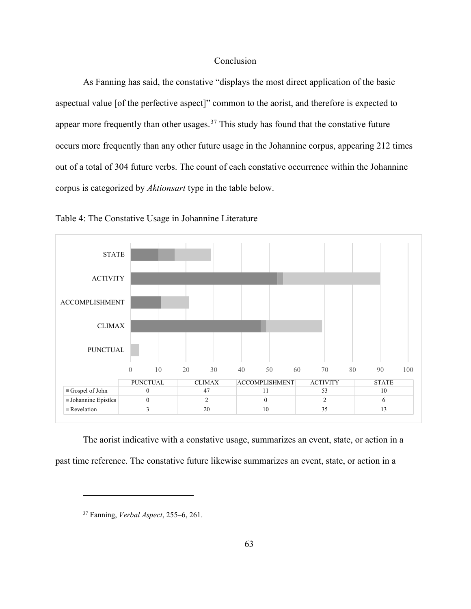## Conclusion

As Fanning has said, the constative "displays the most direct application of the basic aspectual value [of the perfective aspect]" common to the aorist, and therefore is expected to appear more frequently than other usages.<sup>[37](#page-69-0)</sup> This study has found that the constative future occurs more frequently than any other future usage in the Johannine corpus, appearing 212 times out of a total of 304 future verbs. The count of each constative occurrence within the Johannine corpus is categorized by *Aktionsart* type in the table below.





The aorist indicative with a constative usage, summarizes an event, state, or action in a past time reference. The constative future likewise summarizes an event, state, or action in a

<span id="page-69-0"></span><sup>37</sup> Fanning, *Verbal Aspect*, 255–6, 261.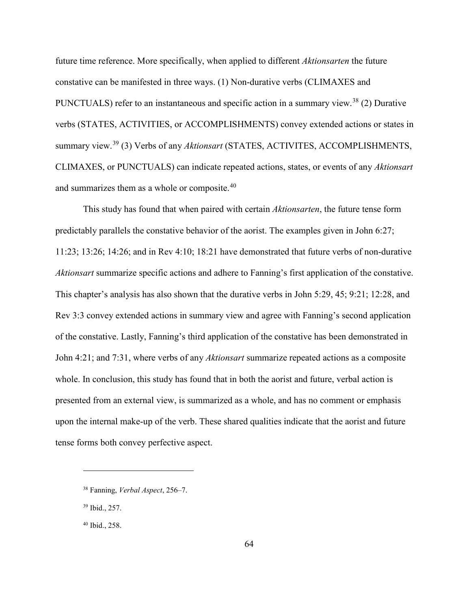future time reference. More specifically, when applied to different *Aktionsarten* the future constative can be manifested in three ways. (1) Non-durative verbs (CLIMAXES and PUNCTUALS) refer to an instantaneous and specific action in a summary view.<sup>[38](#page-70-0)</sup> (2) Durative verbs (STATES, ACTIVITIES, or ACCOMPLISHMENTS) convey extended actions or states in summary view. [39](#page-70-1) (3) Verbs of any *Aktionsart* (STATES, ACTIVITES, ACCOMPLISHMENTS, CLIMAXES, or PUNCTUALS) can indicate repeated actions, states, or events of any *Aktionsart* and summarizes them as a whole or composite.[40](#page-70-2)

This study has found that when paired with certain *Aktionsarten*, the future tense form predictably parallels the constative behavior of the aorist. The examples given in John 6:27; 11:23; 13:26; 14:26; and in Rev 4:10; 18:21 have demonstrated that future verbs of non-durative *Aktionsart* summarize specific actions and adhere to Fanning's first application of the constative. This chapter's analysis has also shown that the durative verbs in John 5:29, 45; 9:21; 12:28, and Rev 3:3 convey extended actions in summary view and agree with Fanning's second application of the constative. Lastly, Fanning's third application of the constative has been demonstrated in John 4:21; and 7:31, where verbs of any *Aktionsart* summarize repeated actions as a composite whole. In conclusion, this study has found that in both the aorist and future, verbal action is presented from an external view, is summarized as a whole, and has no comment or emphasis upon the internal make-up of the verb. These shared qualities indicate that the aorist and future tense forms both convey perfective aspect.

<span id="page-70-0"></span><sup>38</sup> Fanning, *Verbal Aspect*, 256–7.

<span id="page-70-1"></span><sup>39</sup> Ibid., 257.

<span id="page-70-2"></span><sup>40</sup> Ibid., 258.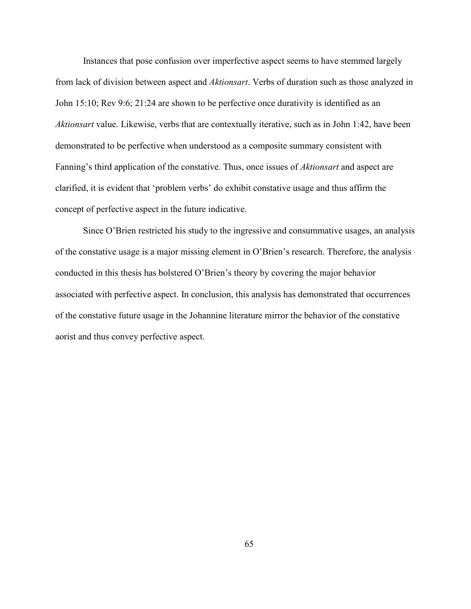Instances that pose confusion over imperfective aspect seems to have stemmed largely from lack of division between aspect and *Aktionsart*. Verbs of duration such as those analyzed in John 15:10; Rev 9:6; 21:24 are shown to be perfective once durativity is identified as an *Aktionsart* value. Likewise, verbs that are contextually iterative, such as in John 1:42, have been demonstrated to be perfective when understood as a composite summary consistent with Fanning's third application of the constative. Thus, once issues of *Aktionsart* and aspect are clarified, it is evident that 'problem verbs' do exhibit constative usage and thus affirm the concept of perfective aspect in the future indicative.

Since O'Brien restricted his study to the ingressive and consummative usages, an analysis of the constative usage is a major missing element in O'Brien's research. Therefore, the analysis conducted in this thesis has bolstered O'Brien's theory by covering the major behavior associated with perfective aspect. In conclusion, this analysis has demonstrated that occurrences of the constative future usage in the Johannine literature mirror the behavior of the constative aorist and thus convey perfective aspect.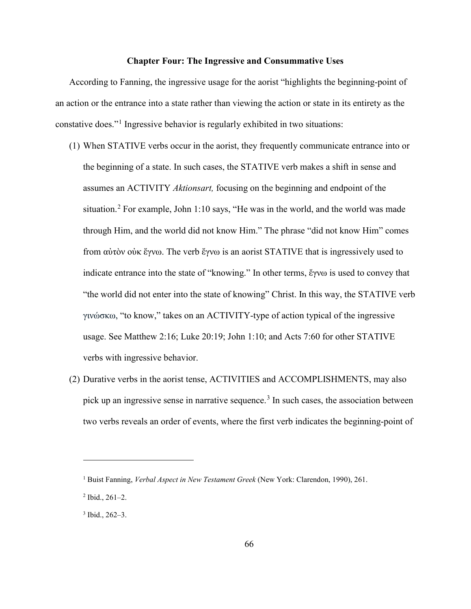#### **Chapter Four: The Ingressive and Consummative Uses**

According to Fanning, the ingressive usage for the aorist "highlights the beginning-point of an action or the entrance into a state rather than viewing the action or state in its entirety as the constative does."[1](#page-72-0) Ingressive behavior is regularly exhibited in two situations:

- (1) When STATIVE verbs occur in the aorist, they frequently communicate entrance into or the beginning of a state. In such cases, the STATIVE verb makes a shift in sense and assumes an ACTIVITY *Aktionsart,* focusing on the beginning and endpoint of the situation.<sup>[2](#page-72-1)</sup> For example, John 1:10 says, "He was in the world, and the world was made through Him, and the world did not know Him." The phrase "did not know Him" comes from αὐτὸν οὐκ ἔγνω. The verb ἔγνω is an aorist STATIVE that is ingressively used to indicate entrance into the state of "knowing." In other terms, ἔγνω is used to convey that "the world did not enter into the state of knowing" Christ. In this way, the STATIVE verb γινώσκω, "to know," takes on an ACTIVITY-type of action typical of the ingressive usage. See Matthew 2:16; Luke 20:19; John 1:10; and Acts 7:60 for other STATIVE verbs with ingressive behavior.
- (2) Durative verbs in the aorist tense, ACTIVITIES and ACCOMPLISHMENTS, may also pick up an ingressive sense in narrative sequence.<sup>[3](#page-72-2)</sup> In such cases, the association between two verbs reveals an order of events, where the first verb indicates the beginning-point of

<span id="page-72-0"></span><sup>1</sup> Buist Fanning, *Verbal Aspect in New Testament Greek* (New York: Clarendon, 1990), 261.

<span id="page-72-1"></span> $2$  Ibid., 261–2.

<span id="page-72-2"></span><sup>3</sup> Ibid., 262–3.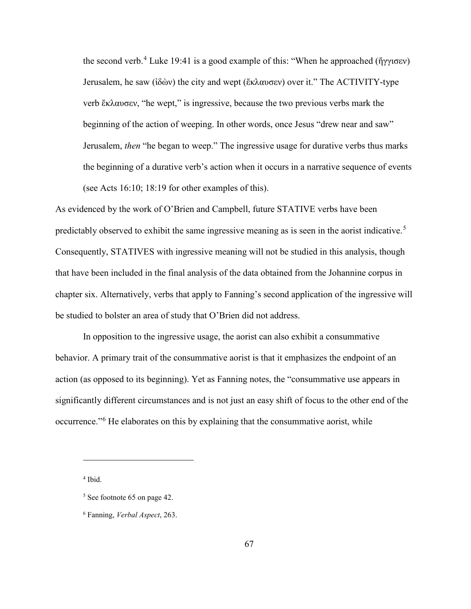the second verb.<sup>[4](#page-73-0)</sup> Luke 19:41 is a good example of this: "When he approached (ἤγγισεν) Jerusalem, he saw (ἰδὼν) the city and wept (ἔκλαυσεν) over it." The ACTIVITY-type verb ἔκλαυσεν, "he wept," is ingressive, because the two previous verbs mark the beginning of the action of weeping. In other words, once Jesus "drew near and saw" Jerusalem, *then* "he began to weep." The ingressive usage for durative verbs thus marks the beginning of a durative verb's action when it occurs in a narrative sequence of events (see Acts 16:10; 18:19 for other examples of this).

As evidenced by the work of O'Brien and Campbell, future STATIVE verbs have been predictably observed to exhibit the same ingressive meaning as is seen in the aorist indicative.<sup>[5](#page-73-1)</sup> Consequently, STATIVES with ingressive meaning will not be studied in this analysis, though that have been included in the final analysis of the data obtained from the Johannine corpus in chapter six. Alternatively, verbs that apply to Fanning's second application of the ingressive will be studied to bolster an area of study that O'Brien did not address.

In opposition to the ingressive usage, the aorist can also exhibit a consummative behavior. A primary trait of the consummative aorist is that it emphasizes the endpoint of an action (as opposed to its beginning). Yet as Fanning notes, the "consummative use appears in significantly different circumstances and is not just an easy shift of focus to the other end of the occurrence."[6](#page-73-2) He elaborates on this by explaining that the consummative aorist, while

<span id="page-73-0"></span><sup>4</sup> Ibid.

<span id="page-73-1"></span> $<sup>5</sup>$  See footnote 65 on page 42.</sup>

<span id="page-73-2"></span><sup>6</sup> Fanning, *Verbal Aspect*, 263.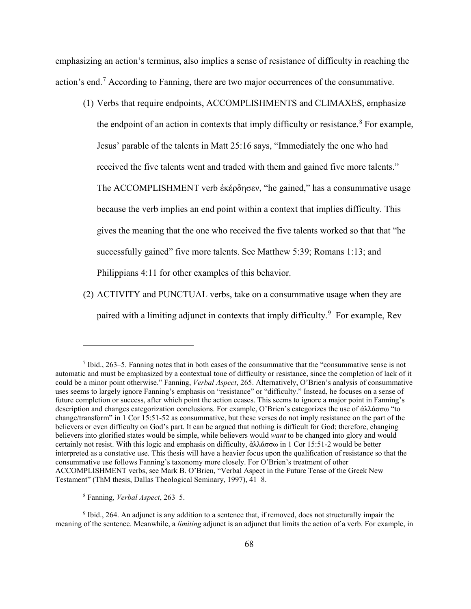emphasizing an action's terminus, also implies a sense of resistance of difficulty in reaching the action's end.<sup>[7](#page-74-0)</sup> According to Fanning, there are two major occurrences of the consummative.

- (1) Verbs that require endpoints, ACCOMPLISHMENTS and CLIMAXES, emphasize the endpoint of an action in contexts that imply difficulty or resistance.<sup>[8](#page-74-1)</sup> For example, Jesus' parable of the talents in Matt 25:16 says, "Immediately the one who had received the five talents went and traded with them and gained five more talents." The ACCOMPLISHMENT verb ἐκέρδησεν, "he gained," has a consummative usage because the verb implies an end point within a context that implies difficulty. This gives the meaning that the one who received the five talents worked so that that "he successfully gained" five more talents. See Matthew 5:39; Romans 1:13; and Philippians 4:11 for other examples of this behavior.
- (2) ACTIVITY and PUNCTUAL verbs, take on a consummative usage when they are paired with a limiting adjunct in contexts that imply difficulty.<sup>[9](#page-74-2)</sup> For example, Rev

<span id="page-74-0"></span> $^7$  Ibid., 263–5. Fanning notes that in both cases of the consummative that the "consummative sense is not automatic and must be emphasized by a contextual tone of difficulty or resistance, since the completion of lack of it could be a minor point otherwise." Fanning, *Verbal Aspect*, 265. Alternatively, O'Brien's analysis of consummative uses seems to largely ignore Fanning's emphasis on "resistance" or "difficulty." Instead, he focuses on a sense of future completion or success, after which point the action ceases. This seems to ignore a major point in Fanning's description and changes categorization conclusions. For example, O'Brien's categorizes the use of ἀλλάσσω "to change/transform" in 1 Cor 15:51-52 as consummative, but these verses do not imply resistance on the part of the believers or even difficulty on God's part. It can be argued that nothing is difficult for God; therefore, changing believers into glorified states would be simple, while believers would *want* to be changed into glory and would certainly not resist. With this logic and emphasis on difficulty, ἀλλάσσω in 1 Cor 15:51-2 would be better interpreted as a constative use. This thesis will have a heavier focus upon the qualification of resistance so that the consummative use follows Fanning's taxonomy more closely. For O'Brien's treatment of other ACCOMPLISHMENT verbs, see Mark B. O'Brien, "Verbal Aspect in the Future Tense of the Greek New Testament" (ThM thesis, Dallas Theological Seminary, 1997), 41–8.

<sup>8</sup> Fanning, *Verbal Aspect*, 263–5.

<span id="page-74-2"></span><span id="page-74-1"></span><sup>9</sup> Ibid., 264. An adjunct is any addition to a sentence that, if removed, does not structurally impair the meaning of the sentence. Meanwhile, a *limiting* adjunct is an adjunct that limits the action of a verb. For example, in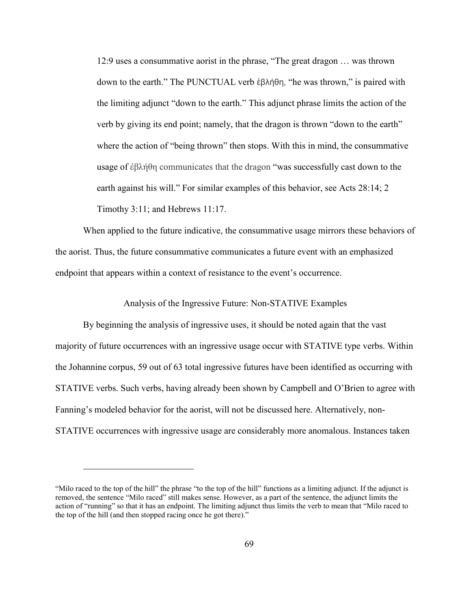12:9 uses a consummative aorist in the phrase, "The great dragon … was thrown down to the earth." The PUNCTUAL verb ἐβλήθη, "he was thrown," is paired with the limiting adjunct "down to the earth." This adjunct phrase limits the action of the verb by giving its end point; namely, that the dragon is thrown "down to the earth" where the action of "being thrown" then stops. With this in mind, the consummative usage of ἐβλήθη communicates that the dragon "was successfully cast down to the earth against his will." For similar examples of this behavior, see Acts 28:14; 2 Timothy 3:11; and Hebrews 11:17.

When applied to the future indicative, the consummative usage mirrors these behaviors of the aorist. Thus, the future consummative communicates a future event with an emphasized endpoint that appears within a context of resistance to the event's occurrence.

### Analysis of the Ingressive Future: Non-STATIVE Examples

By beginning the analysis of ingressive uses, it should be noted again that the vast majority of future occurrences with an ingressive usage occur with STATIVE type verbs. Within the Johannine corpus, 59 out of 63 total ingressive futures have been identified as occurring with STATIVE verbs. Such verbs, having already been shown by Campbell and O'Brien to agree with Fanning's modeled behavior for the aorist, will not be discussed here. Alternatively, non-STATIVE occurrences with ingressive usage are considerably more anomalous. Instances taken

<sup>&</sup>quot;Milo raced to the top of the hill" the phrase "to the top of the hill" functions as a limiting adjunct. If the adjunct is removed, the sentence "Milo raced" still makes sense. However, as a part of the sentence, the adjunct limits the action of "running" so that it has an endpoint. The limiting adjunct thus limits the verb to mean that "Milo raced to the top of the hill (and then stopped racing once he got there)."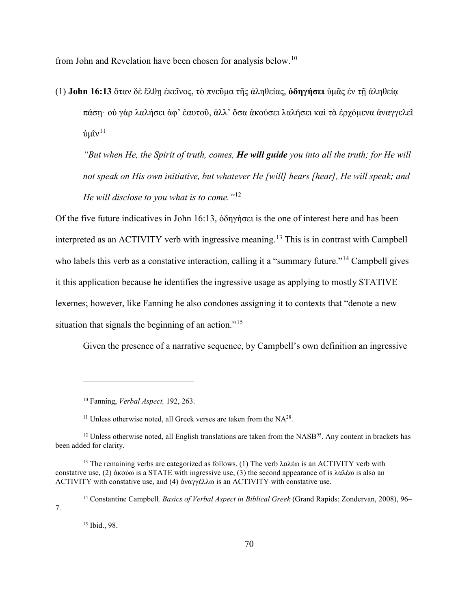from John and Revelation have been chosen for analysis below.[10](#page-76-0)

(1) **John 16:13** ὅταν δὲ ἔλθῃ ἐκεῖνος, τὸ πνεῦμα τῆς ἀληθείας, **ὁδηγήσει** ὑμᾶς ἐν τῇ ἀληθείᾳ πάσῃ· οὐ γὰρ λαλήσει ἀφ' ἑαυτοῦ, ἀλλ' ὅσα ἀκούσει λαλήσει καὶ τὰ ἐρχόμενα ἀναγγελεῖ  $\dot{v}$ μῖν $^{11}$  $^{11}$  $^{11}$ 

*"But when He, the Spirit of truth, comes, He will guide you into all the truth; for He will not speak on His own initiative, but whatever He [will] hears [hear], He will speak; and He will disclose to you what is to come."*[12](#page-76-2)

Of the five future indicatives in John 16:13, ὁδηγήσει is the one of interest here and has been interpreted as an ACTIVITY verb with ingressive meaning.<sup>[13](#page-76-3)</sup> This is in contrast with Campbell who labels this verb as a constative interaction, calling it a "summary future."<sup>[14](#page-76-4)</sup> Campbell gives it this application because he identifies the ingressive usage as applying to mostly STATIVE lexemes; however, like Fanning he also condones assigning it to contexts that "denote a new situation that signals the beginning of an action."<sup>[15](#page-76-5)</sup>

Given the presence of a narrative sequence, by Campbell's own definition an ingressive

<sup>10</sup> Fanning, *Verbal Aspect,* 192, 263.

<sup>&</sup>lt;sup>11</sup> Unless otherwise noted, all Greek verses are taken from the  $NA^{28}$ .

<span id="page-76-2"></span><span id="page-76-1"></span><span id="page-76-0"></span><sup>&</sup>lt;sup>12</sup> Unless otherwise noted, all English translations are taken from the NASB<sup>95</sup>. Any content in brackets has been added for clarity.

<span id="page-76-3"></span><sup>&</sup>lt;sup>13</sup> The remaining verbs are categorized as follows. (1) The verb λαλέω is an ACTIVITY verb with constative use, (2) ἀκούω is a STATE with ingressive use, (3) the second appearance of is λαλέω is also an ACTIVITY with constative use, and (4) ἀναγγέλλω is an ACTIVITY with constative use.

<span id="page-76-5"></span><span id="page-76-4"></span><sup>14</sup> Constantine Campbell*, Basics of Verbal Aspect in Biblical Greek* (Grand Rapids: Zondervan, 2008), 96– 7.

<sup>15</sup> Ibid., 98.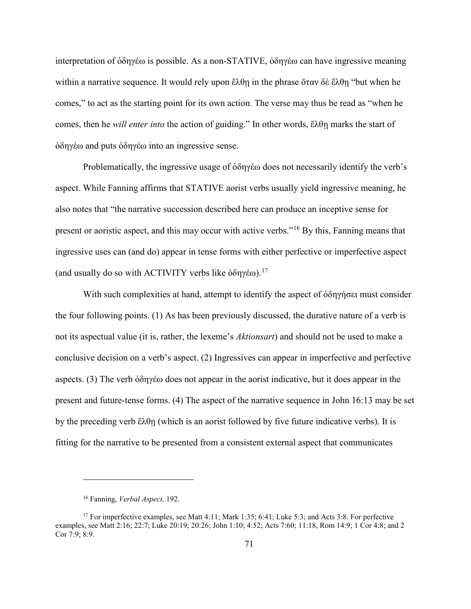interpretation of ὁδηγέω is possible. As a non-STATIVE, ὁδηγέω can have ingressive meaning within a narrative sequence. It would rely upon ἔλθῃ in the phrase ὅταν δὲ ἔλθῃ "but when he comes," to act as the starting point for its own action. The verse may thus be read as "when he comes, then he *will enter into* the action of guiding." In other words, ἔλθῃ marks the start of ὁδηγέω and puts ὁδηγέω into an ingressive sense.

Problematically, the ingressive usage of ὁδηγέω does not necessarily identify the verb's aspect. While Fanning affirms that STATIVE aorist verbs usually yield ingressive meaning, he also notes that "the narrative succession described here can produce an inceptive sense for present or aoristic aspect, and this may occur with active verbs."[16](#page-77-0) By this, Fanning means that ingressive uses can (and do) appear in tense forms with either perfective or imperfective aspect (and usually do so with ACTIVITY verbs like  $\delta \delta \eta \gamma \epsilon \omega$ ).<sup>[17](#page-77-1)</sup>

With such complexities at hand, attempt to identify the aspect of ὁδηγήσει must consider the four following points. (1) As has been previously discussed, the durative nature of a verb is not its aspectual value (it is, rather, the lexeme's *Aktionsart*) and should not be used to make a conclusive decision on a verb's aspect. (2) Ingressives can appear in imperfective and perfective aspects. (3) The verb ὁδηγέω does not appear in the aorist indicative, but it does appear in the present and future-tense forms. (4) The aspect of the narrative sequence in John 16:13 may be set by the preceding verb ἔλθῃ (which is an aorist followed by five future indicative verbs). It is fitting for the narrative to be presented from a consistent external aspect that communicates

<sup>16</sup> Fanning, *Verbal Aspect,* 192.

<span id="page-77-1"></span><span id="page-77-0"></span><sup>&</sup>lt;sup>17</sup> For imperfective examples, see Matt 4:11; Mark 1:35; 6:41; Luke 5:3; and Acts 3:8. For perfective examples, see Matt 2:16; 22:7; Luke 20:19; 20:26; John 1:10; 4:52; Acts 7:60; 11:18, Rom 14:9; 1 Cor 4:8; and 2 Cor 7:9; 8:9.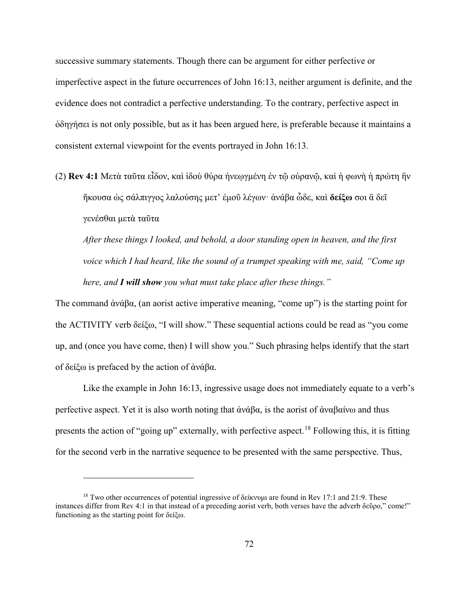successive summary statements. Though there can be argument for either perfective or imperfective aspect in the future occurrences of John 16:13, neither argument is definite, and the evidence does not contradict a perfective understanding. To the contrary, perfective aspect in ὁδηγήσει is not only possible, but as it has been argued here, is preferable because it maintains a consistent external viewpoint for the events portrayed in John 16:13.

(2) **Rev 4:1** Μετὰ ταῦτα εἶδον, καὶ ἰδοὺ θύρα ἠνεῳγμένη ἐν τῷ οὐρανῷ, καὶ ἡ φωνὴ ἡ πρώτη ἣν ἤκουσα ὡς σάλπιγγος λαλούσης μετ' ἐμοῦ λέγων· ἀνάβα ὧδε, καὶ **δείξω** σοι ἃ δεῖ γενέσθαι μετὰ ταῦτα

*After these things I looked, and behold, a door standing open in heaven, and the first voice which I had heard, like the sound of a trumpet speaking with me, said, "Come up here, and I will show you what must take place after these things."* 

The command ἀνάβα, (an aorist active imperative meaning, "come up") is the starting point for the ACTIVITY verb δείξω, "I will show." These sequential actions could be read as "you come up, and (once you have come, then) I will show you." Such phrasing helps identify that the start of δείξω is prefaced by the action of ἀνάβα.

Like the example in John 16:13, ingressive usage does not immediately equate to a verb's perfective aspect. Yet it is also worth noting that  $\dot{\alpha}\nu\dot{\alpha}\beta\alpha$ , is the aorist of  $\dot{\alpha}\nu\alpha\beta\alpha\dot{\alpha}\nu\alpha$  and thus presents the action of "going up" externally, with perfective aspect.<sup>[18](#page-78-0)</sup> Following this, it is fitting for the second verb in the narrative sequence to be presented with the same perspective. Thus,

<span id="page-78-0"></span><sup>&</sup>lt;sup>18</sup> Two other occurrences of potential ingressive of δείκνυμι are found in Rev 17:1 and 21:9. These instances differ from Rev 4:1 in that instead of a preceding aorist verb, both verses have the adverb δεῦρο," come!" functioning as the starting point for δείξω.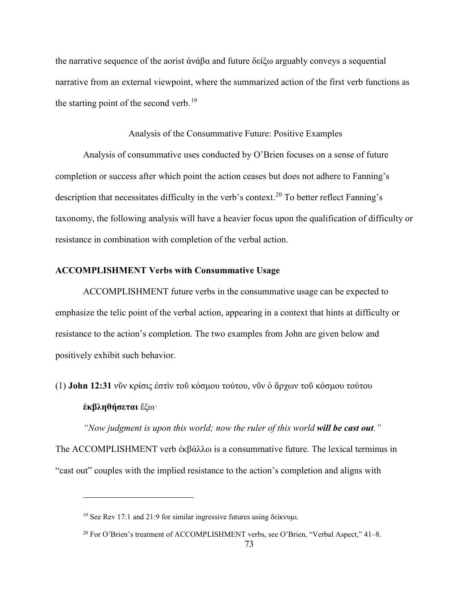the narrative sequence of the aorist ἀνάβα and future δείξω arguably conveys a sequential narrative from an external viewpoint, where the summarized action of the first verb functions as the starting point of the second verb.<sup>[19](#page-79-0)</sup>

#### Analysis of the Consummative Future: Positive Examples

Analysis of consummative uses conducted by O'Brien focuses on a sense of future completion or success after which point the action ceases but does not adhere to Fanning's description that necessitates difficulty in the verb's context.<sup>[20](#page-79-1)</sup> To better reflect Fanning's taxonomy, the following analysis will have a heavier focus upon the qualification of difficulty or resistance in combination with completion of the verbal action.

## **ACCOMPLISHMENT Verbs with Consummative Usage**

ACCOMPLISHMENT future verbs in the consummative usage can be expected to emphasize the telic point of the verbal action, appearing in a context that hints at difficulty or resistance to the action's completion. The two examples from John are given below and positively exhibit such behavior.

(1) **John 12:31** νῦν κρίσις ἐστὶν τοῦ κόσμου τούτου, νῦν ὁ ἄρχων τοῦ κόσμου τούτου **ἐκβληθήσεται** ἔξω·

*"Now judgment is upon this world; now the ruler of this world will be cast out."*  The ACCOMPLISHMENT verb ἐκβάλλω is a consummative future. The lexical terminus in "cast out" couples with the implied resistance to the action's completion and aligns with

<span id="page-79-0"></span><sup>&</sup>lt;sup>19</sup> See Rev 17:1 and 21:9 for similar ingressive futures using δείκνυμι.

<span id="page-79-1"></span><sup>&</sup>lt;sup>20</sup> For O'Brien's treatment of ACCOMPLISHMENT verbs, see O'Brien, "Verbal Aspect," 41-8.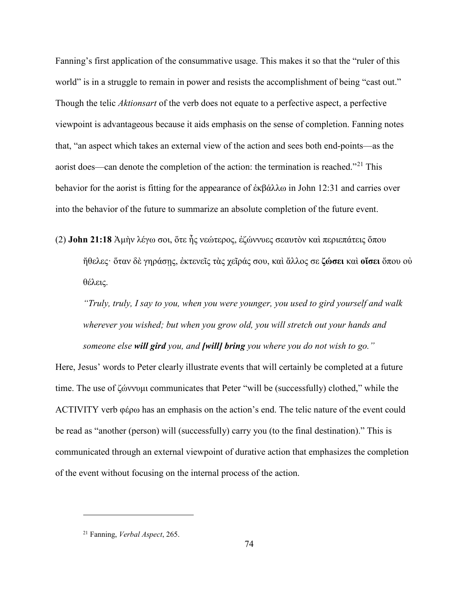Fanning's first application of the consummative usage. This makes it so that the "ruler of this world" is in a struggle to remain in power and resists the accomplishment of being "cast out." Though the telic *Aktionsart* of the verb does not equate to a perfective aspect, a perfective viewpoint is advantageous because it aids emphasis on the sense of completion. Fanning notes that, "an aspect which takes an external view of the action and sees both end-points—as the aorist does—can denote the completion of the action: the termination is reached."<sup>[21](#page-80-0)</sup> This behavior for the aorist is fitting for the appearance of ἐκβάλλω in John 12:31 and carries over into the behavior of the future to summarize an absolute completion of the future event.

(2) **John 21:18** Ἀμὴν λέγω σοι, ὅτε ἦς νεώτερος, ἐζώννυες σεαυτὸν καὶ περιεπάτεις ὅπου ἤθελες· ὅταν δὲ γηράσῃς, ἐκτενεῖς τὰς χεῖράς σου, καὶ ἄλλος σε **ζώσει** καὶ **οἴσει** ὅπου οὐ θέλεις.

*"Truly, truly, I say to you, when you were younger, you used to gird yourself and walk wherever you wished; but when you grow old, you will stretch out your hands and someone else will gird you, and [will] bring you where you do not wish to go."*

Here, Jesus' words to Peter clearly illustrate events that will certainly be completed at a future time. The use of ζώννυμι communicates that Peter "will be (successfully) clothed," while the ACTIVITY verb φέρω has an emphasis on the action's end. The telic nature of the event could be read as "another (person) will (successfully) carry you (to the final destination)." This is communicated through an external viewpoint of durative action that emphasizes the completion of the event without focusing on the internal process of the action.

<span id="page-80-0"></span><sup>21</sup> Fanning, *Verbal Aspect*, 265.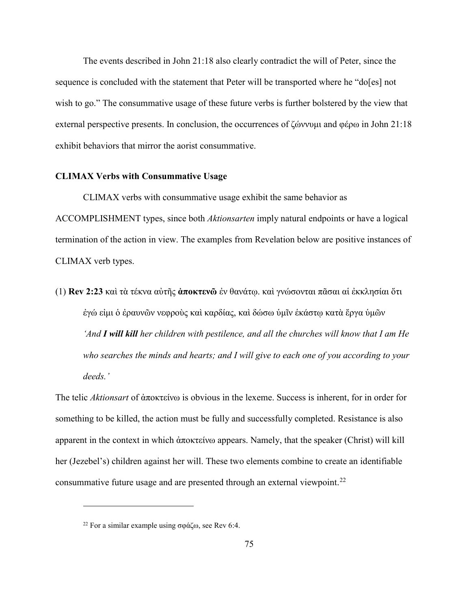The events described in John 21:18 also clearly contradict the will of Peter, since the sequence is concluded with the statement that Peter will be transported where he "do[es] not wish to go." The consummative usage of these future verbs is further bolstered by the view that external perspective presents. In conclusion, the occurrences of ζώννυμι and φέρω in John 21:18 exhibit behaviors that mirror the aorist consummative.

#### **CLIMAX Verbs with Consummative Usage**

CLIMAX verbs with consummative usage exhibit the same behavior as ACCOMPLISHMENT types, since both *Aktionsarten* imply natural endpoints or have a logical termination of the action in view. The examples from Revelation below are positive instances of CLIMAX verb types.

(1) **Rev 2:23** καὶ τὰ τέκνα αὐτῆς **ἀποκτενῶ** ἐν θανάτῳ. καὶ γνώσονται πᾶσαι αἱ ἐκκλησίαι ὅτι ἐγώ εἰμι ὁ ἐραυνῶν νεφροὺς καὶ καρδίας, καὶ δώσω ὑμῖν ἑκάστῳ κατὰ ἔργα ὑμῶν *'And I will kill her children with pestilence, and all the churches will know that I am He who searches the minds and hearts; and I will give to each one of you according to your deeds.'*

The telic *Aktionsart* of ἀποκτείνω is obvious in the lexeme. Success is inherent, for in order for something to be killed, the action must be fully and successfully completed. Resistance is also apparent in the context in which ἀποκτείνω appears. Namely, that the speaker (Christ) will kill her (Jezebel's) children against her will. These two elements combine to create an identifiable consummative future usage and are presented through an external viewpoint.<sup>[22](#page-81-0)</sup>

<span id="page-81-0"></span><sup>&</sup>lt;sup>22</sup> For a similar example using σφάζω, see Rev 6:4.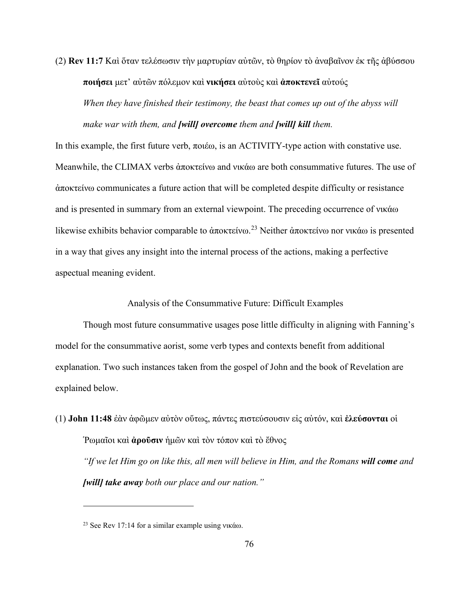(2) **Rev 11:7** Καὶ ὅταν τελέσωσιν τὴν μαρτυρίαν αὐτῶν, τὸ θηρίον τὸ ἀναβαῖνον ἐκ τῆς ἀβύσσου **ποιήσει** μετ' αὐτῶν πόλεμον καὶ **νικήσει** αὐτοὺς καὶ **ἀποκτενεῖ** αὐτούς *When they have finished their testimony, the beast that comes up out of the abyss will make war with them, and [will] overcome them and [will] kill them.*

In this example, the first future verb, ποιέω, is an ACTIVITY-type action with constative use. Meanwhile, the CLIMAX verbs ἀποκτείνω and νικάω are both consummative futures. The use of ἀποκτείνω communicates a future action that will be completed despite difficulty or resistance and is presented in summary from an external viewpoint. The preceding occurrence of νικάω likewise exhibits behavior comparable to ἀποκτείνω.<sup>[23](#page-82-0)</sup> Neither ἀποκτείνω nor νικάω is presented in a way that gives any insight into the internal process of the actions, making a perfective aspectual meaning evident.

Analysis of the Consummative Future: Difficult Examples

Though most future consummative usages pose little difficulty in aligning with Fanning's model for the consummative aorist, some verb types and contexts benefit from additional explanation. Two such instances taken from the gospel of John and the book of Revelation are explained below.

(1) **John 11:48** ἐὰν ἀφῶμεν αὐτὸν οὕτως, πάντες πιστεύσουσιν εἰς αὐτόν, καὶ **ἐλεύσονται** οἱ Ῥωμαῖοι καὶ **ἀροῦσιν** ἡμῶν καὶ τὸν τόπον καὶ τὸ ἔθνος *"If we let Him go on like this, all men will believe in Him, and the Romans will come and [will] take away both our place and our nation."* 

<span id="page-82-0"></span><sup>&</sup>lt;sup>23</sup> See Rev 17:14 for a similar example using νικάω.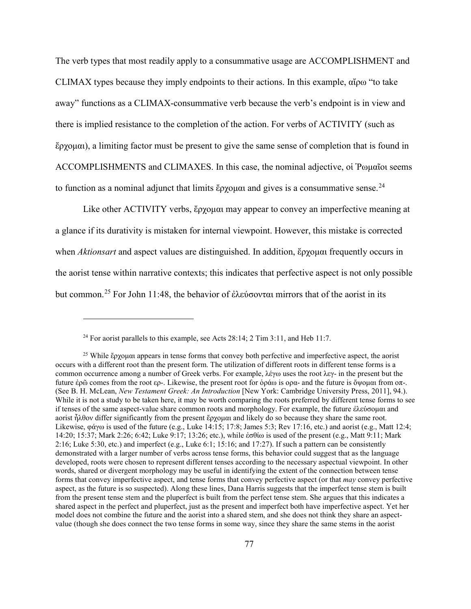The verb types that most readily apply to a consummative usage are ACCOMPLISHMENT and CLIMAX types because they imply endpoints to their actions. In this example, αἴρω "to take away" functions as a CLIMAX-consummative verb because the verb's endpoint is in view and there is implied resistance to the completion of the action. For verbs of ACTIVITY (such as ἔρχομαι), a limiting factor must be present to give the same sense of completion that is found in ACCOMPLISHMENTS and CLIMAXES. In this case, the nominal adjective, οἱ Ῥωμαῖοι seems to function as a nominal adjunct that limits  $\zeta$  *o*  $\zeta$  and gives is a consummative sense.<sup>[24](#page-83-0)</sup>

 Like other ACTIVITY verbs, ἔρχομαι may appear to convey an imperfective meaning at a glance if its durativity is mistaken for internal viewpoint. However, this mistake is corrected when *Aktionsart* and aspect values are distinguished. In addition, ἔρχομαι frequently occurs in the aorist tense within narrative contexts; this indicates that perfective aspect is not only possible but common.[25](#page-83-1) For John 11:48, the behavior of ἐλεύσονται mirrors that of the aorist in its

<sup>&</sup>lt;sup>24</sup> For aorist parallels to this example, see Acts  $28:14$ ;  $2$  Tim  $3:11$ , and Heb 11:7.

<span id="page-83-1"></span><span id="page-83-0"></span><sup>&</sup>lt;sup>25</sup> While ἔρχομαι appears in tense forms that convey both perfective and imperfective aspect, the aorist occurs with a different root than the present form. The utilization of different roots in different tense forms is a common occurrence among a number of Greek verbs. For example, λέγω uses the root λεγ- in the present but the future ἐρῶ comes from the root ερ-. Likewise, the present root for ὁράω is ορα- and the future is ὄψομαι from οπ-. (See B. H. McLean, *New Testament Greek: An Introduction* [New York: Cambridge University Press, 2011], 94.). While it is not a study to be taken here, it may be worth comparing the roots preferred by different tense forms to see if tenses of the same aspect-value share common roots and morphology. For example, the future ἐλεύσομαι and aorist ἦλθον differ significantly from the present ἔρχομαι and likely do so because they share the same root. Likewise, φάγω is used of the future (e.g., Luke 14:15; 17:8; James 5:3; Rev 17:16, etc.) and aorist (e.g., Matt 12:4; 14:20; 15:37; Mark 2:26; 6:42; Luke 9:17; 13:26; etc.), while ἐσθίω is used of the present (e.g., Matt 9:11; Mark 2:16; Luke 5:30, etc.) and imperfect (e.g., Luke 6:1; 15:16; and 17:27). If such a pattern can be consistently demonstrated with a larger number of verbs across tense forms, this behavior could suggest that as the language developed, roots were chosen to represent different tenses according to the necessary aspectual viewpoint. In other words, shared or divergent morphology may be useful in identifying the extent of the connection between tense forms that convey imperfective aspect, and tense forms that convey perfective aspect (or that *may* convey perfective aspect, as the future is so suspected). Along these lines, Dana Harris suggests that the imperfect tense stem is built from the present tense stem and the pluperfect is built from the perfect tense stem. She argues that this indicates a shared aspect in the perfect and pluperfect, just as the present and imperfect both have imperfective aspect. Yet her model does not combine the future and the aorist into a shared stem, and she does not think they share an aspectvalue (though she does connect the two tense forms in some way, since they share the same stems in the aorist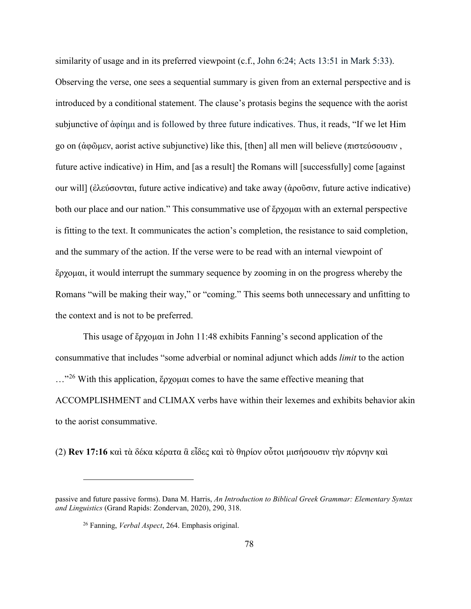similarity of usage and in its preferred viewpoint (c.f., John 6:24; Acts 13:51 in Mark 5:33). Observing the verse, one sees a sequential summary is given from an external perspective and is introduced by a conditional statement. The clause's protasis begins the sequence with the aorist subjunctive of ἀφίημι and is followed by three future indicatives. Thus, it reads, "If we let Him go on (ἀφῶμεν, aorist active subjunctive) like this, [then] all men will believe (πιστεύσουσιν , future active indicative) in Him, and [as a result] the Romans will [successfully] come [against our will] (ἐλεύσονται, future active indicative) and take away (ἀροῦσιν, future active indicative) both our place and our nation." This consummative use of ἔρχομαι with an external perspective is fitting to the text. It communicates the action's completion, the resistance to said completion, and the summary of the action. If the verse were to be read with an internal viewpoint of ἔρχομαι, it would interrupt the summary sequence by zooming in on the progress whereby the Romans "will be making their way," or "coming." This seems both unnecessary and unfitting to the context and is not to be preferred.

This usage of ἔρχομαι in John 11:48 exhibits Fanning's second application of the consummative that includes "some adverbial or nominal adjunct which adds *limit* to the action  $\ldots$ <sup>[26](#page-84-0)</sup> With this application, ἔρχομαι comes to have the same effective meaning that ACCOMPLISHMENT and CLIMAX verbs have within their lexemes and exhibits behavior akin to the aorist consummative.

(2) **Rev 17:16** καὶ τὰ δέκα κέρατα ἃ εἶδες καὶ τὸ θηρίον οὗτοι μισήσουσιν τὴν πόρνην καὶ

<span id="page-84-0"></span>passive and future passive forms). Dana M. Harris, *An Introduction to Biblical Greek Grammar: Elementary Syntax and Linguistics* (Grand Rapids: Zondervan, 2020), 290, 318.

<sup>26</sup> Fanning, *Verbal Aspect*, 264. Emphasis original.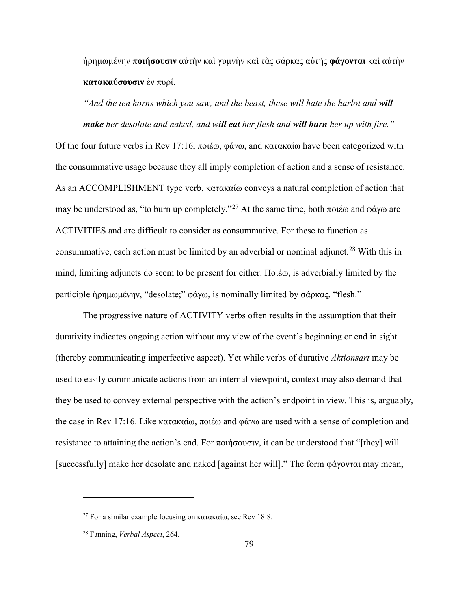ἠρημωμένην **ποιήσουσιν** αὐτὴν καὶ γυμνὴν καὶ τὰς σάρκας αὐτῆς **φάγονται** καὶ αὐτὴν **κατακαύσουσιν** ἐν πυρί.

*And the ten horns which you saw, and the beast, these will hate the harlot and will make her desolate and naked, and will eat her flesh and will burn her up with fire."*

Of the four future verbs in Rev 17:16, ποιέω, φάγω, and κατακαίω have been categorized with the consummative usage because they all imply completion of action and a sense of resistance. As an ACCOMPLISHMENT type verb, κατακαίω conveys a natural completion of action that may be understood as, "to burn up completely."<sup>[27](#page-85-0)</sup> At the same time, both ποιέω and φάγω are ACTIVITIES and are difficult to consider as consummative. For these to function as consummative, each action must be limited by an adverbial or nominal adjunct.<sup>[28](#page-85-1)</sup> With this in mind, limiting adjuncts do seem to be present for either. Ποιέω, is adverbially limited by the participle ἠρημωμένην, "desolate;" φάγω, is nominally limited by σάρκας, "flesh."

The progressive nature of ACTIVITY verbs often results in the assumption that their durativity indicates ongoing action without any view of the event's beginning or end in sight (thereby communicating imperfective aspect). Yet while verbs of durative *Aktionsart* may be used to easily communicate actions from an internal viewpoint, context may also demand that they be used to convey external perspective with the action's endpoint in view. This is, arguably, the case in Rev 17:16. Like κατακαίω, ποιέω and φάγω are used with a sense of completion and resistance to attaining the action's end. For ποιήσουσιν, it can be understood that "[they] will [successfully] make her desolate and naked [against her will]." The form φάγονται may mean,

<span id="page-85-0"></span><sup>&</sup>lt;sup>27</sup> For a similar example focusing on κατακαίω, see Rev 18:8.

<span id="page-85-1"></span><sup>28</sup> Fanning, *Verbal Aspect*, 264.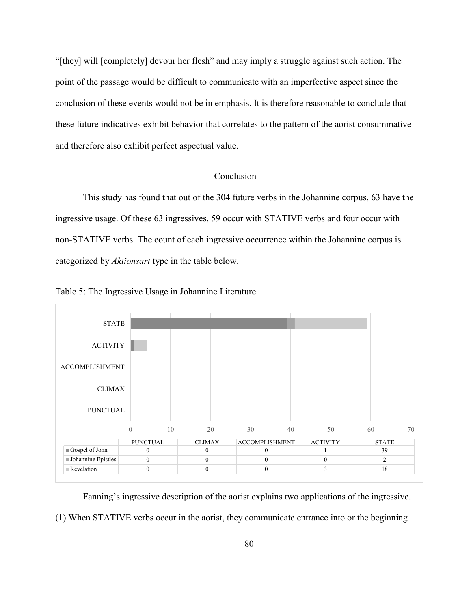"[they] will [completely] devour her flesh" and may imply a struggle against such action. The point of the passage would be difficult to communicate with an imperfective aspect since the conclusion of these events would not be in emphasis. It is therefore reasonable to conclude that these future indicatives exhibit behavior that correlates to the pattern of the aorist consummative and therefore also exhibit perfect aspectual value.

## Conclusion

This study has found that out of the 304 future verbs in the Johannine corpus, 63 have the ingressive usage. Of these 63 ingressives, 59 occur with STATIVE verbs and four occur with non-STATIVE verbs. The count of each ingressive occurrence within the Johannine corpus is categorized by *Aktionsart* type in the table below.



Table 5: The Ingressive Usage in Johannine Literature

Fanning's ingressive description of the aorist explains two applications of the ingressive.

(1) When STATIVE verbs occur in the aorist, they communicate entrance into or the beginning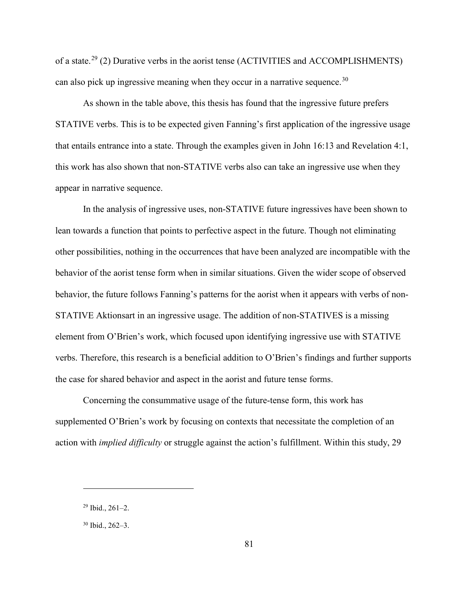of a state.[29](#page-87-0) (2) Durative verbs in the aorist tense (ACTIVITIES and ACCOMPLISHMENTS) can also pick up ingressive meaning when they occur in a narrative sequence.<sup>[30](#page-87-1)</sup>

As shown in the table above, this thesis has found that the ingressive future prefers STATIVE verbs. This is to be expected given Fanning's first application of the ingressive usage that entails entrance into a state. Through the examples given in John 16:13 and Revelation 4:1, this work has also shown that non-STATIVE verbs also can take an ingressive use when they appear in narrative sequence.

In the analysis of ingressive uses, non-STATIVE future ingressives have been shown to lean towards a function that points to perfective aspect in the future. Though not eliminating other possibilities, nothing in the occurrences that have been analyzed are incompatible with the behavior of the aorist tense form when in similar situations. Given the wider scope of observed behavior, the future follows Fanning's patterns for the aorist when it appears with verbs of non-STATIVE Aktionsart in an ingressive usage. The addition of non-STATIVES is a missing element from O'Brien's work, which focused upon identifying ingressive use with STATIVE verbs. Therefore, this research is a beneficial addition to O'Brien's findings and further supports the case for shared behavior and aspect in the aorist and future tense forms.

Concerning the consummative usage of the future-tense form, this work has supplemented O'Brien's work by focusing on contexts that necessitate the completion of an action with *implied difficulty* or struggle against the action's fulfillment. Within this study, 29

<span id="page-87-0"></span> $29$  Ibid.,  $261-2$ .

<span id="page-87-1"></span><sup>30</sup> Ibid., 262–3.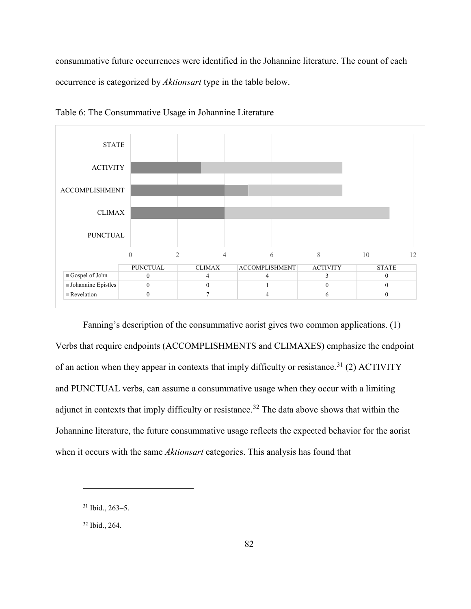consummative future occurrences were identified in the Johannine literature. The count of each occurrence is categorized by *Aktionsart* type in the table below.



Table 6: The Consummative Usage in Johannine Literature

Fanning's description of the consummative aorist gives two common applications. (1) Verbs that require endpoints (ACCOMPLISHMENTS and CLIMAXES) emphasize the endpoint of an action when they appear in contexts that imply difficulty or resistance.<sup>[31](#page-88-0)</sup> (2) ACTIVITY and PUNCTUAL verbs, can assume a consummative usage when they occur with a limiting adjunct in contexts that imply difficulty or resistance.<sup>[32](#page-88-1)</sup> The data above shows that within the Johannine literature, the future consummative usage reflects the expected behavior for the aorist when it occurs with the same *Aktionsart* categories. This analysis has found that

<span id="page-88-0"></span><sup>31</sup> Ibid., 263–5.

<span id="page-88-1"></span><sup>32</sup> Ibid., 264.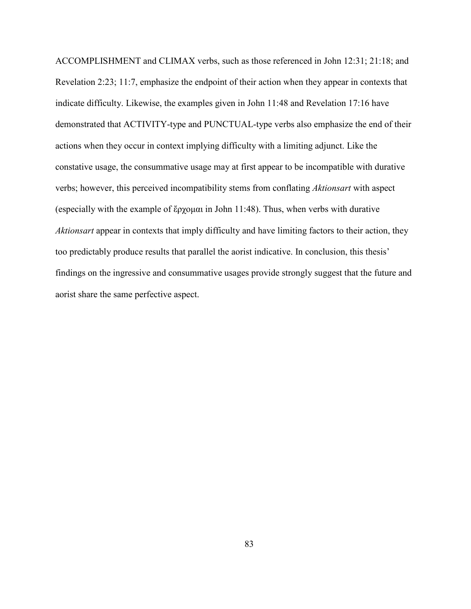ACCOMPLISHMENT and CLIMAX verbs, such as those referenced in John 12:31; 21:18; and Revelation 2:23; 11:7, emphasize the endpoint of their action when they appear in contexts that indicate difficulty. Likewise, the examples given in John 11:48 and Revelation 17:16 have demonstrated that ACTIVITY-type and PUNCTUAL-type verbs also emphasize the end of their actions when they occur in context implying difficulty with a limiting adjunct. Like the constative usage, the consummative usage may at first appear to be incompatible with durative verbs; however, this perceived incompatibility stems from conflating *Aktionsart* with aspect (especially with the example of ἔρχομαι in John 11:48). Thus, when verbs with durative *Aktionsart* appear in contexts that imply difficulty and have limiting factors to their action, they too predictably produce results that parallel the aorist indicative. In conclusion, this thesis' findings on the ingressive and consummative usages provide strongly suggest that the future and aorist share the same perfective aspect.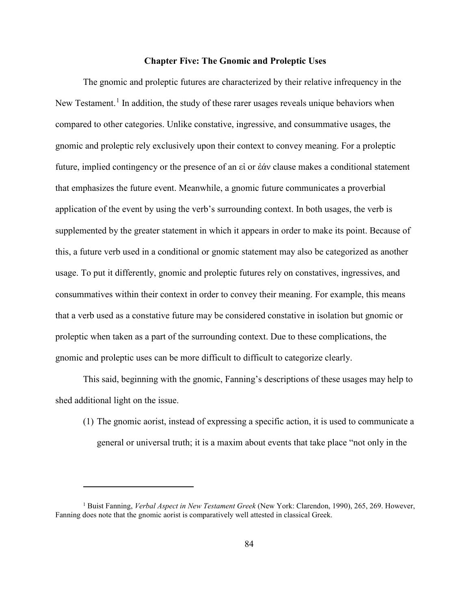### **Chapter Five: The Gnomic and Proleptic Uses**

The gnomic and proleptic futures are characterized by their relative infrequency in the New Testament.<sup>[1](#page-90-0)</sup> In addition, the study of these rarer usages reveals unique behaviors when compared to other categories. Unlike constative, ingressive, and consummative usages, the gnomic and proleptic rely exclusively upon their context to convey meaning. For a proleptic future, implied contingency or the presence of an εἰ or ἐάν clause makes a conditional statement that emphasizes the future event. Meanwhile, a gnomic future communicates a proverbial application of the event by using the verb's surrounding context. In both usages, the verb is supplemented by the greater statement in which it appears in order to make its point. Because of this, a future verb used in a conditional or gnomic statement may also be categorized as another usage. To put it differently, gnomic and proleptic futures rely on constatives, ingressives, and consummatives within their context in order to convey their meaning. For example, this means that a verb used as a constative future may be considered constative in isolation but gnomic or proleptic when taken as a part of the surrounding context. Due to these complications, the gnomic and proleptic uses can be more difficult to difficult to categorize clearly.

This said, beginning with the gnomic, Fanning's descriptions of these usages may help to shed additional light on the issue.

(1) The gnomic aorist, instead of expressing a specific action, it is used to communicate a general or universal truth; it is a maxim about events that take place "not only in the

<span id="page-90-0"></span><sup>1</sup> Buist Fanning, *Verbal Aspect in New Testament Greek* (New York: Clarendon, 1990), 265, 269. However, Fanning does note that the gnomic aorist is comparatively well attested in classical Greek.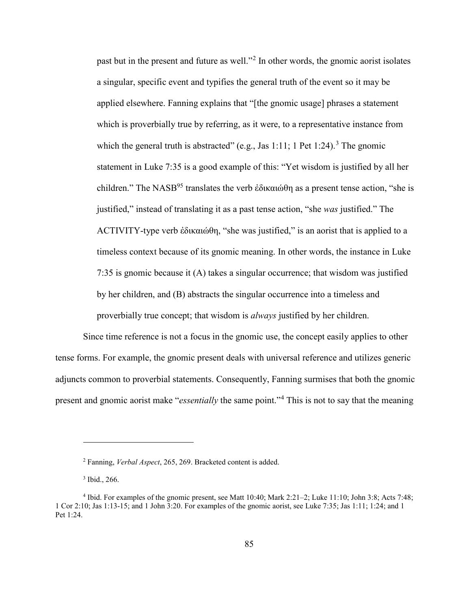past but in the present and future as well."[2](#page-91-0) In other words, the gnomic aorist isolates a singular, specific event and typifies the general truth of the event so it may be applied elsewhere. Fanning explains that "[the gnomic usage] phrases a statement which is proverbially true by referring, as it were, to a representative instance from which the general truth is abstracted" (e.g., Jas 1:11; 1 Pet 1:24).<sup>[3](#page-91-1)</sup> The gnomic statement in Luke 7:35 is a good example of this: "Yet wisdom is justified by all her children." The NASB<sup>95</sup> translates the verb ἐδικαιώθη as a present tense action, "she is justified," instead of translating it as a past tense action, "she *was* justified." The ACTIVITY-type verb ἐδικαιώθη, "she was justified," is an aorist that is applied to a timeless context because of its gnomic meaning. In other words, the instance in Luke 7:35 is gnomic because it (A) takes a singular occurrence; that wisdom was justified by her children, and (B) abstracts the singular occurrence into a timeless and proverbially true concept; that wisdom is *always* justified by her children.

Since time reference is not a focus in the gnomic use, the concept easily applies to other tense forms. For example, the gnomic present deals with universal reference and utilizes generic adjuncts common to proverbial statements. Consequently, Fanning surmises that both the gnomic present and gnomic aorist make "*essentially* the same point."[4](#page-91-2) This is not to say that the meaning

<sup>2</sup> Fanning, *Verbal Aspect*, 265, 269. Bracketed content is added.

<sup>3</sup> Ibid., 266.

<span id="page-91-2"></span><span id="page-91-1"></span><span id="page-91-0"></span><sup>4</sup> Ibid. For examples of the gnomic present, see Matt 10:40; Mark 2:21–2; Luke 11:10; John 3:8; Acts 7:48; 1 Cor 2:10; Jas 1:13-15; and 1 John 3:20. For examples of the gnomic aorist, see Luke 7:35; Jas 1:11; 1:24; and 1 Pet 1:24.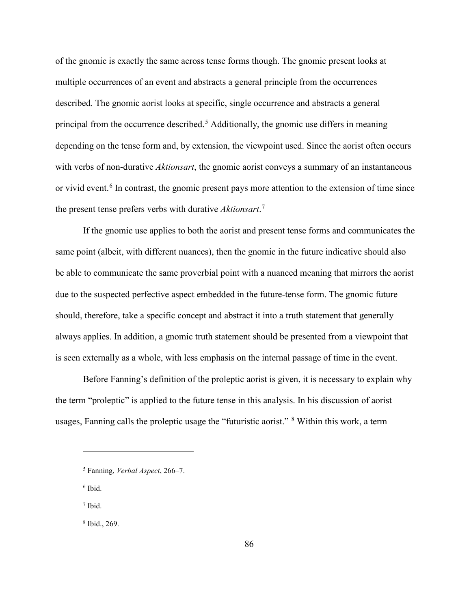of the gnomic is exactly the same across tense forms though. The gnomic present looks at multiple occurrences of an event and abstracts a general principle from the occurrences described. The gnomic aorist looks at specific, single occurrence and abstracts a general principal from the occurrence described.<sup>[5](#page-92-0)</sup> Additionally, the gnomic use differs in meaning depending on the tense form and, by extension, the viewpoint used. Since the aorist often occurs with verbs of non-durative *Aktionsart*, the gnomic aorist conveys a summary of an instantaneous or vivid event.<sup>[6](#page-92-1)</sup> In contrast, the gnomic present pays more attention to the extension of time since the present tense prefers verbs with durative *Aktionsart*. [7](#page-92-2)

If the gnomic use applies to both the aorist and present tense forms and communicates the same point (albeit, with different nuances), then the gnomic in the future indicative should also be able to communicate the same proverbial point with a nuanced meaning that mirrors the aorist due to the suspected perfective aspect embedded in the future-tense form. The gnomic future should, therefore, take a specific concept and abstract it into a truth statement that generally always applies. In addition, a gnomic truth statement should be presented from a viewpoint that is seen externally as a whole, with less emphasis on the internal passage of time in the event.

Before Fanning's definition of the proleptic aorist is given, it is necessary to explain why the term "proleptic" is applied to the future tense in this analysis. In his discussion of aorist usages, Fanning calls the proleptic usage the "futuristic aorist." [8](#page-92-3) Within this work, a term

<span id="page-92-1"></span><sup>6</sup> Ibid.

 $\overline{a}$ 

<span id="page-92-2"></span><sup>7</sup> Ibid.

<span id="page-92-3"></span><sup>8</sup> Ibid., 269.

<span id="page-92-0"></span><sup>5</sup> Fanning, *Verbal Aspect*, 266–7.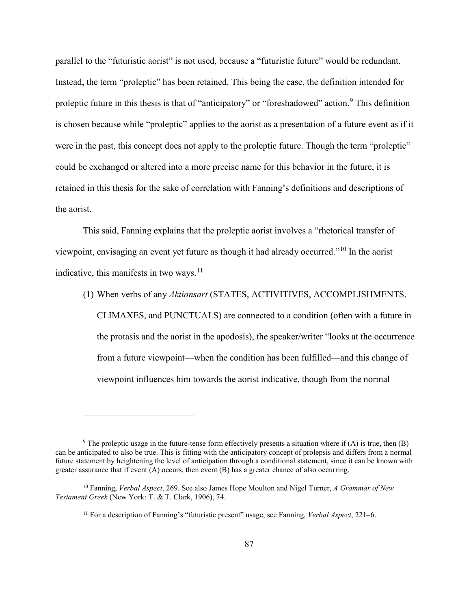parallel to the "futuristic aorist" is not used, because a "futuristic future" would be redundant. Instead, the term "proleptic" has been retained. This being the case, the definition intended for proleptic future in this thesis is that of "anticipatory" or "foreshadowed" action.<sup>[9](#page-93-0)</sup> This definition is chosen because while "proleptic" applies to the aorist as a presentation of a future event as if it were in the past, this concept does not apply to the proleptic future. Though the term "proleptic" could be exchanged or altered into a more precise name for this behavior in the future, it is retained in this thesis for the sake of correlation with Fanning's definitions and descriptions of the aorist.

This said, Fanning explains that the proleptic aorist involves a "rhetorical transfer of viewpoint, envisaging an event yet future as though it had already occurred."[10](#page-93-1) In the aorist indicative, this manifests in two ways.<sup>[11](#page-93-2)</sup>

(1) When verbs of any *Aktionsart* (STATES, ACTIVITIVES, ACCOMPLISHMENTS, CLIMAXES, and PUNCTUALS) are connected to a condition (often with a future in the protasis and the aorist in the apodosis), the speaker/writer "looks at the occurrence from a future viewpoint—when the condition has been fulfilled—and this change of viewpoint influences him towards the aorist indicative, though from the normal

<span id="page-93-0"></span><sup>&</sup>lt;sup>9</sup> The proleptic usage in the future-tense form effectively presents a situation where if (A) is true, then (B) can be anticipated to also be true. This is fitting with the anticipatory concept of prolepsis and differs from a normal future statement by heightening the level of anticipation through a conditional statement, since it can be known with greater assurance that if event (A) occurs, then event (B) has a greater chance of also occurring.

<span id="page-93-2"></span><span id="page-93-1"></span><sup>10</sup> Fanning, *Verbal Aspect*, 269. See also James Hope Moulton and Nigel Turner, *A Grammar of New Testament Greek* (New York: T. & T. Clark, 1906), 74.

<sup>11</sup> For a description of Fanning's "futuristic present" usage, see Fanning, *Verbal Aspect*, 221–6.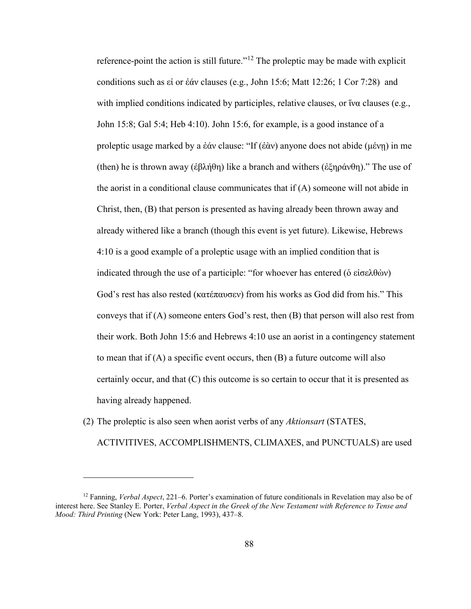reference-point the action is still future."[12](#page-94-0) The proleptic may be made with explicit conditions such as εἰ or ἐάν clauses (e.g., John 15:6; Matt 12:26; 1 Cor 7:28) and with implied conditions indicated by participles, relative clauses, or ἵνα clauses (e.g., John 15:8; Gal 5:4; Heb 4:10). John 15:6, for example, is a good instance of a proleptic usage marked by a ἐάν clause: "If (ἐὰν) anyone does not abide (μένῃ) in me (then) he is thrown away (ἐβλήθη) like a branch and withers (ἐξηράνθη)." The use of the aorist in a conditional clause communicates that if (A) someone will not abide in Christ, then, (B) that person is presented as having already been thrown away and already withered like a branch (though this event is yet future). Likewise, Hebrews 4:10 is a good example of a proleptic usage with an implied condition that is indicated through the use of a participle: "for whoever has entered (ὁ εἰσελθὼν) God's rest has also rested (κατέπαυσεν) from his works as God did from his." This conveys that if (A) someone enters God's rest, then (B) that person will also rest from their work. Both John 15:6 and Hebrews 4:10 use an aorist in a contingency statement to mean that if  $(A)$  a specific event occurs, then  $(B)$  a future outcome will also certainly occur, and that (C) this outcome is so certain to occur that it is presented as having already happened.

(2) The proleptic is also seen when aorist verbs of any *Aktionsart* (STATES, ACTIVITIVES, ACCOMPLISHMENTS, CLIMAXES, and PUNCTUALS) are used

<span id="page-94-0"></span><sup>12</sup> Fanning, *Verbal Aspect*, 221–6. Porter's examination of future conditionals in Revelation may also be of interest here. See Stanley E. Porter, *Verbal Aspect in the Greek of the New Testament with Reference to Tense and Mood: Third Printing* (New York: Peter Lang, 1993), 437–8.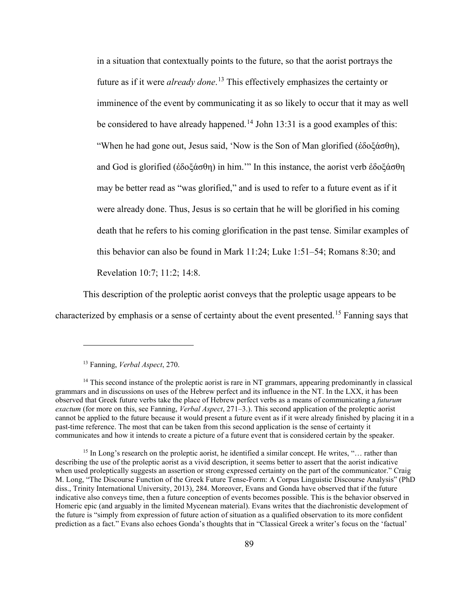in a situation that contextually points to the future, so that the aorist portrays the future as if it were *already done*. [13](#page-95-0) This effectively emphasizes the certainty or imminence of the event by communicating it as so likely to occur that it may as well be considered to have already happened.<sup>[14](#page-95-1)</sup> John 13:31 is a good examples of this: "When he had gone out, Jesus said, 'Now is the Son of Man glorified (ἐδοξάσθη), and God is glorified (ἐδοξάσθη) in him.'" In this instance, the aorist verb ἐδοξάσθη may be better read as "was glorified," and is used to refer to a future event as if it were already done. Thus, Jesus is so certain that he will be glorified in his coming death that he refers to his coming glorification in the past tense. Similar examples of this behavior can also be found in Mark 11:24; Luke 1:51–54; Romans 8:30; and Revelation 10:7; 11:2; 14:8.

This description of the proleptic aorist conveys that the proleptic usage appears to be characterized by emphasis or a sense of certainty about the event presented.[15](#page-95-2) Fanning says that

<sup>13</sup> Fanning, *Verbal Aspect*, 270.

<span id="page-95-1"></span><span id="page-95-0"></span><sup>&</sup>lt;sup>14</sup> This second instance of the proleptic aorist is rare in NT grammars, appearing predominantly in classical grammars and in discussions on uses of the Hebrew perfect and its influence in the NT. In the LXX, it has been observed that Greek future verbs take the place of Hebrew perfect verbs as a means of communicating a *futurum exactum* (for more on this, see Fanning, *Verbal Aspect*, 271–3.). This second application of the proleptic aorist cannot be applied to the future because it would present a future event as if it were already finished by placing it in a past-time reference. The most that can be taken from this second application is the sense of certainty it communicates and how it intends to create a picture of a future event that is considered certain by the speaker.

<span id="page-95-2"></span><sup>&</sup>lt;sup>15</sup> In Long's research on the proleptic aorist, he identified a similar concept. He writes, "... rather than describing the use of the proleptic aorist as a vivid description, it seems better to assert that the aorist indicative when used proleptically suggests an assertion or strong expressed certainty on the part of the communicator." Craig M. Long, "The Discourse Function of the Greek Future Tense-Form: A Corpus Linguistic Discourse Analysis" (PhD diss., Trinity International University, 2013), 284. Moreover, Evans and Gonda have observed that if the future indicative also conveys time, then a future conception of events becomes possible. This is the behavior observed in Homeric epic (and arguably in the limited Mycenean material). Evans writes that the diachronistic development of the future is "simply from expression of future action of situation as a qualified observation to its more confident prediction as a fact." Evans also echoes Gonda's thoughts that in "Classical Greek a writer's focus on the 'factual'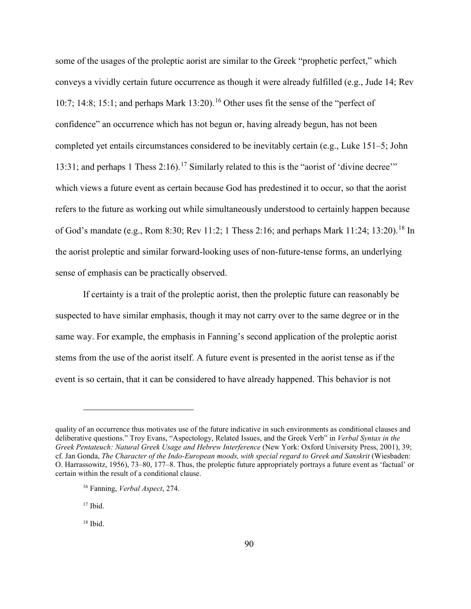some of the usages of the proleptic aorist are similar to the Greek "prophetic perfect," which conveys a vividly certain future occurrence as though it were already fulfilled (e.g., Jude 14; Rev 10:7; 14:8; 15:1; and perhaps Mark 13:20).<sup>[16](#page-96-0)</sup> Other uses fit the sense of the "perfect of confidence" an occurrence which has not begun or, having already begun, has not been completed yet entails circumstances considered to be inevitably certain (e.g., Luke 151–5; John 13:31; and perhaps 1 Thess 2:16).<sup>[17](#page-96-1)</sup> Similarly related to this is the "aorist of 'divine decree'" which views a future event as certain because God has predestined it to occur, so that the aorist refers to the future as working out while simultaneously understood to certainly happen because of God's mandate (e.g., Rom 8:30; Rev 11:2; 1 Thess 2:16; and perhaps Mark 11:24; 13:20).<sup>[18](#page-96-2)</sup> In the aorist proleptic and similar forward-looking uses of non-future-tense forms, an underlying sense of emphasis can be practically observed.

If certainty is a trait of the proleptic aorist, then the proleptic future can reasonably be suspected to have similar emphasis, though it may not carry over to the same degree or in the same way. For example, the emphasis in Fanning's second application of the proleptic aorist stems from the use of the aorist itself. A future event is presented in the aorist tense as if the event is so certain, that it can be considered to have already happened. This behavior is not

<span id="page-96-1"></span> $17$  Ibid.

<span id="page-96-0"></span>quality of an occurrence thus motivates use of the future indicative in such environments as conditional clauses and deliberative questions." Troy Evans, "Aspectology, Related Issues, and the Greek Verb" in *Verbal Syntax in the Greek Pentateuch: Natural Greek Usage and Hebrew Interference* (New York: Oxford University Press, 2001), 39; cf. Jan Gonda, *The Character of the Indo-European moods, with special regard to Greek and Sanskrit* (Wiesbaden: O. Harrassowitz, 1956), 73–80, 177–8. Thus, the proleptic future appropriately portrays a future event as 'factual' or certain within the result of a conditional clause.

<sup>16</sup> Fanning, *Verbal Aspect*, 274.

<span id="page-96-2"></span> $18$  Ibid.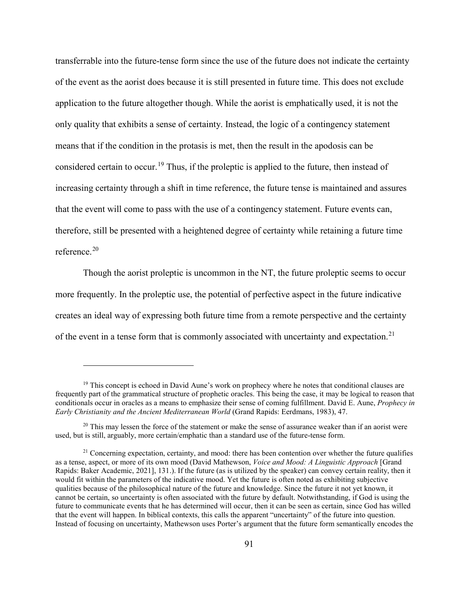transferrable into the future-tense form since the use of the future does not indicate the certainty of the event as the aorist does because it is still presented in future time. This does not exclude application to the future altogether though. While the aorist is emphatically used, it is not the only quality that exhibits a sense of certainty. Instead, the logic of a contingency statement means that if the condition in the protasis is met, then the result in the apodosis can be considered certain to occur.<sup>[19](#page-97-0)</sup> Thus, if the proleptic is applied to the future, then instead of increasing certainty through a shift in time reference, the future tense is maintained and assures that the event will come to pass with the use of a contingency statement. Future events can, therefore, still be presented with a heightened degree of certainty while retaining a future time reference.[20](#page-97-1)

Though the aorist proleptic is uncommon in the NT, the future proleptic seems to occur more frequently. In the proleptic use, the potential of perfective aspect in the future indicative creates an ideal way of expressing both future time from a remote perspective and the certainty of the event in a tense form that is commonly associated with uncertainty and expectation.<sup>[21](#page-97-2)</sup>

<span id="page-97-0"></span> $19$  This concept is echoed in David Aune's work on prophecy where he notes that conditional clauses are frequently part of the grammatical structure of prophetic oracles. This being the case, it may be logical to reason that conditionals occur in oracles as a means to emphasize their sense of coming fulfillment. David E. Aune, *Prophecy in Early Christianity and the Ancient Mediterranean World* (Grand Rapids: Eerdmans, 1983), 47.

<span id="page-97-1"></span> $20$  This may lessen the force of the statement or make the sense of assurance weaker than if an aorist were used, but is still, arguably, more certain/emphatic than a standard use of the future-tense form.

<span id="page-97-2"></span> $21$  Concerning expectation, certainty, and mood: there has been contention over whether the future qualifies as a tense, aspect, or more of its own mood (David Mathewson, *Voice and Mood: A Linguistic Approach* [Grand Rapids: Baker Academic, 2021], 131.). If the future (as is utilized by the speaker) can convey certain reality, then it would fit within the parameters of the indicative mood. Yet the future is often noted as exhibiting subjective qualities because of the philosophical nature of the future and knowledge. Since the future it not yet known, it cannot be certain, so uncertainty is often associated with the future by default. Notwithstanding, if God is using the future to communicate events that he has determined will occur, then it can be seen as certain, since God has willed that the event will happen. In biblical contexts, this calls the apparent "uncertainty" of the future into question. Instead of focusing on uncertainty, Mathewson uses Porter's argument that the future form semantically encodes the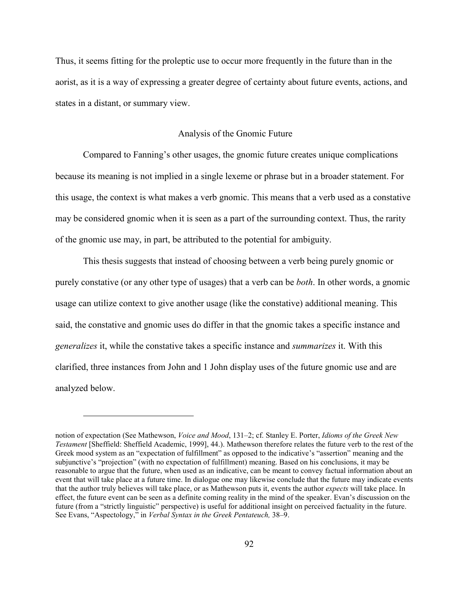Thus, it seems fitting for the proleptic use to occur more frequently in the future than in the aorist, as it is a way of expressing a greater degree of certainty about future events, actions, and states in a distant, or summary view.

#### Analysis of the Gnomic Future

Compared to Fanning's other usages, the gnomic future creates unique complications because its meaning is not implied in a single lexeme or phrase but in a broader statement. For this usage, the context is what makes a verb gnomic. This means that a verb used as a constative may be considered gnomic when it is seen as a part of the surrounding context. Thus, the rarity of the gnomic use may, in part, be attributed to the potential for ambiguity.

This thesis suggests that instead of choosing between a verb being purely gnomic or purely constative (or any other type of usages) that a verb can be *both*. In other words, a gnomic usage can utilize context to give another usage (like the constative) additional meaning. This said, the constative and gnomic uses do differ in that the gnomic takes a specific instance and *generalizes* it, while the constative takes a specific instance and *summarizes* it. With this clarified, three instances from John and 1 John display uses of the future gnomic use and are analyzed below.

notion of expectation (See Mathewson, *Voice and Mood*, 131–2; cf. Stanley E. Porter, *Idioms of the Greek New Testament* [Sheffield: Sheffield Academic, 1999], 44.). Mathewson therefore relates the future verb to the rest of the Greek mood system as an "expectation of fulfillment" as opposed to the indicative's "assertion" meaning and the subjunctive's "projection" (with no expectation of fulfillment) meaning. Based on his conclusions, it may be reasonable to argue that the future, when used as an indicative, can be meant to convey factual information about an event that will take place at a future time. In dialogue one may likewise conclude that the future may indicate events that the author truly believes will take place, or as Mathewson puts it, events the author *expects* will take place. In effect, the future event can be seen as a definite coming reality in the mind of the speaker. Evan's discussion on the future (from a "strictly linguistic" perspective) is useful for additional insight on perceived factuality in the future. See Evans, "Aspectology," in *Verbal Syntax in the Greek Pentateuch,* 38–9.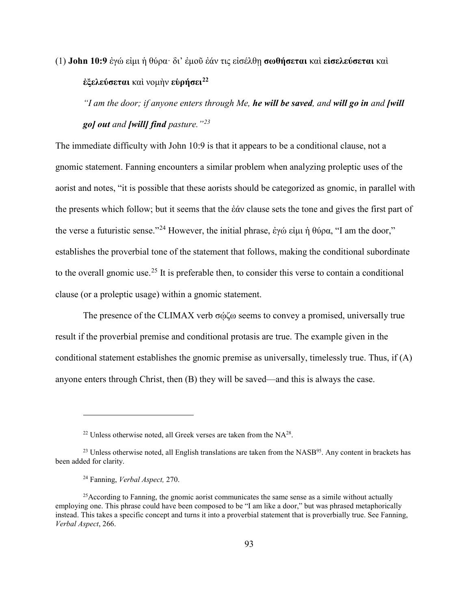(1) **John 10:9** ἐγώ εἰμι ἡ θύρα· δι' ἐμοῦ ἐάν τις εἰσέλθῃ **σωθήσεται** καὶ **εἰσελεύσεται** καὶ **ἐξελεύσεται** καὶ νομὴν **εὑρήσει[22](#page-99-0)**

*"I am the door; if anyone enters through Me, he will be saved, and will go in and [will go] out and [will] find pasture."[23](#page-99-1)*

The immediate difficulty with John 10:9 is that it appears to be a conditional clause, not a gnomic statement. Fanning encounters a similar problem when analyzing proleptic uses of the aorist and notes, "it is possible that these aorists should be categorized as gnomic, in parallel with the presents which follow; but it seems that the ἐάν clause sets the tone and gives the first part of the verse a futuristic sense."<sup>[24](#page-99-2)</sup> However, the initial phrase, ἐγώ εἰμι ἡ θύρα, "I am the door," establishes the proverbial tone of the statement that follows, making the conditional subordinate to the overall gnomic use.<sup>[25](#page-99-3)</sup> It is preferable then, to consider this verse to contain a conditional clause (or a proleptic usage) within a gnomic statement.

The presence of the CLIMAX verb σώζω seems to convey a promised, universally true result if the proverbial premise and conditional protasis are true. The example given in the conditional statement establishes the gnomic premise as universally, timelessly true. Thus, if (A) anyone enters through Christ, then (B) they will be saved—and this is always the case.

 $22$  Unless otherwise noted, all Greek verses are taken from the NA $^{28}$ .

<span id="page-99-1"></span><span id="page-99-0"></span> $^{23}$  Unless otherwise noted, all English translations are taken from the NASB<sup>95</sup>. Any content in brackets has been added for clarity.

<sup>24</sup> Fanning, *Verbal Aspect,* 270.

<span id="page-99-3"></span><span id="page-99-2"></span><sup>&</sup>lt;sup>25</sup>According to Fanning, the gnomic aorist communicates the same sense as a simile without actually employing one. This phrase could have been composed to be "I am like a door," but was phrased metaphorically instead. This takes a specific concept and turns it into a proverbial statement that is proverbially true. See Fanning, *Verbal Aspect*, 266.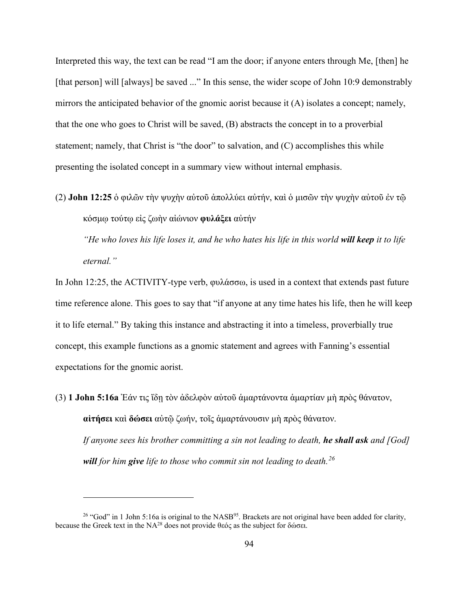Interpreted this way, the text can be read "I am the door; if anyone enters through Me, [then] he [that person] will [always] be saved ..." In this sense, the wider scope of John 10:9 demonstrably mirrors the anticipated behavior of the gnomic aorist because it (A) isolates a concept; namely, that the one who goes to Christ will be saved, (B) abstracts the concept in to a proverbial statement; namely, that Christ is "the door" to salvation, and (C) accomplishes this while presenting the isolated concept in a summary view without internal emphasis.

(2) **John 12:25** ὁ φιλῶν τὴν ψυχὴν αὐτοῦ ἀπολλύει αὐτήν, καὶ ὁ μισῶν τὴν ψυχὴν αὐτοῦ ἐν τῷ κόσμῳ τούτῳ εἰς ζωὴν αἰώνιον **φυλάξει** αὐτήν

*"He who loves his life loses it, and he who hates his life in this world will keep it to life eternal."*

In John 12:25, the ACTIVITY-type verb, φυλάσσω, is used in a context that extends past future time reference alone. This goes to say that "if anyone at any time hates his life, then he will keep it to life eternal." By taking this instance and abstracting it into a timeless, proverbially true concept, this example functions as a gnomic statement and agrees with Fanning's essential expectations for the gnomic aorist.

(3) **1 John 5:16a** Ἐάν τις ἴδῃ τὸν ἀδελφὸν αὐτοῦ ἁμαρτάνοντα ἁμαρτίαν μὴ πρὸς θάνατον, **αἰτήσει** καὶ **δώσει** αὐτῷ ζωήν, τοῖς ἁμαρτάνουσιν μὴ πρὸς θάνατον. *If anyone sees his brother committing a sin not leading to death, he shall ask and [God] will for him give life to those who commit sin not leading to death.[26](#page-100-0)*

<span id="page-100-0"></span><sup>&</sup>lt;sup>26</sup> "God" in 1 John 5:16a is original to the NASB<sup>95</sup>. Brackets are not original have been added for clarity, because the Greek text in the NA28 does not provide θεός as the subject for δώσει.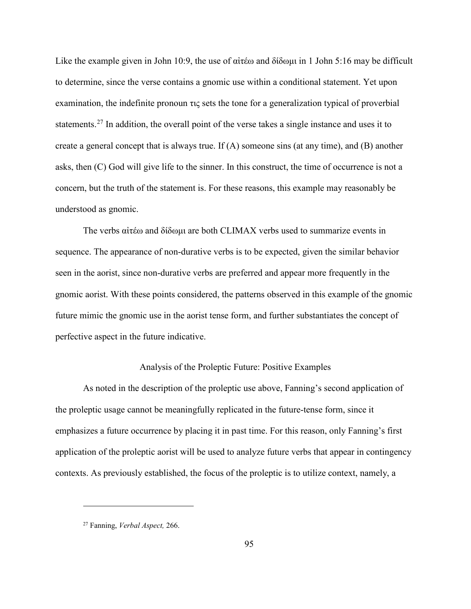Like the example given in John 10:9, the use of αἰτέω and δίδωμι in 1 John 5:16 may be difficult to determine, since the verse contains a gnomic use within a conditional statement. Yet upon examination, the indefinite pronoun τις sets the tone for a generalization typical of proverbial statements.<sup>[27](#page-101-0)</sup> In addition, the overall point of the verse takes a single instance and uses it to create a general concept that is always true. If (A) someone sins (at any time), and (B) another asks, then (C) God will give life to the sinner. In this construct, the time of occurrence is not a concern, but the truth of the statement is. For these reasons, this example may reasonably be understood as gnomic.

The verbs αἰτέω and δίδωμι are both CLIMAX verbs used to summarize events in sequence. The appearance of non-durative verbs is to be expected, given the similar behavior seen in the aorist, since non-durative verbs are preferred and appear more frequently in the gnomic aorist. With these points considered, the patterns observed in this example of the gnomic future mimic the gnomic use in the aorist tense form, and further substantiates the concept of perfective aspect in the future indicative.

## Analysis of the Proleptic Future: Positive Examples

As noted in the description of the proleptic use above, Fanning's second application of the proleptic usage cannot be meaningfully replicated in the future-tense form, since it emphasizes a future occurrence by placing it in past time. For this reason, only Fanning's first application of the proleptic aorist will be used to analyze future verbs that appear in contingency contexts. As previously established, the focus of the proleptic is to utilize context, namely, a

<span id="page-101-0"></span><sup>27</sup> Fanning, *Verbal Aspect,* 266.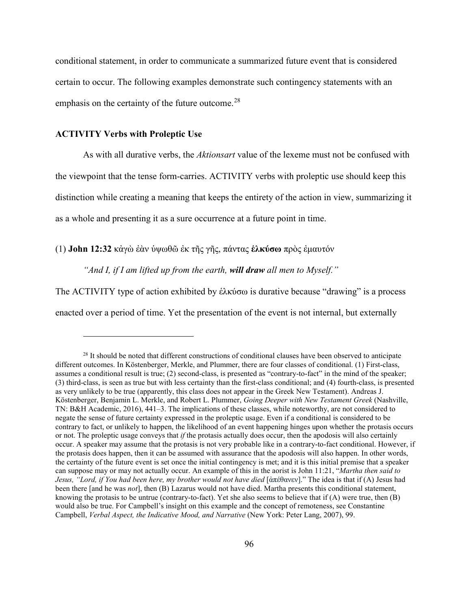conditional statement, in order to communicate a summarized future event that is considered certain to occur. The following examples demonstrate such contingency statements with an emphasis on the certainty of the future outcome.<sup>[28](#page-102-0)</sup>

#### **ACTIVITY Verbs with Proleptic Use**

 $\overline{a}$ 

As with all durative verbs, the *Aktionsart* value of the lexeme must not be confused with the viewpoint that the tense form-carries. ACTIVITY verbs with proleptic use should keep this distinction while creating a meaning that keeps the entirety of the action in view, summarizing it as a whole and presenting it as a sure occurrence at a future point in time.

(1) **John 12:32** κἀγὼ ἐὰν ὑψωθῶ ἐκ τῆς γῆς, πάντας **ἑλκύσω** πρὸς ἐμαυτόν

*"And I, if I am lifted up from the earth, will draw all men to Myself."* 

The ACTIVITY type of action exhibited by ἑλκύσω is durative because "drawing" is a process enacted over a period of time. Yet the presentation of the event is not internal, but externally

<span id="page-102-0"></span> $^{28}$  It should be noted that different constructions of conditional clauses have been observed to anticipate different outcomes. In Köstenberger, Merkle, and Plummer, there are four classes of conditional. (1) First-class, assumes a conditional result is true; (2) second-class, is presented as "contrary-to-fact" in the mind of the speaker; (3) third-class, is seen as true but with less certainty than the first-class conditional; and (4) fourth-class, is presented as very unlikely to be true (apparently, this class does not appear in the Greek New Testament). Andreas J. Köstenberger, Benjamin L. Merkle, and Robert L. Plummer, *Going Deeper with New Testament Greek* (Nashville, TN: B&H Academic, 2016), 441–3. The implications of these classes, while noteworthy, are not considered to negate the sense of future certainty expressed in the proleptic usage. Even if a conditional is considered to be contrary to fact, or unlikely to happen, the likelihood of an event happening hinges upon whether the protasis occurs or not. The proleptic usage conveys that *if* the protasis actually does occur, then the apodosis will also certainly occur. A speaker may assume that the protasis is not very probable like in a contrary-to-fact conditional. However, if the protasis does happen, then it can be assumed with assurance that the apodosis will also happen. In other words, the certainty of the future event is set once the initial contingency is met; and it is this initial premise that a speaker can suppose may or may not actually occur. An example of this in the aorist is John 11:21, "*Martha then said to Jesus, "Lord, if You had been here, my brother would not have died* [ἀπέθανεν]." The idea is that if (A) Jesus had been there [and he was *not*], then (B) Lazarus would not have died. Martha presents this conditional statement, knowing the protasis to be untrue (contrary-to-fact). Yet she also seems to believe that if  $(A)$  were true, then  $(B)$ would also be true. For Campbell's insight on this example and the concept of remoteness, see Constantine Campbell, *Verbal Aspect, the Indicative Mood, and Narrative* (New York: Peter Lang, 2007), 99.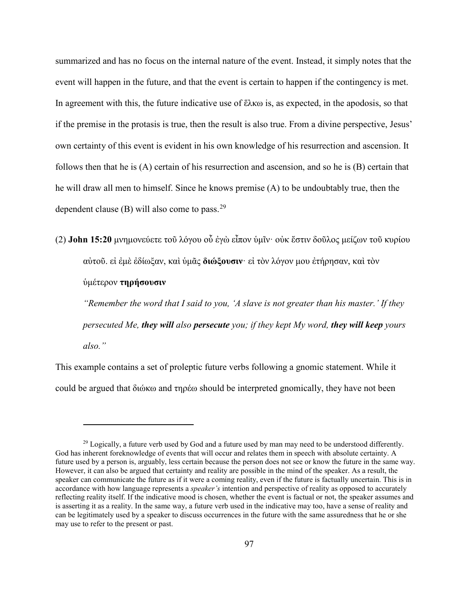summarized and has no focus on the internal nature of the event. Instead, it simply notes that the event will happen in the future, and that the event is certain to happen if the contingency is met. In agreement with this, the future indicative use of ἕλκω is, as expected, in the apodosis, so that if the premise in the protasis is true, then the result is also true. From a divine perspective, Jesus' own certainty of this event is evident in his own knowledge of his resurrection and ascension. It follows then that he is (A) certain of his resurrection and ascension, and so he is (B) certain that he will draw all men to himself. Since he knows premise (A) to be undoubtably true, then the dependent clause (B) will also come to pass.  $29$ 

(2) **John 15:20** μνημονεύετε τοῦ λόγου οὗ ἐγὼ εἶπον ὑμῖν· οὐκ ἔστιν δοῦλος μείζων τοῦ κυρίου αὐτοῦ. εἰ ἐμὲ ἐδίωξαν, καὶ ὑμᾶς **διώξουσιν**· εἰ τὸν λόγον μου ἐτήρησαν, καὶ τὸν

## ὑμέτερον **τηρήσουσιν**

 $\overline{a}$ 

*"Remember the word that I said to you, 'A slave is not greater than his master.' If they persecuted Me, they will also persecute you; if they kept My word, they will keep yours also."*

This example contains a set of proleptic future verbs following a gnomic statement. While it could be argued that διώκω and τηρέω should be interpreted gnomically, they have not been

<span id="page-103-0"></span><sup>&</sup>lt;sup>29</sup> Logically, a future verb used by God and a future used by man may need to be understood differently. God has inherent foreknowledge of events that will occur and relates them in speech with absolute certainty. A future used by a person is, arguably, less certain because the person does not see or know the future in the same way. However, it can also be argued that certainty and reality are possible in the mind of the speaker. As a result, the speaker can communicate the future as if it were a coming reality, even if the future is factually uncertain. This is in accordance with how language represents a *speaker's* intention and perspective of reality as opposed to accurately reflecting reality itself. If the indicative mood is chosen, whether the event is factual or not, the speaker assumes and is asserting it as a reality. In the same way, a future verb used in the indicative may too, have a sense of reality and can be legitimately used by a speaker to discuss occurrences in the future with the same assuredness that he or she may use to refer to the present or past.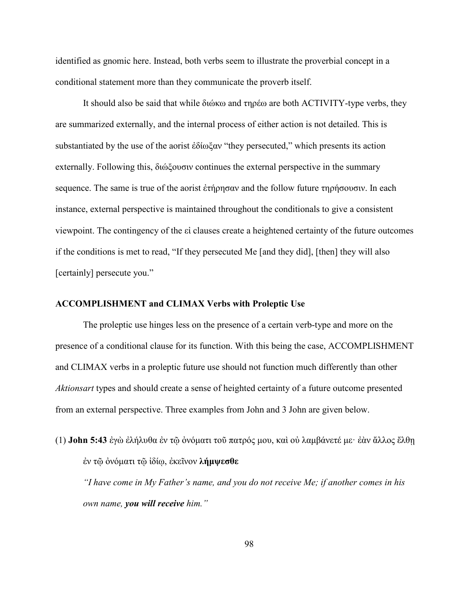identified as gnomic here. Instead, both verbs seem to illustrate the proverbial concept in a conditional statement more than they communicate the proverb itself.

It should also be said that while διώκω and τηρέω are both ACTIVITY-type verbs, they are summarized externally, and the internal process of either action is not detailed. This is substantiated by the use of the aorist ἐδίωξαν "they persecuted," which presents its action externally. Following this, διώξουσιν continues the external perspective in the summary sequence. The same is true of the aorist ἐτήρησαν and the follow future τηρήσουσιν. In each instance, external perspective is maintained throughout the conditionals to give a consistent viewpoint. The contingency of the εἰ clauses create a heightened certainty of the future outcomes if the conditions is met to read, "If they persecuted Me [and they did], [then] they will also [certainly] persecute you."

### **ACCOMPLISHMENT and CLIMAX Verbs with Proleptic Use**

The proleptic use hinges less on the presence of a certain verb-type and more on the presence of a conditional clause for its function. With this being the case, ACCOMPLISHMENT and CLIMAX verbs in a proleptic future use should not function much differently than other *Aktionsart* types and should create a sense of heighted certainty of a future outcome presented from an external perspective. Three examples from John and 3 John are given below.

(1) **John 5:43** ἐγὼ ἐλήλυθα ἐν τῷ ὀνόματι τοῦ πατρός μου, καὶ οὐ λαμβάνετέ με· ἐὰν ἄλλος ἔλθῃ ἐν τῷ ὀνόματι τῷ ἰδίῳ, ἐκεῖνον **λήμψεσθε**

*"I have come in My Father's name, and you do not receive Me; if another comes in his own name, you will receive him."*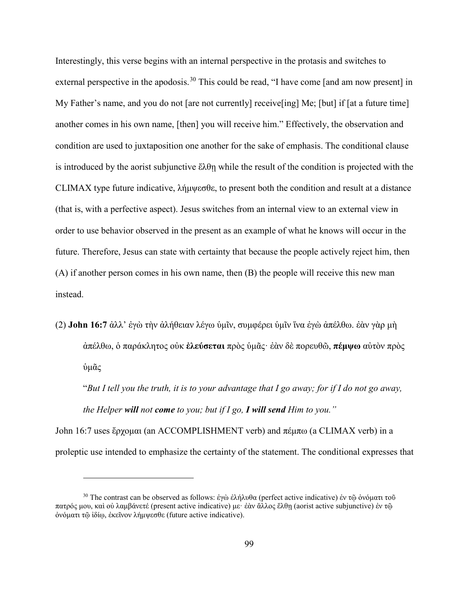Interestingly, this verse begins with an internal perspective in the protasis and switches to external perspective in the apodosis.<sup>[30](#page-105-0)</sup> This could be read, "I have come [and am now present] in My Father's name, and you do not [are not currently] receive[ing] Me; [but] if [at a future time] another comes in his own name, [then] you will receive him." Effectively, the observation and condition are used to juxtaposition one another for the sake of emphasis. The conditional clause is introduced by the aorist subjunctive  $\epsilon \lambda \theta$  while the result of the condition is projected with the CLIMAX type future indicative, λήμψεσθε, to present both the condition and result at a distance (that is, with a perfective aspect). Jesus switches from an internal view to an external view in order to use behavior observed in the present as an example of what he knows will occur in the future. Therefore, Jesus can state with certainty that because the people actively reject him, then (A) if another person comes in his own name, then (B) the people will receive this new man instead.

(2) **John 16:7** ἀλλ' ἐγὼ τὴν ἀλήθειαν λέγω ὑμῖν, συμφέρει ὑμῖν ἵνα ἐγὼ ἀπέλθω. ἐὰν γὰρ μὴ ἀπέλθω, ὁ παράκλητος οὐκ **ἐλεύσεται** πρὸς ὑμᾶς· ἐὰν δὲ πορευθῶ, **πέμψω** αὐτὸν πρὸς ὑμᾶς

"*But I tell you the truth, it is to your advantage that I go away; for if I do not go away, the Helper will not come to you; but if I go, I will send Him to you."*

John 16:7 uses ἔρχομαι (an ACCOMPLISHMENT verb) and πέμπω (a CLIMAX verb) in a proleptic use intended to emphasize the certainty of the statement. The conditional expresses that

<span id="page-105-0"></span><sup>&</sup>lt;sup>30</sup> The contrast can be observed as follows: ἐγὼ ἐλήλυθα (perfect active indicative) ἐν τῶ ὀνόματι τοῦ πατρός μου, καὶ οὐ λαμβάνετέ (present active indicative) με· ἐὰν ἄλλος ἔλθῃ (aorist active subjunctive) ἐν τῷ ὀνόματι τῷ ἰδίῳ, ἐκεῖνον λήμψεσθε (future active indicative).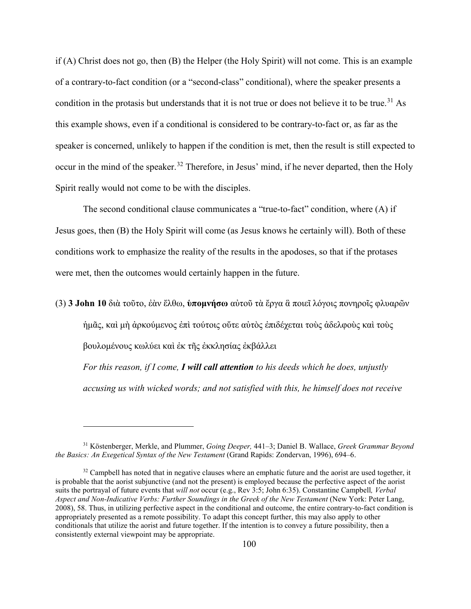if (A) Christ does not go, then (B) the Helper (the Holy Spirit) will not come. This is an example of a contrary-to-fact condition (or a "second-class" conditional), where the speaker presents a condition in the protasis but understands that it is not true or does not believe it to be true.<sup>[31](#page-106-0)</sup> As this example shows, even if a conditional is considered to be contrary-to-fact or, as far as the speaker is concerned, unlikely to happen if the condition is met, then the result is still expected to occur in the mind of the speaker.<sup>[32](#page-106-1)</sup> Therefore, in Jesus' mind, if he never departed, then the Holy Spirit really would not come to be with the disciples.

 The second conditional clause communicates a "true-to-fact" condition, where (A) if Jesus goes, then (B) the Holy Spirit will come (as Jesus knows he certainly will). Both of these conditions work to emphasize the reality of the results in the apodoses, so that if the protases were met, then the outcomes would certainly happen in the future.

(3) **3 John 10** διὰ τοῦτο, ἐὰν ἔλθω, **ὑπομνήσω** αὐτοῦ τὰ ἔργα ἃ ποιεῖ λόγοις πονηροῖς φλυαρῶν

ἡμᾶς, καὶ μὴ ἀρκούμενος ἐπὶ τούτοις οὔτε αὐτὸς ἐπιδέχεται τοὺς ἀδελφοὺς καὶ τοὺς

βουλομένους κωλύει καὶ ἐκ τῆς ἐκκλησίας ἐκβάλλει

 $\overline{a}$ 

*For this reason, if I come, I will call attention to his deeds which he does, unjustly accusing us with wicked words; and not satisfied with this, he himself does not receive* 

<span id="page-106-0"></span><sup>31</sup> Köstenberger, Merkle, and Plummer, *Going Deeper,* 441–3; Daniel B. Wallace, *Greek Grammar Beyond the Basics: An Exegetical Syntax of the New Testament* (Grand Rapids: Zondervan, 1996), 694–6.

<span id="page-106-1"></span> $32$  Campbell has noted that in negative clauses where an emphatic future and the aorist are used together, it is probable that the aorist subjunctive (and not the present) is employed because the perfective aspect of the aorist suits the portrayal of future events that *will not* occur (e.g., Rev 3:5; John 6:35). Constantine Campbell*, Verbal Aspect and Non-Indicative Verbs: Further Soundings in the Greek of the New Testament* (New York: Peter Lang, 2008), 58. Thus, in utilizing perfective aspect in the conditional and outcome, the entire contrary-to-fact condition is appropriately presented as a remote possibility. To adapt this concept further, this may also apply to other conditionals that utilize the aorist and future together. If the intention is to convey a future possibility, then a consistently external viewpoint may be appropriate.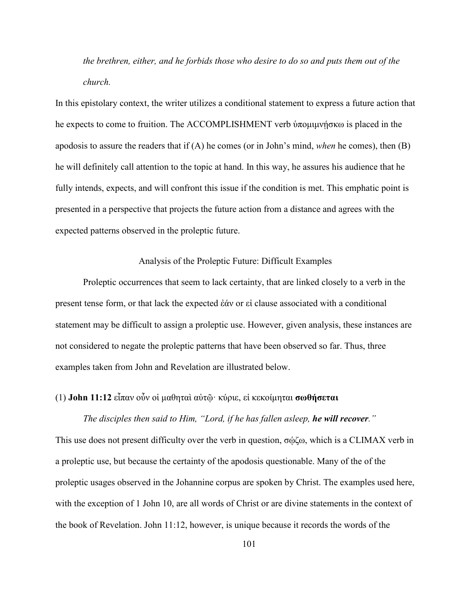*the brethren, either, and he forbids those who desire to do so and puts them out of the church.*

In this epistolary context, the writer utilizes a conditional statement to express a future action that he expects to come to fruition. The ACCOMPLISHMENT verb ύπομιμνήσκω is placed in the apodosis to assure the readers that if (A) he comes (or in John's mind, *when* he comes), then (B) he will definitely call attention to the topic at hand. In this way, he assures his audience that he fully intends, expects, and will confront this issue if the condition is met. This emphatic point is presented in a perspective that projects the future action from a distance and agrees with the expected patterns observed in the proleptic future.

### Analysis of the Proleptic Future: Difficult Examples

Proleptic occurrences that seem to lack certainty, that are linked closely to a verb in the present tense form, or that lack the expected ἐάν or εἰ clause associated with a conditional statement may be difficult to assign a proleptic use. However, given analysis, these instances are not considered to negate the proleptic patterns that have been observed so far. Thus, three examples taken from John and Revelation are illustrated below.

# (1) **John 11:12** εἶπαν οὖν οἱ μαθηταὶ αὐτῷ· κύριε, εἰ κεκοίμηται **σωθήσεται**

*The disciples then said to Him, "Lord, if he has fallen asleep, he will recover."* This use does not present difficulty over the verb in question, σῴζω, which is a CLIMAX verb in a proleptic use, but because the certainty of the apodosis questionable. Many of the of the proleptic usages observed in the Johannine corpus are spoken by Christ. The examples used here, with the exception of 1 John 10, are all words of Christ or are divine statements in the context of the book of Revelation. John 11:12, however, is unique because it records the words of the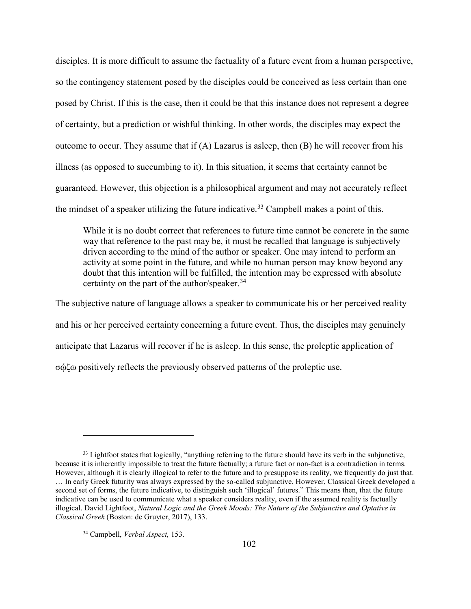disciples. It is more difficult to assume the factuality of a future event from a human perspective, so the contingency statement posed by the disciples could be conceived as less certain than one posed by Christ. If this is the case, then it could be that this instance does not represent a degree of certainty, but a prediction or wishful thinking. In other words, the disciples may expect the outcome to occur. They assume that if  $(A)$  Lazarus is asleep, then  $(B)$  he will recover from his illness (as opposed to succumbing to it). In this situation, it seems that certainty cannot be guaranteed. However, this objection is a philosophical argument and may not accurately reflect the mindset of a speaker utilizing the future indicative.<sup>[33](#page-108-0)</sup> Campbell makes a point of this.

While it is no doubt correct that references to future time cannot be concrete in the same way that reference to the past may be, it must be recalled that language is subjectively driven according to the mind of the author or speaker. One may intend to perform an activity at some point in the future, and while no human person may know beyond any doubt that this intention will be fulfilled, the intention may be expressed with absolute certainty on the part of the author/speaker.  $34$ 

The subjective nature of language allows a speaker to communicate his or her perceived reality and his or her perceived certainty concerning a future event. Thus, the disciples may genuinely anticipate that Lazarus will recover if he is asleep. In this sense, the proleptic application of σῴζω positively reflects the previously observed patterns of the proleptic use.

<span id="page-108-0"></span><sup>&</sup>lt;sup>33</sup> Lightfoot states that logically, "anything referring to the future should have its verb in the subjunctive, because it is inherently impossible to treat the future factually; a future fact or non-fact is a contradiction in terms. However, although it is clearly illogical to refer to the future and to presuppose its reality, we frequently do just that. … In early Greek futurity was always expressed by the so-called subjunctive. However, Classical Greek developed a second set of forms, the future indicative, to distinguish such 'illogical' futures." This means then, that the future indicative can be used to communicate what a speaker considers reality, even if the assumed reality is factually illogical. David Lightfoot, *Natural Logic and the Greek Moods: The Nature of the Subjunctive and Optative in Classical Greek* (Boston: de Gruyter, 2017), 133.

<span id="page-108-1"></span><sup>34</sup> Campbell, *Verbal Aspect,* 153.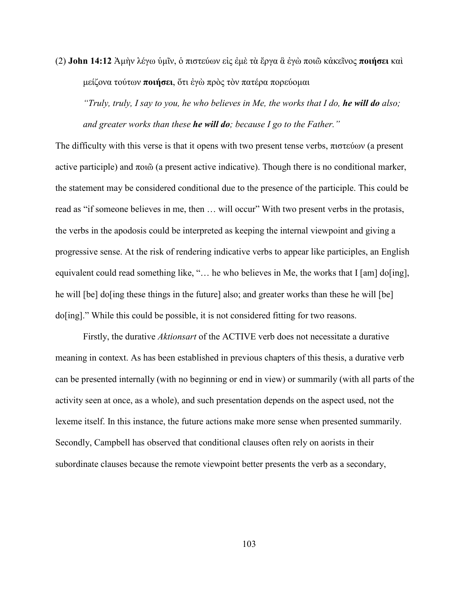(2) **John 14:12** Ἀμὴν λέγω ὑμῖν, ὁ πιστεύων εἰς ἐμὲ τὰ ἔργα ἃ ἐγὼ ποιῶ κἀκεῖνος **ποιήσει** καὶ μείζονα τούτων **ποιήσει**, ὅτι ἐγὼ πρὸς τὸν πατέρα πορεύομαι

*"Truly, truly, I say to you, he who believes in Me, the works that I do, he will do also; and greater works than these he will do; because I go to the Father."*

The difficulty with this verse is that it opens with two present tense verbs, πιστεύων (a present active participle) and ποιῶ (a present active indicative). Though there is no conditional marker, the statement may be considered conditional due to the presence of the participle. This could be read as "if someone believes in me, then ... will occur" With two present verbs in the protasis, the verbs in the apodosis could be interpreted as keeping the internal viewpoint and giving a progressive sense. At the risk of rendering indicative verbs to appear like participles, an English equivalent could read something like, "... he who believes in Me, the works that I [am] do[ing], he will [be] do[ing these things in the future] also; and greater works than these he will [be] do[ing]." While this could be possible, it is not considered fitting for two reasons.

Firstly, the durative *Aktionsart* of the ACTIVE verb does not necessitate a durative meaning in context. As has been established in previous chapters of this thesis, a durative verb can be presented internally (with no beginning or end in view) or summarily (with all parts of the activity seen at once, as a whole), and such presentation depends on the aspect used, not the lexeme itself. In this instance, the future actions make more sense when presented summarily. Secondly, Campbell has observed that conditional clauses often rely on aorists in their subordinate clauses because the remote viewpoint better presents the verb as a secondary,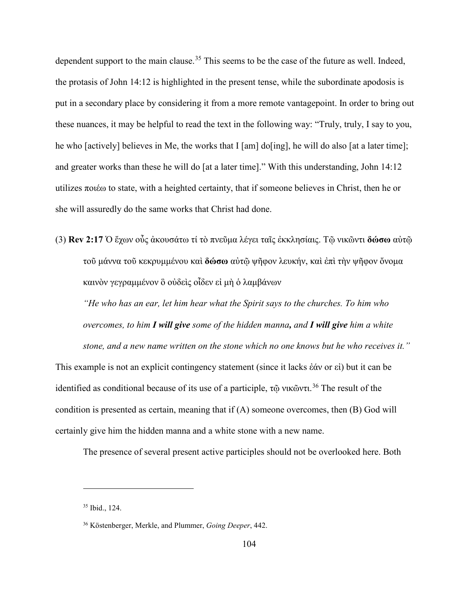dependent support to the main clause.<sup>[35](#page-110-0)</sup> This seems to be the case of the future as well. Indeed, the protasis of John 14:12 is highlighted in the present tense, while the subordinate apodosis is put in a secondary place by considering it from a more remote vantagepoint. In order to bring out these nuances, it may be helpful to read the text in the following way: "Truly, truly, I say to you, he who [actively] believes in Me, the works that I [am] do[ing], he will do also [at a later time]; and greater works than these he will do [at a later time]." With this understanding, John 14:12 utilizes ποιέω to state, with a heighted certainty, that if someone believes in Christ, then he or she will assuredly do the same works that Christ had done.

(3) **Rev 2:17** Ὁ ἔχων οὖς ἀκουσάτω τί τὸ πνεῦμα λέγει ταῖς ἐκκλησίαις. Τῷ νικῶντι **δώσω** αὐτῷ τοῦ μάννα τοῦ κεκρυμμένου καὶ **δώσω** αὐτῷ ψῆφον λευκήν, καὶ ἐπὶ τὴν ψῆφον ὄνομα καινὸν γεγραμμένον ὃ οὐδεὶς οἶδεν εἰ μὴ ὁ λαμβάνων

*"He who has an ear, let him hear what the Spirit says to the churches. To him who overcomes, to him I will give some of the hidden manna, and I will give him a white stone, and a new name written on the stone which no one knows but he who receives it."*

This example is not an explicit contingency statement (since it lacks ἐάν or εἰ) but it can be identified as conditional because of its use of a participle, τῷ νικῶντι. [36](#page-110-1) The result of the condition is presented as certain, meaning that if (A) someone overcomes, then (B) God will certainly give him the hidden manna and a white stone with a new name.

The presence of several present active participles should not be overlooked here. Both

<span id="page-110-0"></span><sup>35</sup> Ibid., 124.

<span id="page-110-1"></span><sup>36</sup> Köstenberger, Merkle, and Plummer, *Going Deeper*, 442.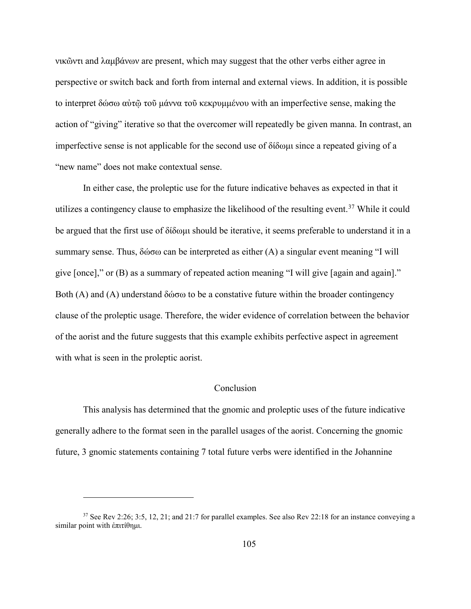νικῶντι and λαμβάνων are present, which may suggest that the other verbs either agree in perspective or switch back and forth from internal and external views. In addition, it is possible to interpret δώσω αὐτῷ τοῦ μάννα τοῦ κεκρυμμένου with an imperfective sense, making the action of "giving" iterative so that the overcomer will repeatedly be given manna. In contrast, an imperfective sense is not applicable for the second use of δίδωμι since a repeated giving of a "new name" does not make contextual sense.

In either case, the proleptic use for the future indicative behaves as expected in that it utilizes a contingency clause to emphasize the likelihood of the resulting event.<sup>[37](#page-111-0)</sup> While it could be argued that the first use of δίδωμι should be iterative, it seems preferable to understand it in a summary sense. Thus, δώσω can be interpreted as either (A) a singular event meaning "I will give [once]," or (B) as a summary of repeated action meaning "I will give [again and again]." Both (A) and (A) understand δώσω to be a constative future within the broader contingency clause of the proleptic usage. Therefore, the wider evidence of correlation between the behavior of the aorist and the future suggests that this example exhibits perfective aspect in agreement with what is seen in the proleptic aorist.

# Conclusion

This analysis has determined that the gnomic and proleptic uses of the future indicative generally adhere to the format seen in the parallel usages of the aorist. Concerning the gnomic future, 3 gnomic statements containing 7 total future verbs were identified in the Johannine

<span id="page-111-0"></span><sup>&</sup>lt;sup>37</sup> See Rev 2:26; 3:5, 12, 21; and 21:7 for parallel examples. See also Rev 22:18 for an instance conveying a similar point with ἐπιτίθημι.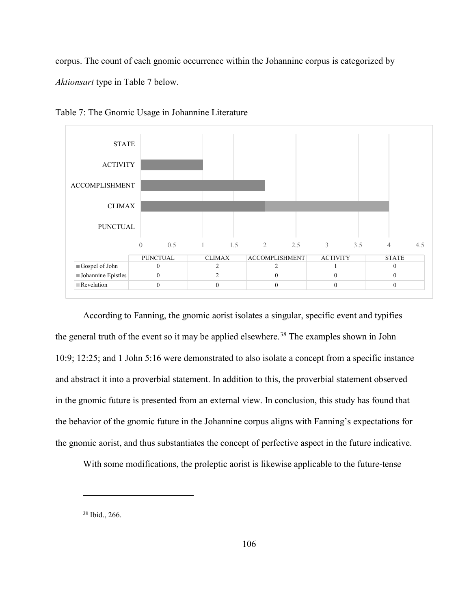corpus. The count of each gnomic occurrence within the Johannine corpus is categorized by *Aktionsart* type in Table 7 below.



Table 7: The Gnomic Usage in Johannine Literature

According to Fanning, the gnomic aorist isolates a singular, specific event and typifies the general truth of the event so it may be applied elsewhere.<sup>[38](#page-112-0)</sup> The examples shown in John 10:9; 12:25; and 1 John 5:16 were demonstrated to also isolate a concept from a specific instance and abstract it into a proverbial statement. In addition to this, the proverbial statement observed in the gnomic future is presented from an external view. In conclusion, this study has found that the behavior of the gnomic future in the Johannine corpus aligns with Fanning's expectations for the gnomic aorist, and thus substantiates the concept of perfective aspect in the future indicative.

With some modifications, the proleptic aorist is likewise applicable to the future-tense

<span id="page-112-0"></span><sup>38</sup> Ibid., 266.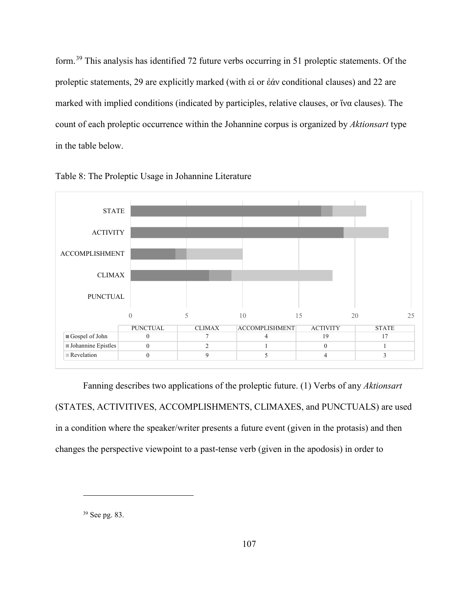form.[39](#page-113-0) This analysis has identified 72 future verbs occurring in 51 proleptic statements. Of the proleptic statements, 29 are explicitly marked (with εἰ or ἐάν conditional clauses) and 22 are marked with implied conditions (indicated by participles, relative clauses, or ἵνα clauses). The count of each proleptic occurrence within the Johannine corpus is organized by *Aktionsart* type in the table below.





Fanning describes two applications of the proleptic future. (1) Verbs of any *Aktionsart* (STATES, ACTIVITIVES, ACCOMPLISHMENTS, CLIMAXES, and PUNCTUALS) are used in a condition where the speaker/writer presents a future event (given in the protasis) and then changes the perspective viewpoint to a past-tense verb (given in the apodosis) in order to

<span id="page-113-0"></span><sup>39</sup> See pg. 83.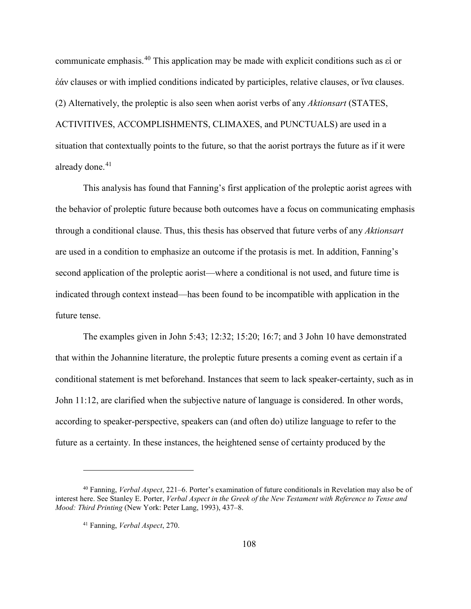communicate emphasis. [40](#page-114-0) This application may be made with explicit conditions such as εἰ or ἐάν clauses or with implied conditions indicated by participles, relative clauses, or ἵνα clauses. (2) Alternatively, the proleptic is also seen when aorist verbs of any *Aktionsart* (STATES, ACTIVITIVES, ACCOMPLISHMENTS, CLIMAXES, and PUNCTUALS) are used in a situation that contextually points to the future, so that the aorist portrays the future as if it were already done.<sup>[41](#page-114-1)</sup>

This analysis has found that Fanning's first application of the proleptic aorist agrees with the behavior of proleptic future because both outcomes have a focus on communicating emphasis through a conditional clause. Thus, this thesis has observed that future verbs of any *Aktionsart* are used in a condition to emphasize an outcome if the protasis is met. In addition, Fanning's second application of the proleptic aorist—where a conditional is not used, and future time is indicated through context instead—has been found to be incompatible with application in the future tense.

The examples given in John 5:43; 12:32; 15:20; 16:7; and 3 John 10 have demonstrated that within the Johannine literature, the proleptic future presents a coming event as certain if a conditional statement is met beforehand. Instances that seem to lack speaker-certainty, such as in John 11:12, are clarified when the subjective nature of language is considered. In other words, according to speaker-perspective, speakers can (and often do) utilize language to refer to the future as a certainty. In these instances, the heightened sense of certainty produced by the

<span id="page-114-1"></span><span id="page-114-0"></span><sup>40</sup> Fanning, *Verbal Aspect*, 221–6. Porter's examination of future conditionals in Revelation may also be of interest here. See Stanley E. Porter, *Verbal Aspect in the Greek of the New Testament with Reference to Tense and Mood: Third Printing* (New York: Peter Lang, 1993), 437–8.

<sup>41</sup> Fanning, *Verbal Aspect*, 270.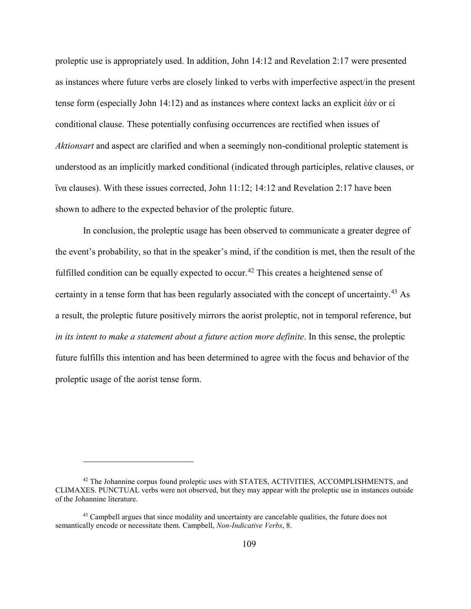proleptic use is appropriately used. In addition, John 14:12 and Revelation 2:17 were presented as instances where future verbs are closely linked to verbs with imperfective aspect/in the present tense form (especially John 14:12) and as instances where context lacks an explicit ἐάν or εἰ conditional clause. These potentially confusing occurrences are rectified when issues of *Aktionsart* and aspect are clarified and when a seemingly non-conditional proleptic statement is understood as an implicitly marked conditional (indicated through participles, relative clauses, or ἵνα clauses). With these issues corrected, John 11:12; 14:12 and Revelation 2:17 have been shown to adhere to the expected behavior of the proleptic future.

In conclusion, the proleptic usage has been observed to communicate a greater degree of the event's probability, so that in the speaker's mind, if the condition is met, then the result of the fulfilled condition can be equally expected to occur.<sup>[42](#page-115-0)</sup> This creates a heightened sense of certainty in a tense form that has been regularly associated with the concept of uncertainty. [43](#page-115-1) As a result, the proleptic future positively mirrors the aorist proleptic, not in temporal reference, but *in its intent to make a statement about a future action more definite*. In this sense, the proleptic future fulfills this intention and has been determined to agree with the focus and behavior of the proleptic usage of the aorist tense form.

<span id="page-115-0"></span><sup>&</sup>lt;sup>42</sup> The Johannine corpus found proleptic uses with STATES, ACTIVITIES, ACCOMPLISHMENTS, and CLIMAXES. PUNCTUAL verbs were not observed, but they may appear with the proleptic use in instances outside of the Johannine literature.

<span id="page-115-1"></span><sup>&</sup>lt;sup>43</sup> Campbell argues that since modality and uncertainty are cancelable qualities, the future does not semantically encode or necessitate them. Campbell, *Non-Indicative Verbs*, 8.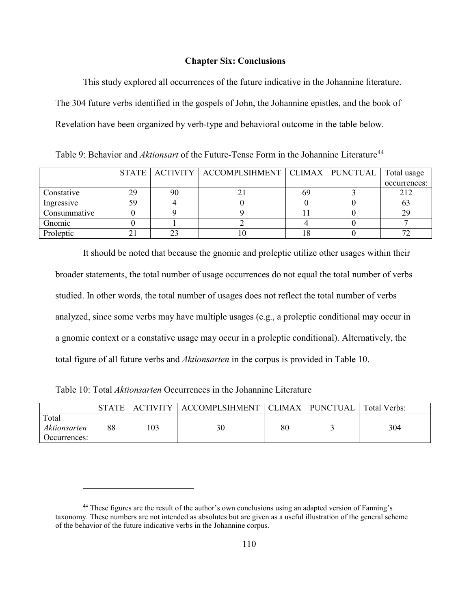# **Chapter Six: Conclusions**

This study explored all occurrences of the future indicative in the Johannine literature. The 304 future verbs identified in the gospels of John, the Johannine epistles, and the book of Revelation have been organized by verb-type and behavioral outcome in the table below.

Table 9: Behavior and *Aktionsart* of the Future-Tense Form in the Johannine Literature<sup>[44](#page-116-0)</sup>

|              |    |    | STATE   ACTIVITY   ACCOMPLSIHMENT   CLIMAX   PUNCTUAL   Total usage |  |              |
|--------------|----|----|---------------------------------------------------------------------|--|--------------|
|              |    |    |                                                                     |  | occurrences: |
| Constative   | 29 | 90 |                                                                     |  | 212          |
| Ingressive   |    |    |                                                                     |  |              |
| Consummative |    |    |                                                                     |  |              |
| Gnomic       |    |    |                                                                     |  |              |
| Proleptic    |    |    |                                                                     |  |              |

It should be noted that because the gnomic and proleptic utilize other usages within their broader statements, the total number of usage occurrences do not equal the total number of verbs studied. In other words, the total number of usages does not reflect the total number of verbs analyzed, since some verbs may have multiple usages (e.g., a proleptic conditional may occur in a gnomic context or a constative usage may occur in a proleptic conditional). Alternatively, the total figure of all future verbs and *Aktionsarten* in the corpus is provided in Table 10.

Table 10: Total *Aktionsarten* Occurrences in the Johannine Literature

|                                       | <b>STATE</b> | <b>ACTIVITY</b> | <b>ACCOMPLSIHMENT  </b> | CLIMAX | <b>PUNCTUAL</b> | Total Verbs: |
|---------------------------------------|--------------|-----------------|-------------------------|--------|-----------------|--------------|
| Total<br>Aktionsarten<br>Occurrences: | 88           | 103             | 30                      | 80     |                 | 304          |

<span id="page-116-0"></span><sup>&</sup>lt;sup>44</sup> These figures are the result of the author's own conclusions using an adapted version of Fanning's taxonomy. These numbers are not intended as absolutes but are given as a useful illustration of the general scheme of the behavior of the future indicative verbs in the Johannine corpus.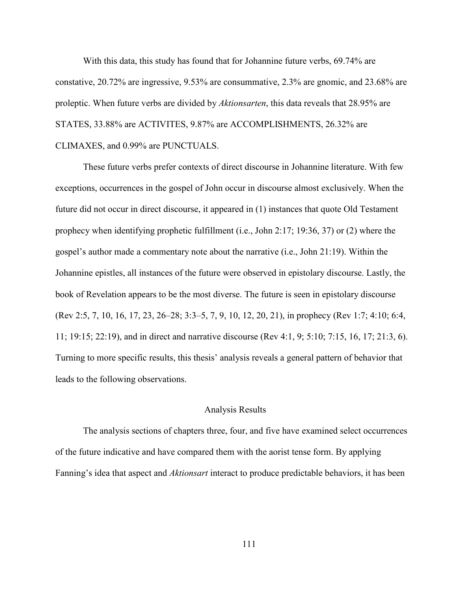With this data, this study has found that for Johannine future verbs, 69.74% are constative, 20.72% are ingressive, 9.53% are consummative, 2.3% are gnomic, and 23.68% are proleptic. When future verbs are divided by *Aktionsarten*, this data reveals that 28.95% are STATES, 33.88% are ACTIVITES, 9.87% are ACCOMPLISHMENTS, 26.32% are CLIMAXES, and 0.99% are PUNCTUALS.

These future verbs prefer contexts of direct discourse in Johannine literature. With few exceptions, occurrences in the gospel of John occur in discourse almost exclusively. When the future did not occur in direct discourse, it appeared in (1) instances that quote Old Testament prophecy when identifying prophetic fulfillment (i.e., John 2:17; 19:36, 37) or (2) where the gospel's author made a commentary note about the narrative (i.e., John 21:19). Within the Johannine epistles, all instances of the future were observed in epistolary discourse. Lastly, the book of Revelation appears to be the most diverse. The future is seen in epistolary discourse (Rev 2:5, 7, 10, 16, 17, 23, 26–28; 3:3–5, 7, 9, 10, 12, 20, 21), in prophecy (Rev 1:7; 4:10; 6:4, 11; 19:15; 22:19), and in direct and narrative discourse (Rev 4:1, 9; 5:10; 7:15, 16, 17; 21:3, 6). Turning to more specific results, this thesis' analysis reveals a general pattern of behavior that leads to the following observations.

#### Analysis Results

The analysis sections of chapters three, four, and five have examined select occurrences of the future indicative and have compared them with the aorist tense form. By applying Fanning's idea that aspect and *Aktionsart* interact to produce predictable behaviors, it has been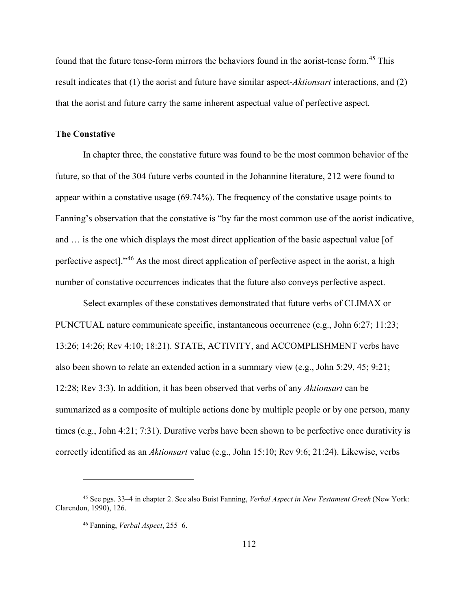found that the future tense-form mirrors the behaviors found in the aorist-tense form.<sup>[45](#page-118-0)</sup> This result indicates that (1) the aorist and future have similar aspect-*Aktionsart* interactions, and (2) that the aorist and future carry the same inherent aspectual value of perfective aspect.

### **The Constative**

In chapter three, the constative future was found to be the most common behavior of the future, so that of the 304 future verbs counted in the Johannine literature, 212 were found to appear within a constative usage (69.74%). The frequency of the constative usage points to Fanning's observation that the constative is "by far the most common use of the aorist indicative, and … is the one which displays the most direct application of the basic aspectual value [of perfective aspect]."[46](#page-118-1) As the most direct application of perfective aspect in the aorist, a high number of constative occurrences indicates that the future also conveys perfective aspect.

Select examples of these constatives demonstrated that future verbs of CLIMAX or PUNCTUAL nature communicate specific, instantaneous occurrence (e.g., John 6:27; 11:23; 13:26; 14:26; Rev 4:10; 18:21). STATE, ACTIVITY, and ACCOMPLISHMENT verbs have also been shown to relate an extended action in a summary view (e.g., John 5:29, 45; 9:21; 12:28; Rev 3:3). In addition, it has been observed that verbs of any *Aktionsart* can be summarized as a composite of multiple actions done by multiple people or by one person, many times (e.g., John 4:21; 7:31). Durative verbs have been shown to be perfective once durativity is correctly identified as an *Aktionsart* value (e.g., John 15:10; Rev 9:6; 21:24). Likewise, verbs

<span id="page-118-1"></span><span id="page-118-0"></span><sup>45</sup> See pgs. 33–4 in chapter 2. See also Buist Fanning, *Verbal Aspect in New Testament Greek* (New York: Clarendon, 1990), 126.

<sup>46</sup> Fanning, *Verbal Aspect*, 255–6.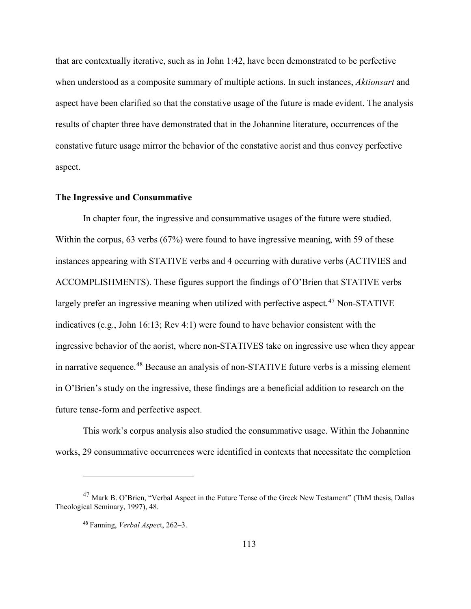that are contextually iterative, such as in John 1:42, have been demonstrated to be perfective when understood as a composite summary of multiple actions. In such instances, *Aktionsart* and aspect have been clarified so that the constative usage of the future is made evident. The analysis results of chapter three have demonstrated that in the Johannine literature, occurrences of the constative future usage mirror the behavior of the constative aorist and thus convey perfective aspect.

### **The Ingressive and Consummative**

In chapter four, the ingressive and consummative usages of the future were studied. Within the corpus, 63 verbs (67%) were found to have ingressive meaning, with 59 of these instances appearing with STATIVE verbs and 4 occurring with durative verbs (ACTIVIES and ACCOMPLISHMENTS). These figures support the findings of O'Brien that STATIVE verbs largely prefer an ingressive meaning when utilized with perfective aspect.<sup>[47](#page-119-0)</sup> Non-STATIVE indicatives (e.g., John 16:13; Rev 4:1) were found to have behavior consistent with the ingressive behavior of the aorist, where non-STATIVES take on ingressive use when they appear in narrative sequence.<sup>[48](#page-119-1)</sup> Because an analysis of non-STATIVE future verbs is a missing element in O'Brien's study on the ingressive, these findings are a beneficial addition to research on the future tense-form and perfective aspect.

This work's corpus analysis also studied the consummative usage. Within the Johannine works, 29 consummative occurrences were identified in contexts that necessitate the completion

<span id="page-119-1"></span><span id="page-119-0"></span><sup>47</sup> Mark B. O'Brien, "Verbal Aspect in the Future Tense of the Greek New Testament" (ThM thesis, Dallas Theological Seminary, 1997), 48.

<sup>48</sup> Fanning, *Verbal Aspec*t, 262–3.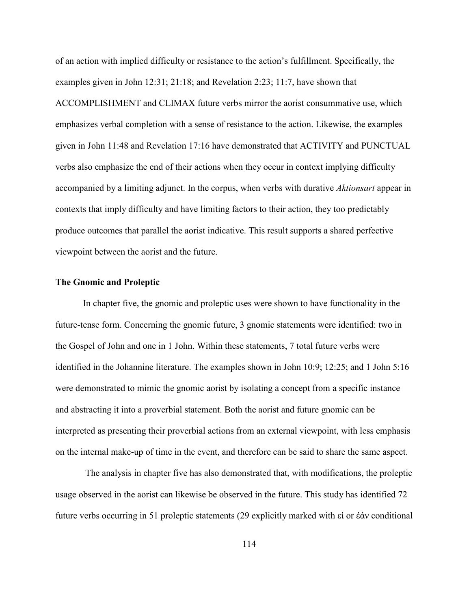of an action with implied difficulty or resistance to the action's fulfillment. Specifically, the examples given in John 12:31; 21:18; and Revelation 2:23; 11:7, have shown that ACCOMPLISHMENT and CLIMAX future verbs mirror the aorist consummative use, which emphasizes verbal completion with a sense of resistance to the action. Likewise, the examples given in John 11:48 and Revelation 17:16 have demonstrated that ACTIVITY and PUNCTUAL verbs also emphasize the end of their actions when they occur in context implying difficulty accompanied by a limiting adjunct. In the corpus, when verbs with durative *Aktionsart* appear in contexts that imply difficulty and have limiting factors to their action, they too predictably produce outcomes that parallel the aorist indicative. This result supports a shared perfective viewpoint between the aorist and the future.

# **The Gnomic and Proleptic**

In chapter five, the gnomic and proleptic uses were shown to have functionality in the future-tense form. Concerning the gnomic future, 3 gnomic statements were identified: two in the Gospel of John and one in 1 John. Within these statements, 7 total future verbs were identified in the Johannine literature. The examples shown in John 10:9; 12:25; and 1 John 5:16 were demonstrated to mimic the gnomic aorist by isolating a concept from a specific instance and abstracting it into a proverbial statement. Both the aorist and future gnomic can be interpreted as presenting their proverbial actions from an external viewpoint, with less emphasis on the internal make-up of time in the event, and therefore can be said to share the same aspect.

The analysis in chapter five has also demonstrated that, with modifications, the proleptic usage observed in the aorist can likewise be observed in the future. This study has identified 72 future verbs occurring in 51 proleptic statements (29 explicitly marked with εἰ or ἐάν conditional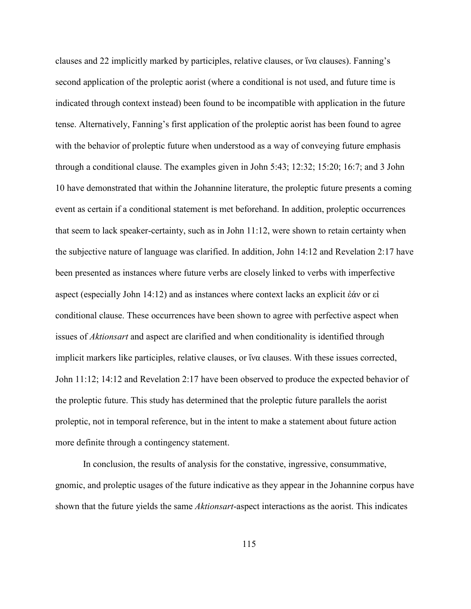clauses and 22 implicitly marked by participles, relative clauses, or  $\alpha$  clauses). Fanning's second application of the proleptic aorist (where a conditional is not used, and future time is indicated through context instead) been found to be incompatible with application in the future tense. Alternatively, Fanning's first application of the proleptic aorist has been found to agree with the behavior of proleptic future when understood as a way of conveying future emphasis through a conditional clause. The examples given in John 5:43; 12:32; 15:20; 16:7; and 3 John 10 have demonstrated that within the Johannine literature, the proleptic future presents a coming event as certain if a conditional statement is met beforehand. In addition, proleptic occurrences that seem to lack speaker-certainty, such as in John 11:12, were shown to retain certainty when the subjective nature of language was clarified. In addition, John 14:12 and Revelation 2:17 have been presented as instances where future verbs are closely linked to verbs with imperfective aspect (especially John 14:12) and as instances where context lacks an explicit ἐάν or εἰ conditional clause. These occurrences have been shown to agree with perfective aspect when issues of *Aktionsart* and aspect are clarified and when conditionality is identified through implicit markers like participles, relative clauses, or ἵνα clauses. With these issues corrected, John 11:12; 14:12 and Revelation 2:17 have been observed to produce the expected behavior of the proleptic future. This study has determined that the proleptic future parallels the aorist proleptic, not in temporal reference, but in the intent to make a statement about future action more definite through a contingency statement.

In conclusion, the results of analysis for the constative, ingressive, consummative, gnomic, and proleptic usages of the future indicative as they appear in the Johannine corpus have shown that the future yields the same *Aktionsart*-aspect interactions as the aorist. This indicates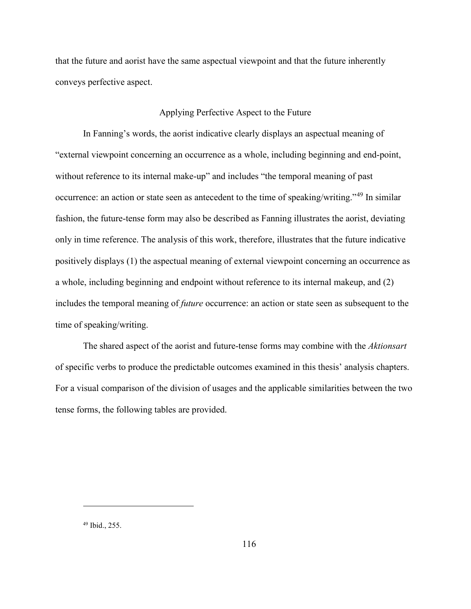that the future and aorist have the same aspectual viewpoint and that the future inherently conveys perfective aspect.

# Applying Perfective Aspect to the Future

In Fanning's words, the aorist indicative clearly displays an aspectual meaning of "external viewpoint concerning an occurrence as a whole, including beginning and end-point, without reference to its internal make-up" and includes "the temporal meaning of past occurrence: an action or state seen as antecedent to the time of speaking/writing."[49](#page-122-0) In similar fashion, the future-tense form may also be described as Fanning illustrates the aorist, deviating only in time reference. The analysis of this work, therefore, illustrates that the future indicative positively displays (1) the aspectual meaning of external viewpoint concerning an occurrence as a whole, including beginning and endpoint without reference to its internal makeup, and (2) includes the temporal meaning of *future* occurrence: an action or state seen as subsequent to the time of speaking/writing.

The shared aspect of the aorist and future-tense forms may combine with the *Aktionsart* of specific verbs to produce the predictable outcomes examined in this thesis' analysis chapters. For a visual comparison of the division of usages and the applicable similarities between the two tense forms, the following tables are provided.

<span id="page-122-0"></span><sup>49</sup> Ibid., 255.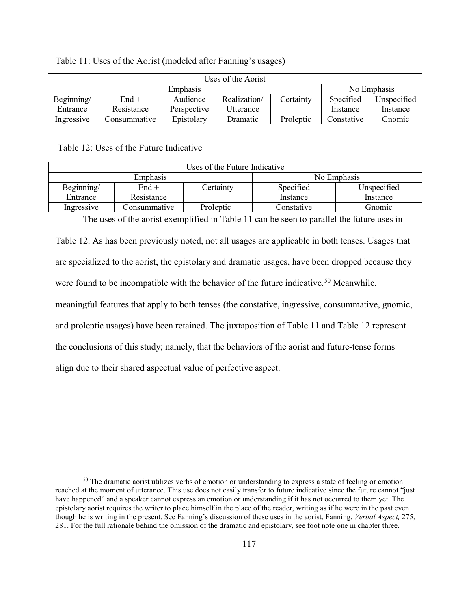| Table 11: Uses of the Aorist (modeled after Fanning's usages) |
|---------------------------------------------------------------|
|                                                               |

| Uses of the Aorist |              |             |              |             |            |             |
|--------------------|--------------|-------------|--------------|-------------|------------|-------------|
| Emphasis           |              |             |              | No Emphasis |            |             |
| Beginning/         | $End +$      | Audience    | Realization/ | Certainty   | Specified  | Unspecified |
| Entrance           | Resistance   | Perspective | Utterance    |             | Instance   | Instance    |
| Ingressive         | Consummative | Epistolary  | Dramatic     | Proleptic   | Constative | Gnomic      |

Table 12: Uses of the Future Indicative

 $\overline{a}$ 

| Uses of the Future Indicative |              |           |             |             |  |  |
|-------------------------------|--------------|-----------|-------------|-------------|--|--|
| Emphasis                      |              |           | No Emphasis |             |  |  |
| Beginning/                    | $End+$       | Certainty | Specified   | Unspecified |  |  |
| Entrance                      | Resistance   |           | Instance    | Instance    |  |  |
| Ingressive                    | Consummative | Proleptic | Constative  | Gnomic      |  |  |

The uses of the aorist exemplified in Table 11 can be seen to parallel the future uses in

Table 12. As has been previously noted, not all usages are applicable in both tenses. Usages that are specialized to the aorist, the epistolary and dramatic usages, have been dropped because they were found to be incompatible with the behavior of the future indicative.<sup>[50](#page-123-0)</sup> Meanwhile, meaningful features that apply to both tenses (the constative, ingressive, consummative, gnomic, and proleptic usages) have been retained. The juxtaposition of Table 11 and Table 12 represent the conclusions of this study; namely, that the behaviors of the aorist and future-tense forms align due to their shared aspectual value of perfective aspect.

<span id="page-123-0"></span><sup>&</sup>lt;sup>50</sup> The dramatic aorist utilizes verbs of emotion or understanding to express a state of feeling or emotion reached at the moment of utterance. This use does not easily transfer to future indicative since the future cannot "just have happened" and a speaker cannot express an emotion or understanding if it has not occurred to them yet. The epistolary aorist requires the writer to place himself in the place of the reader, writing as if he were in the past even though he is writing in the present. See Fanning's discussion of these uses in the aorist, Fanning, *Verbal Aspect,* 275, 281. For the full rationale behind the omission of the dramatic and epistolary, see foot note one in chapter three.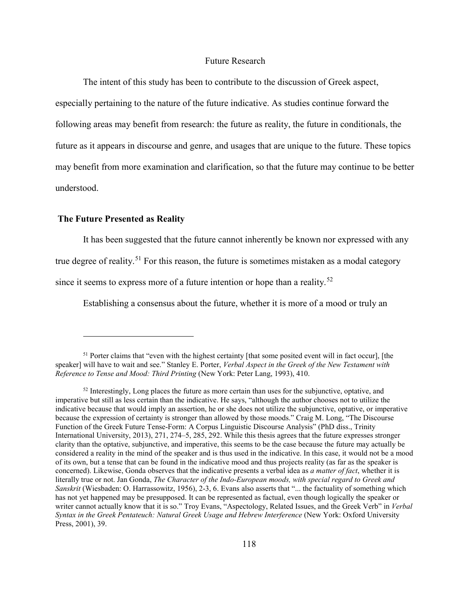# Future Research

The intent of this study has been to contribute to the discussion of Greek aspect, especially pertaining to the nature of the future indicative. As studies continue forward the following areas may benefit from research: the future as reality, the future in conditionals, the future as it appears in discourse and genre, and usages that are unique to the future. These topics may benefit from more examination and clarification, so that the future may continue to be better understood.

## **The Future Presented as Reality**

 $\overline{a}$ 

It has been suggested that the future cannot inherently be known nor expressed with any

true degree of reality.<sup>51</sup> For this reason, the future is sometimes mistaken as a modal category

since it seems to express more of a future intention or hope than a reality.<sup>[52](#page-124-1)</sup>

Establishing a consensus about the future, whether it is more of a mood or truly an

<span id="page-124-0"></span> $51$  Porter claims that "even with the highest certainty [that some posited event will in fact occur], [the speaker] will have to wait and see." Stanley E. Porter, *Verbal Aspect in the Greek of the New Testament with Reference to Tense and Mood: Third Printing* (New York: Peter Lang, 1993), 410.

<span id="page-124-1"></span> $52$  Interestingly, Long places the future as more certain than uses for the subjunctive, optative, and imperative but still as less certain than the indicative. He says, "although the author chooses not to utilize the indicative because that would imply an assertion, he or she does not utilize the subjunctive, optative, or imperative because the expression of certainty is stronger than allowed by those moods." Craig M. Long, "The Discourse Function of the Greek Future Tense-Form: A Corpus Linguistic Discourse Analysis" (PhD diss., Trinity International University, 2013), 271, 274–5, 285, 292. While this thesis agrees that the future expresses stronger clarity than the optative, subjunctive, and imperative, this seems to be the case because the future may actually be considered a reality in the mind of the speaker and is thus used in the indicative. In this case, it would not be a mood of its own, but a tense that can be found in the indicative mood and thus projects reality (as far as the speaker is concerned). Likewise, Gonda observes that the indicative presents a verbal idea as *a matter of fact*, whether it is literally true or not. Jan Gonda, *The Character of the Indo-European moods, with special regard to Greek and Sanskrit* (Wiesbaden: O. Harrassowitz, 1956), 2-3, 6. Evans also asserts that "... the factuality of something which has not yet happened may be presupposed. It can be represented as factual, even though logically the speaker or writer cannot actually know that it is so." Troy Evans, "Aspectology, Related Issues, and the Greek Verb" in *Verbal Syntax in the Greek Pentateuch: Natural Greek Usage and Hebrew Interference* (New York: Oxford University Press, 2001), 39.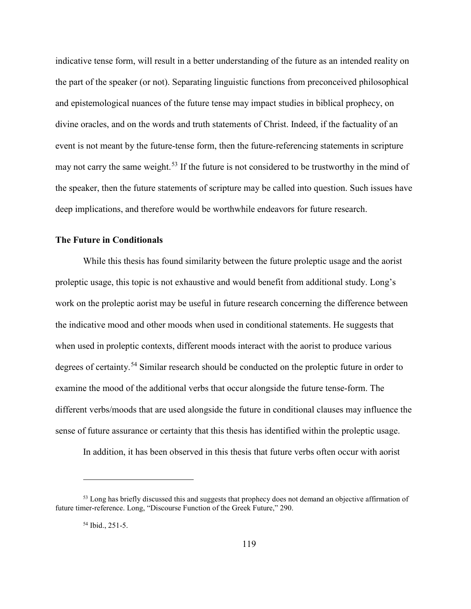indicative tense form, will result in a better understanding of the future as an intended reality on the part of the speaker (or not). Separating linguistic functions from preconceived philosophical and epistemological nuances of the future tense may impact studies in biblical prophecy, on divine oracles, and on the words and truth statements of Christ. Indeed, if the factuality of an event is not meant by the future-tense form, then the future-referencing statements in scripture may not carry the same weight.<sup>[53](#page-125-0)</sup> If the future is not considered to be trustworthy in the mind of the speaker, then the future statements of scripture may be called into question. Such issues have deep implications, and therefore would be worthwhile endeavors for future research.

# **The Future in Conditionals**

While this thesis has found similarity between the future proleptic usage and the aorist proleptic usage, this topic is not exhaustive and would benefit from additional study. Long's work on the proleptic aorist may be useful in future research concerning the difference between the indicative mood and other moods when used in conditional statements. He suggests that when used in proleptic contexts, different moods interact with the aorist to produce various degrees of certainty.<sup>[54](#page-125-1)</sup> Similar research should be conducted on the proleptic future in order to examine the mood of the additional verbs that occur alongside the future tense-form. The different verbs/moods that are used alongside the future in conditional clauses may influence the sense of future assurance or certainty that this thesis has identified within the proleptic usage.

In addition, it has been observed in this thesis that future verbs often occur with aorist

<span id="page-125-1"></span><span id="page-125-0"></span><sup>&</sup>lt;sup>53</sup> Long has briefly discussed this and suggests that prophecy does not demand an objective affirmation of future timer-reference. Long, "Discourse Function of the Greek Future," 290.

<sup>54</sup> Ibid., 251-5.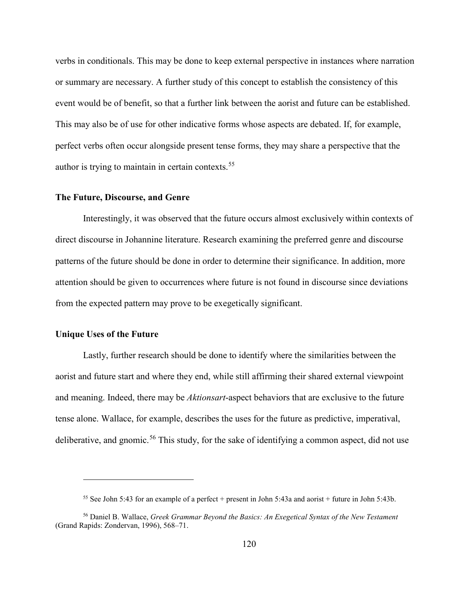verbs in conditionals. This may be done to keep external perspective in instances where narration or summary are necessary. A further study of this concept to establish the consistency of this event would be of benefit, so that a further link between the aorist and future can be established. This may also be of use for other indicative forms whose aspects are debated. If, for example, perfect verbs often occur alongside present tense forms, they may share a perspective that the author is trying to maintain in certain contexts.[55](#page-126-0)

### **The Future, Discourse, and Genre**

Interestingly, it was observed that the future occurs almost exclusively within contexts of direct discourse in Johannine literature. Research examining the preferred genre and discourse patterns of the future should be done in order to determine their significance. In addition, more attention should be given to occurrences where future is not found in discourse since deviations from the expected pattern may prove to be exegetically significant.

# **Unique Uses of the Future**

 $\overline{a}$ 

Lastly, further research should be done to identify where the similarities between the aorist and future start and where they end, while still affirming their shared external viewpoint and meaning. Indeed, there may be *Aktionsart*-aspect behaviors that are exclusive to the future tense alone. Wallace, for example, describes the uses for the future as predictive, imperatival, deliberative, and gnomic.<sup>56</sup> This study, for the sake of identifying a common aspect, did not use

<sup>&</sup>lt;sup>55</sup> See John 5:43 for an example of a perfect + present in John 5:43a and aorist + future in John 5:43b.

<span id="page-126-1"></span><span id="page-126-0"></span><sup>56</sup> Daniel B. Wallace, *Greek Grammar Beyond the Basics: An Exegetical Syntax of the New Testament* (Grand Rapids: Zondervan, 1996), 568–71.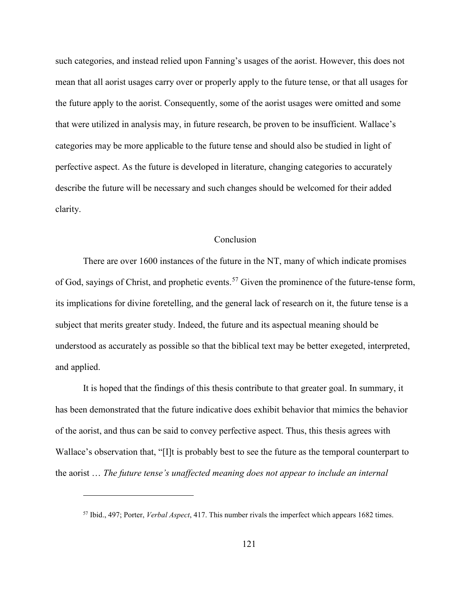such categories, and instead relied upon Fanning's usages of the aorist. However, this does not mean that all aorist usages carry over or properly apply to the future tense, or that all usages for the future apply to the aorist. Consequently, some of the aorist usages were omitted and some that were utilized in analysis may, in future research, be proven to be insufficient. Wallace's categories may be more applicable to the future tense and should also be studied in light of perfective aspect. As the future is developed in literature, changing categories to accurately describe the future will be necessary and such changes should be welcomed for their added clarity.

# Conclusion

There are over 1600 instances of the future in the NT, many of which indicate promises of God, sayings of Christ, and prophetic events.<sup>57</sup> Given the prominence of the future-tense form, its implications for divine foretelling, and the general lack of research on it, the future tense is a subject that merits greater study. Indeed, the future and its aspectual meaning should be understood as accurately as possible so that the biblical text may be better exegeted, interpreted, and applied.

It is hoped that the findings of this thesis contribute to that greater goal. In summary, it has been demonstrated that the future indicative does exhibit behavior that mimics the behavior of the aorist, and thus can be said to convey perfective aspect. Thus, this thesis agrees with Wallace's observation that, "[I]t is probably best to see the future as the temporal counterpart to the aorist … *The future tense's unaffected meaning does not appear to include an internal* 

<span id="page-127-0"></span><sup>57</sup> Ibid., 497; Porter, *Verbal Aspect*, 417. This number rivals the imperfect which appears 1682 times.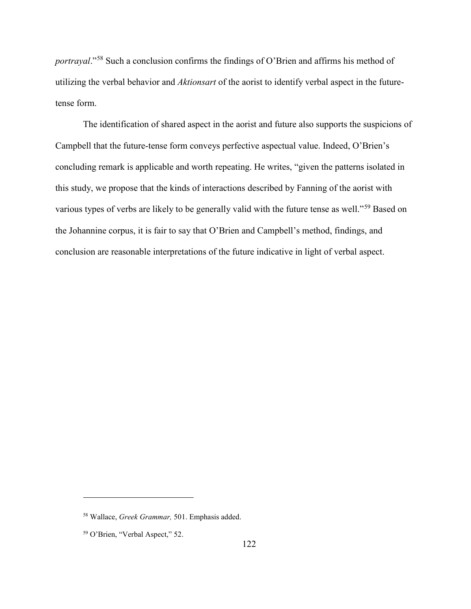*portrayal*."[58](#page-128-0) Such a conclusion confirms the findings of O'Brien and affirms his method of utilizing the verbal behavior and *Aktionsart* of the aorist to identify verbal aspect in the futuretense form.

The identification of shared aspect in the aorist and future also supports the suspicions of Campbell that the future-tense form conveys perfective aspectual value. Indeed, O'Brien's concluding remark is applicable and worth repeating. He writes, "given the patterns isolated in this study, we propose that the kinds of interactions described by Fanning of the aorist with various types of verbs are likely to be generally valid with the future tense as well."<sup>59</sup> Based on the Johannine corpus, it is fair to say that O'Brien and Campbell's method, findings, and conclusion are reasonable interpretations of the future indicative in light of verbal aspect.

<span id="page-128-0"></span><sup>58</sup> Wallace, *Greek Grammar,* 501. Emphasis added.

<span id="page-128-1"></span><sup>59</sup> O'Brien, "Verbal Aspect," 52.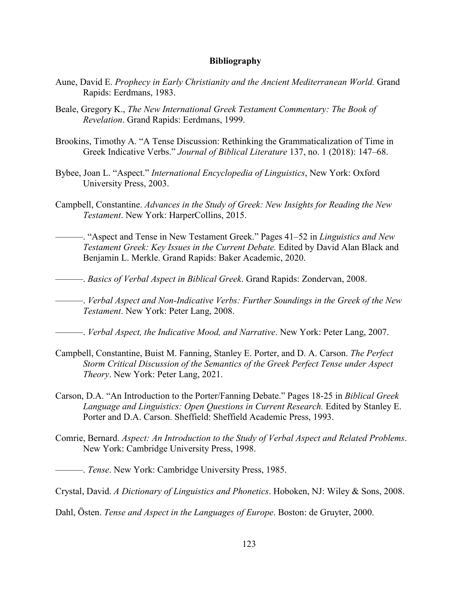### **Bibliography**

- Aune, David E. *Prophecy in Early Christianity and the Ancient Mediterranean World.* Grand Rapids: Eerdmans, 1983.
- Beale, Gregory K., *The New International Greek Testament Commentary: The Book of Revelation*. Grand Rapids: Eerdmans, 1999.
- Brookins, Timothy A. "A Tense Discussion: Rethinking the Grammaticalization of Time in Greek Indicative Verbs." *Journal of Biblical Literature* 137, no. 1 (2018): 147–68.
- Bybee, Joan L. "Aspect." *International Encyclopedia of Linguistics*, New York: Oxford University Press, 2003.
- Campbell, Constantine. *Advances in the Study of Greek: New Insights for Reading the New Testament*. New York: HarperCollins, 2015.
	- ———. "Aspect and Tense in New Testament Greek." Pages 41–52 in *Linguistics and New Testament Greek: Key Issues in the Current Debate.* Edited by David Alan Black and Benjamin L. Merkle. Grand Rapids: Baker Academic, 2020.
- ———. *Basics of Verbal Aspect in Biblical Greek*. Grand Rapids: Zondervan, 2008.
- ———. *Verbal Aspect and Non-Indicative Verbs: Further Soundings in the Greek of the New Testament*. New York: Peter Lang, 2008.

———. *Verbal Aspect, the Indicative Mood, and Narrative*. New York: Peter Lang, 2007.

- Campbell, Constantine, Buist M. Fanning, Stanley E. Porter, and D. A. Carson. *The Perfect Storm Critical Discussion of the Semantics of the Greek Perfect Tense under Aspect Theory*. New York: Peter Lang, 2021.
- Carson, D.A. "An Introduction to the Porter/Fanning Debate." Pages 18-25 in *Biblical Greek Language and Linguistics: Open Questions in Current Research.* Edited by Stanley E. Porter and D.A. Carson. Sheffield: Sheffield Academic Press, 1993.
- Comrie, Bernard. *Aspect: An Introduction to the Study of Verbal Aspect and Related Problems*. New York: Cambridge University Press, 1998.

———. *Tense*. New York: Cambridge University Press, 1985.

Crystal, David. *A Dictionary of Linguistics and Phonetics*. Hoboken, NJ: Wiley & Sons, 2008.

Dahl, Östen. *Tense and Aspect in the Languages of Europe*. Boston: de Gruyter, 2000.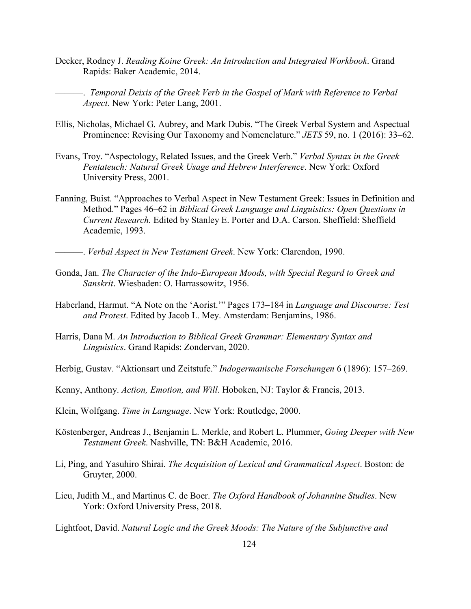- Decker, Rodney J. *Reading Koine Greek: An Introduction and Integrated Workbook*. Grand Rapids: Baker Academic, 2014.
	- ———. *Temporal Deixis of the Greek Verb in the Gospel of Mark with Reference to Verbal Aspect.* New York: Peter Lang, 2001.
- Ellis, Nicholas, Michael G. Aubrey, and Mark Dubis. "The Greek Verbal System and Aspectual Prominence: Revising Our Taxonomy and Nomenclature." *JETS* 59, no. 1 (2016): 33–62.
- Evans, Troy. "Aspectology, Related Issues, and the Greek Verb." *Verbal Syntax in the Greek Pentateuch: Natural Greek Usage and Hebrew Interference*. New York: Oxford University Press, 2001.
- Fanning, Buist. "Approaches to Verbal Aspect in New Testament Greek: Issues in Definition and Method." Pages 46–62 in *Biblical Greek Language and Linguistics: Open Questions in Current Research.* Edited by Stanley E. Porter and D.A. Carson. Sheffield: Sheffield Academic, 1993.
	- ———. *Verbal Aspect in New Testament Greek*. New York: Clarendon, 1990.
- Gonda, Jan. *The Character of the Indo-European Moods, with Special Regard to Greek and Sanskrit*. Wiesbaden: O. Harrassowitz, 1956.
- Haberland, Harmut. "A Note on the 'Aorist.'" Pages 173–184 in *Language and Discourse: Test and Protest*. Edited by Jacob L. Mey. Amsterdam: Benjamins, 1986.
- Harris, Dana M. *An Introduction to Biblical Greek Grammar: Elementary Syntax and Linguistics*. Grand Rapids: Zondervan, 2020.
- Herbig, Gustav. "Aktionsart und Zeitstufe." *Indogermanische Forschungen* 6 (1896): 157–269.
- Kenny, Anthony. *Action, Emotion, and Will*. Hoboken, NJ: Taylor & Francis, 2013.
- Klein, Wolfgang. *Time in Language*. New York: Routledge, 2000.
- Köstenberger, Andreas J., Benjamin L. Merkle, and Robert L. Plummer, *Going Deeper with New Testament Greek*. Nashville, TN: B&H Academic, 2016.
- Li, Ping, and Yasuhiro Shirai. *The Acquisition of Lexical and Grammatical Aspect*. Boston: de Gruyter, 2000.
- Lieu, Judith M., and Martinus C. de Boer. *The Oxford Handbook of Johannine Studies*. New York: Oxford University Press, 2018.

Lightfoot, David. *Natural Logic and the Greek Moods: The Nature of the Subjunctive and*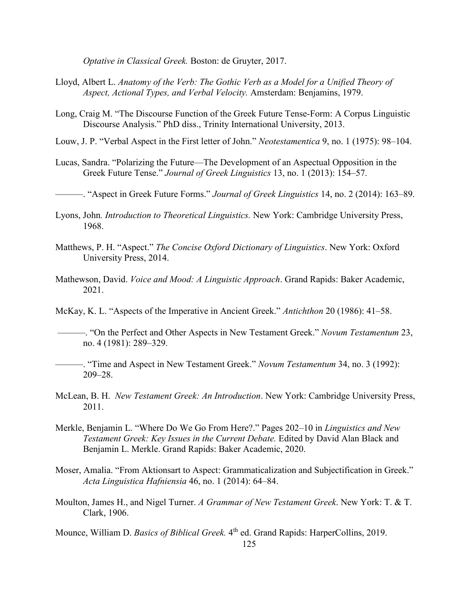*Optative in Classical Greek.* Boston: de Gruyter, 2017.

- Lloyd, Albert L. *Anatomy of the Verb: The Gothic Verb as a Model for a Unified Theory of Aspect, Actional Types, and Verbal Velocity.* Amsterdam: Benjamins, 1979.
- Long, Craig M. "The Discourse Function of the Greek Future Tense-Form: A Corpus Linguistic Discourse Analysis." PhD diss., Trinity International University, 2013.
- Louw, J. P. "Verbal Aspect in the First letter of John." *Neotestamentica* 9, no. 1 (1975): 98–104.
- Lucas, Sandra. "Polarizing the Future—The Development of an Aspectual Opposition in the Greek Future Tense." *Journal of Greek Linguistics* 13, no. 1 (2013): 154–57.

———. "Aspect in Greek Future Forms." *Journal of Greek Linguistics* 14, no. 2 (2014): 163–89.

- Lyons, John*. Introduction to Theoretical Linguistics.* New York: Cambridge University Press, 1968.
- Matthews, P. H. "Aspect." *The Concise Oxford Dictionary of Linguistics*. New York: Oxford University Press, 2014.
- Mathewson, David. *Voice and Mood: A Linguistic Approach*. Grand Rapids: Baker Academic, 2021.

McKay, K. L. "Aspects of the Imperative in Ancient Greek." *Antichthon* 20 (1986): 41–58.

 ———. "On the Perfect and Other Aspects in New Testament Greek." *Novum Testamentum* 23, no. 4 (1981): 289–329.

- ———. "Time and Aspect in New Testament Greek." *Novum Testamentum* 34, no. 3 (1992): 209–28.
- McLean, B. H. *New Testament Greek: An Introduction*. New York: Cambridge University Press, 2011.
- Merkle, Benjamin L. "Where Do We Go From Here?." Pages 202–10 in *Linguistics and New Testament Greek: Key Issues in the Current Debate.* Edited by David Alan Black and Benjamin L. Merkle. Grand Rapids: Baker Academic, 2020.
- Moser, Amalia. "From Aktionsart to Aspect: Grammaticalization and Subjectification in Greek." *Acta Linguistica Hafniensia* 46, no. 1 (2014): 64–84.
- Moulton, James H., and Nigel Turner. *A Grammar of New Testament Greek*. New York: T. & T. Clark, 1906.

Mounce, William D. *Basics of Biblical Greek*. 4<sup>th</sup> ed. Grand Rapids: HarperCollins, 2019.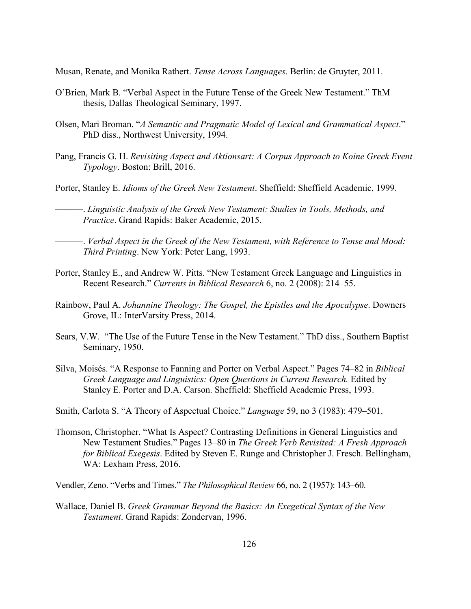Musan, Renate, and Monika Rathert. *Tense Across Languages*. Berlin: de Gruyter, 2011.

- O'Brien, Mark B. "Verbal Aspect in the Future Tense of the Greek New Testament." ThM thesis, Dallas Theological Seminary, 1997.
- Olsen, Mari Broman. "*A Semantic and Pragmatic Model of Lexical and Grammatical Aspect*." PhD diss., Northwest University, 1994.
- Pang, Francis G. H. *Revisiting Aspect and Aktionsart: A Corpus Approach to Koine Greek Event Typology*. Boston: Brill, 2016.

Porter, Stanley E. *Idioms of the Greek New Testament*. Sheffield: Sheffield Academic, 1999.

———. *Linguistic Analysis of the Greek New Testament: Studies in Tools, Methods, and Practice*. Grand Rapids: Baker Academic, 2015.

———. *Verbal Aspect in the Greek of the New Testament, with Reference to Tense and Mood: Third Printing*. New York: Peter Lang, 1993.

- Porter, Stanley E., and Andrew W. Pitts. "New Testament Greek Language and Linguistics in Recent Research." *Currents in Biblical Research* 6, no. 2 (2008): 214–55.
- Rainbow, Paul A. *Johannine Theology: The Gospel, the Epistles and the Apocalypse*. Downers Grove, IL: InterVarsity Press, 2014.
- Sears, V.W. "The Use of the Future Tense in the New Testament." ThD diss., Southern Baptist Seminary, 1950.
- Silva, Moisés. "A Response to Fanning and Porter on Verbal Aspect." Pages 74–82 in *Biblical Greek Language and Linguistics: Open Questions in Current Research.* Edited by Stanley E. Porter and D.A. Carson. Sheffield: Sheffield Academic Press, 1993.
- Smith, Carlota S. "A Theory of Aspectual Choice." *Language* 59, no 3 (1983): 479–501.
- Thomson, Christopher. "What Is Aspect? Contrasting Definitions in General Linguistics and New Testament Studies." Pages 13–80 in *The Greek Verb Revisited: A Fresh Approach for Biblical Exegesis*. Edited by Steven E. Runge and Christopher J. Fresch. Bellingham, WA: Lexham Press, 2016.
- Vendler, Zeno. "Verbs and Times." *The Philosophical Review* 66, no. 2 (1957): 143–60.
- Wallace, Daniel B. *Greek Grammar Beyond the Basics: An Exegetical Syntax of the New Testament*. Grand Rapids: Zondervan, 1996.